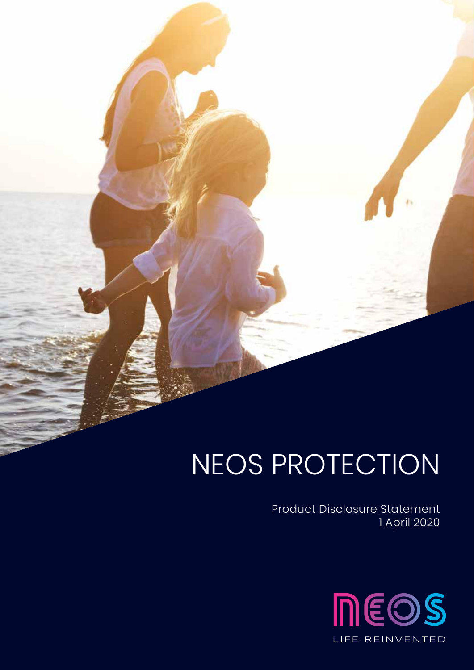# NEOS PROTECTION

Product Disclosure Statement 1 April 2020

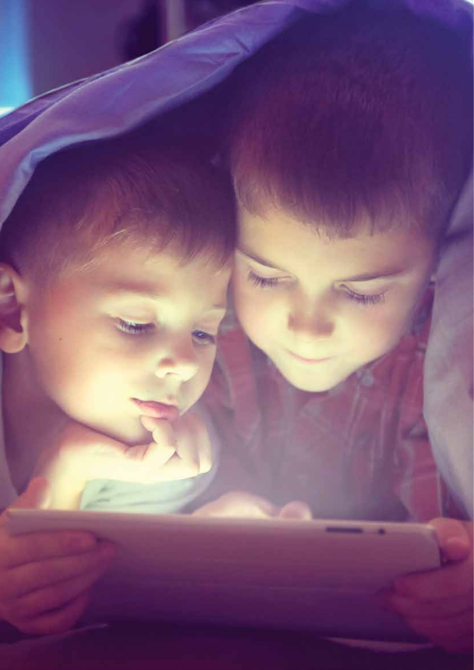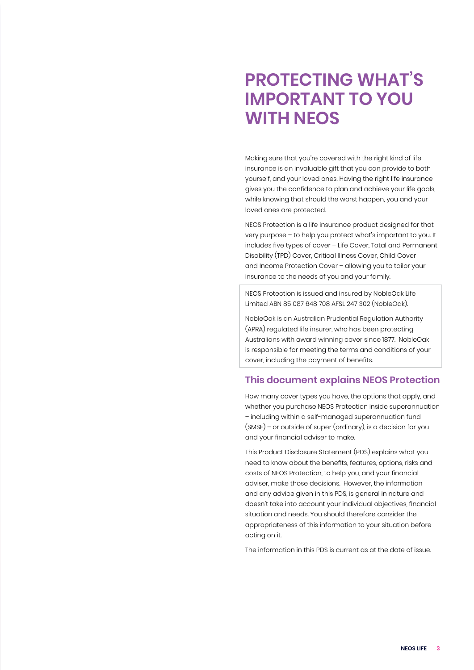# **PROTECTING WHAT'S IMPORTANT TO YOU WITH NEOS**

Making sure that you're covered with the right kind of life insurance is an invaluable gift that you can provide to both yourself, and your loved ones. Having the right life insurance gives you the confidence to plan and achieve your life goals, while knowing that should the worst happen, you and your loved ones are protected.

NEOS Protection is a life insurance product designed for that very purpose – to help you protect what's important to you. It includes five types of cover – Life Cover, Total and Permanent Disability (TPD) Cover, Critical Illness Cover, Child Cover and Income Protection Cover – allowing you to tailor your insurance to the needs of you and your family.

NEOS Protection is issued and insured by NobleOak Life Limited ABN 85 087 648 708 AFSL 247 302 (NobleOak).

NobleOak is an Australian Prudential Regulation Authority (APRA) regulated life insurer, who has been protecting Australians with award winning cover since 1877. NobleOak is responsible for meeting the terms and conditions of your cover, including the payment of benefits.

### **This document explains NEOS Protection**

How many cover types you have, the options that apply, and whether you purchase NEOS Protection inside superannuation – including within a self-managed superannuation fund (SMSF) – or outside of super (ordinary), is a decision for you and your financial adviser to make.

This Product Disclosure Statement (PDS) explains what you need to know about the benefits, features, options, risks and costs of NEOS Protection, to help you, and your financial adviser, make those decisions. However, the information and any advice given in this PDS, is general in nature and doesn't take into account your individual objectives, financial situation and needs. You should therefore consider the appropriateness of this information to your situation before acting on it.

The information in this PDS is current as at the date of issue.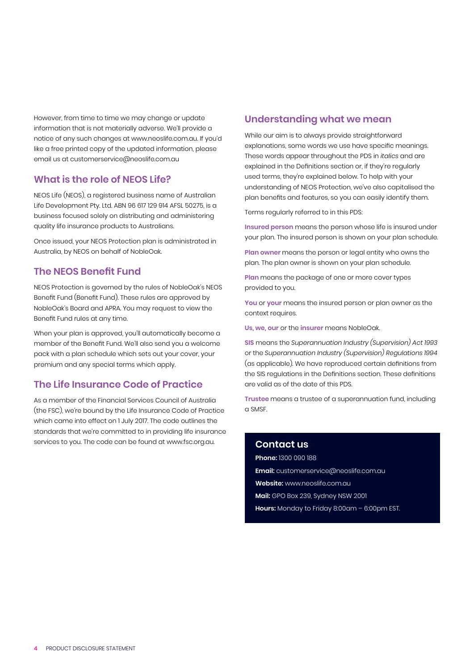However, from time to time we may change or update information that is not materially adverse. We'll provide a notice of any such changes at www.neoslife.com.au. If you'd like a free printed copy of the updated information, please email us at customerservice@neoslife.com.au

### **What is the role of NEOS Life?**

NEOS Life (NEOS), a registered business name of Australian Life Development Pty. Ltd. ABN 96 617 129 914 AFSL 50275, is a business focused solely on distributing and administering quality life insurance products to Australians.

Once issued, your NEOS Protection plan is administrated in Australia, by NEOS on behalf of NobleOak.

### **The NEOS Benefit Fund**

NEOS Protection is governed by the rules of NobleOak's NEOS Benefit Fund (Benefit Fund). These rules are approved by NobleOak's Board and APRA. You may request to view the Benefit Fund rules at any time.

When your plan is approved, you'll automatically become a member of the Benefit Fund. We'll also send you a welcome pack with a plan schedule which sets out your cover, your premium and any special terms which apply.

### **The Life Insurance Code of Practice**

As a member of the Financial Services Council of Australia (the FSC), we're bound by the Life Insurance Code of Practice which came into effect on 1 July 2017. The code outlines the standards that we're committed to in providing life insurance services to you. The code can be found at www.fsc.org.au.

### **Understanding what we mean**

While our aim is to always provide straightforward explanations, some words we use have specific meanings. These words appear throughout the PDS in *italics* and are explained in the Definitions section or, if they're regularly used terms, they're explained below. To help with your understanding of NEOS Protection, we've also capitalised the plan benefits and features, so you can easily identify them.

Terms regularly referred to in this PDS:

**Insured person** means the person whose life is insured under your plan. The insured person is shown on your plan schedule.

**Plan owner** means the person or legal entity who owns the plan. The plan owner is shown on your plan schedule.

**Plan** means the package of one or more cover types provided to you.

**You** or **your** means the insured person or plan owner as the context requires.

**Us, we, our** or the **insurer** means NobleOak.

**SIS** means the *Superannuation Industry (Supervision) Act 1993* or the *Superannuation Industry (Supervision) Regulations 1994*  (as applicable). We have reproduced certain definitions from the SIS regulations in the Definitions section. These definitions are valid as of the date of this PDS.

**Trustee** means a trustee of a superannuation fund, including a SMSF.

#### **Contact us**

**Phone:** 1300 090 188 **Email:** customerservice@neoslife.com.au **Website:** www.neoslife.com.au **Mail:** GPO Box 239, Sydney NSW 2001 **Hours:** Monday to Friday 8:00am – 6:00pm EST.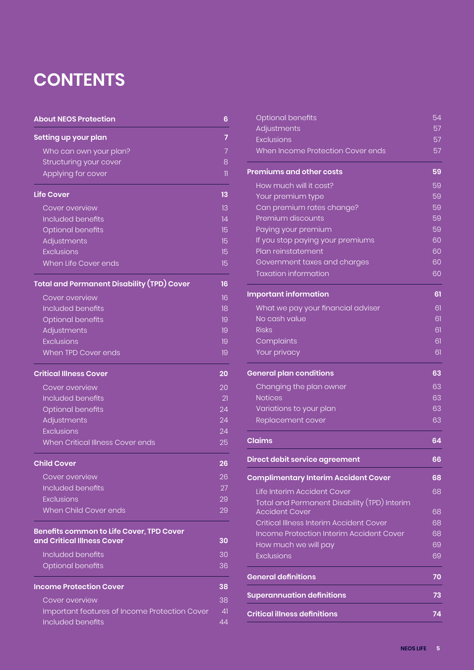# **CONTENTS**

| <b>About NEOS Protection</b>                      | 6              |
|---------------------------------------------------|----------------|
| Setting up your plan                              | 7              |
| Who can own your plan?                            | 7              |
| Structuring your cover                            | 8              |
| Applying for cover                                | Π              |
| Life Cover                                        | 13             |
| Cover overview                                    | 13             |
| <b>Included benefits</b>                          | 14             |
| <b>Optional benefits</b>                          | 15             |
| Adjustments                                       | 15             |
| <b>Exclusions</b>                                 | 15             |
| When Life Cover ends                              | 15             |
| <b>Total and Permanent Disability (TPD) Cover</b> | 16             |
| Cover overview                                    | 16             |
| Included benefits                                 | 18             |
| <b>Optional benefits</b>                          | 19             |
| Adjustments                                       | 19             |
| <b>Exclusions</b>                                 | 19             |
| When TPD Cover ends                               | 19             |
| <b>Critical Illness Cover</b>                     | 20             |
| Cover overview                                    | 20             |
| Included benefits                                 | 21             |
| <b>Optional benefits</b>                          | 24             |
| Adjustments                                       | 24             |
| <b>Exclusions</b>                                 | 24             |
| When Critical Illness Cover ends                  | 25             |
| <b>Child Cover</b>                                | 26             |
| Cover overview                                    | 26             |
| Included benefits                                 | 27             |
| <b>Exclusions</b>                                 | 29             |
| When Child Cover ends                             | 29             |
| <b>Benefits common to Life Cover, TPD Cover</b>   |                |
| and Critical Illness Cover                        | 30             |
| Included benefits                                 | 30             |
| <b>Optional benefits</b>                          | 36             |
| <b>Income Protection Cover</b>                    | 38             |
| Cover overview                                    | 38             |
| Important features of Income Protection Cover     | $\overline{4}$ |
| Included benefits                                 | 44             |

|                | <b>General definitions</b><br><b>Superannuation definitions</b>       | 70<br>73 |
|----------------|-----------------------------------------------------------------------|----------|
|                |                                                                       |          |
|                |                                                                       |          |
|                | <b>Exclusions</b>                                                     | 69       |
|                | How much we will pay                                                  | 69       |
|                | Income Protection Interim Accident Cover                              | 68       |
|                | <b>Critical Illness Interim Accident Cover</b>                        | 68       |
|                | Total and Permanent Disability (TPD) Interim<br><b>Accident Cover</b> | 68       |
|                | Life Interim Accident Cover                                           | 68       |
|                | <b>Complimentary Interim Accident Cover</b>                           | 68       |
|                | Direct debit service agreement                                        | 66       |
| <b>Claims</b>  |                                                                       | 64       |
|                | Replacement cover                                                     | 63       |
|                | Variations to your plan                                               | 63       |
| <b>Notices</b> |                                                                       | 63       |
|                | Changing the plan owner                                               | 63       |
|                | <b>General plan conditions</b>                                        | 63       |
|                | Your privacy                                                          | 61       |
|                | Complaints                                                            | 61       |
| <b>Risks</b>   |                                                                       | 61       |
|                | No cash value                                                         | 61       |
|                | <b>Important information</b><br>What we pay your financial adviser    | 61<br>61 |
|                |                                                                       |          |
|                | <b>Taxation information</b>                                           | 60       |
|                | Government taxes and charges                                          | 60       |
|                | Plan reinstatement                                                    | 60       |
|                | If you stop paying your premiums                                      | 60       |
|                | Paying your premium                                                   | 59       |
|                | Premium discounts                                                     | 59       |
|                | Your premium type<br>Can premium rates change?                        | 59       |
|                | How much will it cost?                                                | 59<br>59 |
|                | <b>Premiums and other costs</b>                                       | 59       |
|                |                                                                       |          |
|                | When Income Protection Cover ends                                     | 57       |
|                | Adjustments<br><b>Exclusions</b>                                      | 57       |
|                | <b>Optional benefits</b>                                              | 54<br>57 |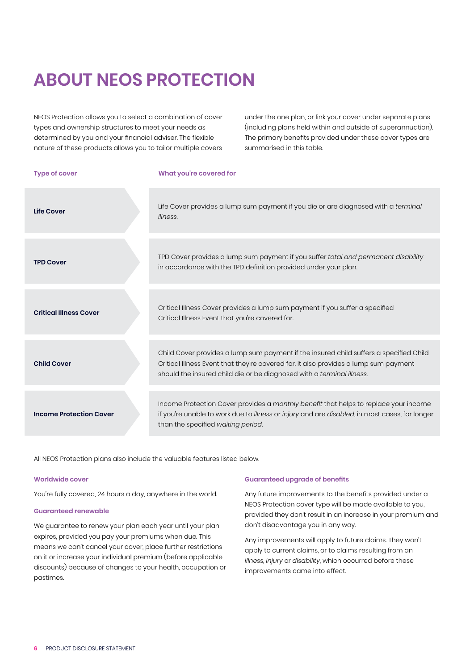# **ABOUT NEOS PROTECTION**

NEOS Protection allows you to select a combination of cover types and ownership structures to meet your needs as determined by you and your financial adviser. The flexible nature of these products allows you to tailor multiple covers

under the one plan, or link your cover under separate plans (including plans held within and outside of superannuation). The primary benefits provided under these cover types are summarised in this table.

#### **Type of cover What you're covered for**

| Life Cover                     | Life Cover provides a lump sum payment if you die or are diagnosed with a terminal<br><i>illness</i> .                                                                                                                                                          |
|--------------------------------|-----------------------------------------------------------------------------------------------------------------------------------------------------------------------------------------------------------------------------------------------------------------|
| <b>TPD Cover</b>               | TPD Cover provides a lump sum payment if you suffer total and permanent disability<br>in accordance with the TPD definition provided under your plan.                                                                                                           |
| <b>Critical Illness Cover</b>  | Critical Illness Cover provides a lump sum payment if you suffer a specified<br>Critical Illness Event that you're covered for.                                                                                                                                 |
| <b>Child Cover</b>             | Child Cover provides a lump sum payment if the insured child suffers a specified Child<br>Critical Illness Event that they're covered for. It also provides a lump sum payment<br>should the insured child die or be diagnosed with a <i>terminal illness</i> . |
| <b>Income Protection Cover</b> | Income Protection Cover provides a monthly benefit that helps to replace your income<br>if you're unable to work due to illness or injury and are disabled, in most cases, for longer                                                                           |
|                                | than the specified waiting period.                                                                                                                                                                                                                              |

All NEOS Protection plans also include the valuable features listed below.

#### **Worldwide cover**

You're fully covered, 24 hours a day, anywhere in the world.

#### **Guaranteed renewable**

We guarantee to renew your plan each year until your plan expires, provided you pay your premiums when due. This means we can't cancel your cover, place further restrictions on it or increase your individual premium (before applicable discounts) because of changes to your health, occupation or pastimes.

#### **Guaranteed upgrade of benefits**

Any future improvements to the benefits provided under a NEOS Protection cover type will be made available to you, provided they don't result in an increase in your premium and don't disadvantage you in any way.

Any improvements will apply to future claims. They won't apply to current claims, or to claims resulting from an *illness, injury* or *disability*, which occurred before these improvements came into effect.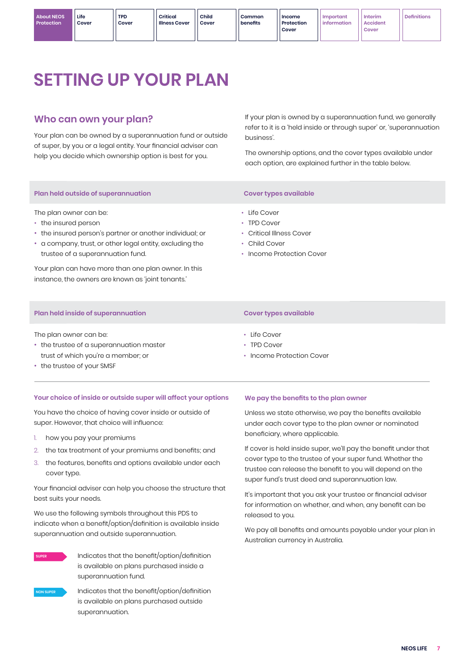**Critical** 

**Accident Cover**

# **SETTING UP YOUR PLAN**

## **Who can own your plan?**

Your plan can be owned by a superannuation fund or outside of super, by you or a legal entity. Your financial adviser can help you decide which ownership option is best for you.

If your plan is owned by a superannuation fund, we generally refer to it is a 'held inside or through super' or, 'superannuation business'.

The ownership options, and the cover types available under each option, are explained further in the table below.

| <b>Plan held outside of superannuation</b>                                                                                                                                                                  | <b>Cover types available</b>                                                                       |
|-------------------------------------------------------------------------------------------------------------------------------------------------------------------------------------------------------------|----------------------------------------------------------------------------------------------------|
| The plan owner can be:<br>• the insured person<br>• the insured person's partner or another individual; or<br>• a company, trust, or other legal entity, excluding the<br>trustee of a superannuation fund. | Life Cover<br><b>TPD Cover</b><br>Critical Illness Cover<br>Child Cover<br>Income Protection Cover |
| Your plan can have more than one plan owner. In this<br>instance, the owners are known as 'joint tenants.'                                                                                                  |                                                                                                    |

#### **Plan held inside of superannuation Cover types available**

The plan owner can be:

- the trustee of a superannuation master trust of which you're a member; or
- the trustee of your SMSF

#### **Your choice of inside or outside super will affect your options**

You have the choice of having cover inside or outside of super. However, that choice will influence:

- 1. how you pay your premiums
- 2. the tax treatment of your premiums and benefits; and
- 3. the features, benefits and options available under each cover type.

Your financial adviser can help you choose the structure that best suits your needs.

We use the following symbols throughout this PDS to indicate when a benefit/option/definition is available inside superannuation and outside superannuation.



Indicates that the benefit/option/definition is available on plans purchased inside a superannuation fund.

**NON SUPER CONDUCTER INDICATES that the benefit/option/definition** is available on plans purchased outside superannuation.

- Life Cover
- TPD Cover
- Income Protection Cover

#### **We pay the benefits to the plan owner**

Unless we state otherwise, we pay the benefits available under each cover type to the plan owner or nominated beneficiary, where applicable.

If cover is held inside super, we'll pay the benefit under that cover type to the trustee of your super fund. Whether the trustee can release the benefit to you will depend on the super fund's trust deed and superannuation law.

It's important that you ask your trustee or financial adviser for information on whether, and when, any benefit can be released to you.

We pay all benefits and amounts payable under your plan in Australian currency in Australia.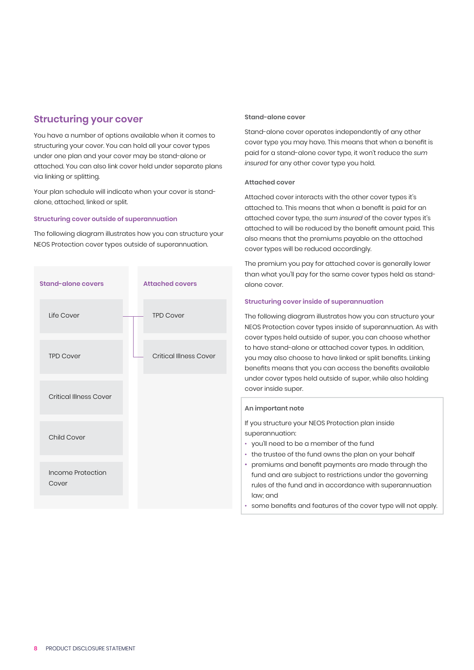### **Structuring your cover**

You have a number of options available when it comes to structuring your cover. You can hold all your cover types under one plan and your cover may be stand-alone or attached. You can also link cover held under separate plans via linking or splitting.

Your plan schedule will indicate when your cover is standalone, attached, linked or split.

#### **Structuring cover outside of superannuation**

The following diagram illustrates how you can structure your NEOS Protection cover types outside of superannuation.



#### **Stand-alone cover**

Stand-alone cover operates independently of any other cover type you may have. This means that when a benefit is paid for a stand-alone cover type, it won't reduce the *sum insured* for any other cover type you hold.

#### **Attached cover**

Attached cover interacts with the other cover types it's attached to. This means that when a benefit is paid for an attached cover type, the *sum insured* of the cover types it's attached to will be reduced by the benefit amount paid. This also means that the premiums payable on the attached cover types will be reduced accordingly.

The premium you pay for attached cover is generally lower than what you'll pay for the same cover types held as standalone cover.

#### **Structuring cover inside of superannuation**

The following diagram illustrates how you can structure your NEOS Protection cover types inside of superannuation. As with cover types held outside of super, you can choose whether to have stand-alone or attached cover types. In addition, you may also choose to have linked or split benefits. Linking benefits means that you can access the benefits available under cover types held outside of super, while also holding cover inside super.

#### **An important note**

If you structure your NEOS Protection plan inside superannuation:

- you'll need to be a member of the fund
- the trustee of the fund owns the plan on your behalf
- premiums and benefit payments are made through the fund and are subject to restrictions under the governing rules of the fund and in accordance with superannuation law; and
- some benefits and features of the cover type will not apply.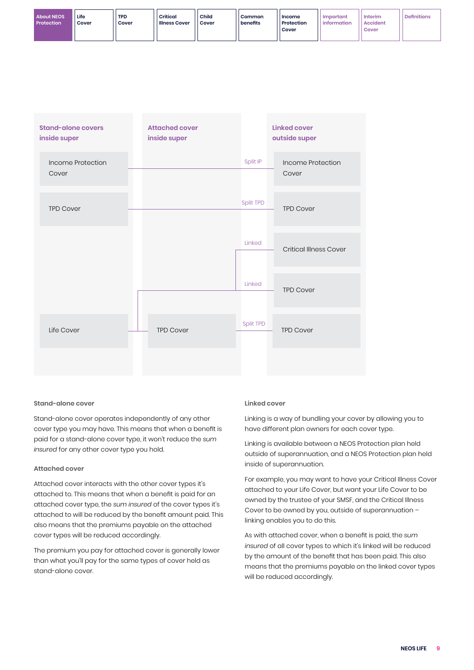| <b>About NEOS</b><br>Protection | Life<br>Cover | <b>TPD</b><br>Cover | Critical<br><b>Illness Cover</b> | Child<br>Cover | Common<br>benefits | Income<br>Protection<br>Cover | Important<br>information | Interim<br><b>Accident</b><br>Cover | <b>Definitions</b> |
|---------------------------------|---------------|---------------------|----------------------------------|----------------|--------------------|-------------------------------|--------------------------|-------------------------------------|--------------------|
|---------------------------------|---------------|---------------------|----------------------------------|----------------|--------------------|-------------------------------|--------------------------|-------------------------------------|--------------------|



#### **Stand-alone cover**

Stand-alone cover operates independently of any other cover type you may have. This means that when a benefit is paid for a stand-alone cover type, it won't reduce the *sum insured* for any other cover type you hold.

#### **Attached cover**

Attached cover interacts with the other cover types it's attached to. This means that when a benefit is paid for an attached cover type, the *sum insured* of the cover types it's attached to will be reduced by the benefit amount paid. This also means that the premiums payable on the attached cover types will be reduced accordingly.

The premium you pay for attached cover is generally lower than what you'll pay for the same types of cover held as stand-alone cover.

#### **Linked cover**

Linking is a way of bundling your cover by allowing you to have different plan owners for each cover type.

Linking is available between a NEOS Protection plan held outside of superannuation, and a NEOS Protection plan held inside of superannuation.

For example, you may want to have your Critical Illness Cover attached to your Life Cover, but want your Life Cover to be owned by the trustee of your SMSF, and the Critical Illness Cover to be owned by you, outside of superannuation – linking enables you to do this.

As with attached cover, when a benefit is paid, the *sum insured* of all cover types to which it's linked will be reduced by the amount of the benefit that has been paid. This also means that the premiums payable on the linked cover types will be reduced accordingly.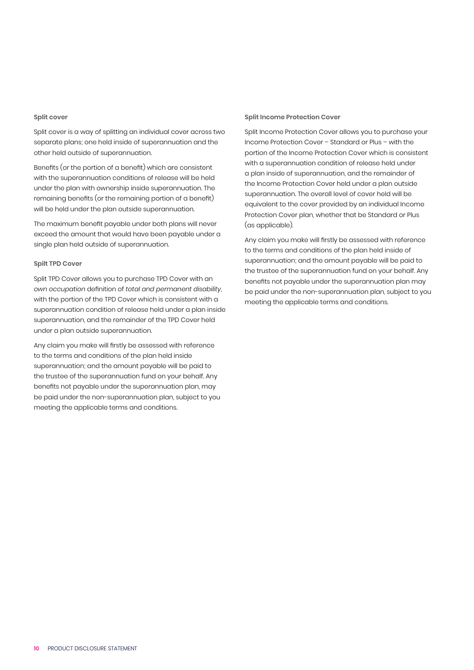#### **Split cover**

Split cover is a way of splitting an individual cover across two separate plans; one held inside of superannuation and the other held outside of superannuation.

Benefits (or the portion of a benefit) which are consistent with the superannuation conditions of release will be held under the plan with ownership inside superannuation. The remaining benefits (or the remaining portion of a benefit) will be held under the plan outside superannuation.

The maximum benefit payable under both plans will never exceed the amount that would have been payable under a single plan held outside of superannuation.

#### **Spilt TPD Cover**

Split TPD Cover allows you to purchase TPD Cover with an *own occupation* definition of *total and permanent disability*, with the portion of the TPD Cover which is consistent with a superannuation condition of release held under a plan inside superannuation, and the remainder of the TPD Cover held under a plan outside superannuation.

Any claim you make will firstly be assessed with reference to the terms and conditions of the plan held inside superannuation; and the amount payable will be paid to the trustee of the superannuation fund on your behalf. Any benefits not payable under the superannuation plan, may be paid under the non-superannuation plan, subject to you meeting the applicable terms and conditions.

#### **Split Income Protection Cover**

Split Income Protection Cover allows you to purchase your Income Protection Cover – Standard or Plus – with the portion of the Income Protection Cover which is consistent with a superannuation condition of release held under a plan inside of superannuation, and the remainder of the Income Protection Cover held under a plan outside superannuation. The overall level of cover held will be equivalent to the cover provided by an individual Income Protection Cover plan, whether that be Standard or Plus (as applicable).

Any claim you make will firstly be assessed with reference to the terms and conditions of the plan held inside of superannuation; and the amount payable will be paid to the trustee of the superannuation fund on your behalf. Any benefits not payable under the superannuation plan may be paid under the non-superannuation plan, subject to you meeting the applicable terms and conditions.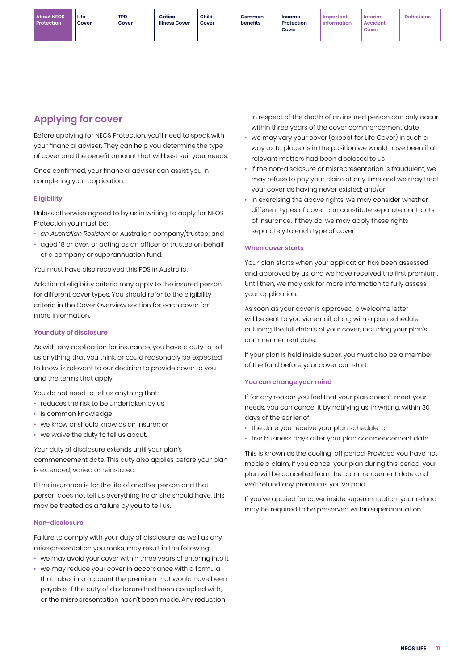**Accident Cover**

## **Applying for cover**

Before applying for NEOS Protection, you'll need to speak with your financial adviser. They can help you determine the type of cover and the benefit amount that will best suit your needs.

Once confirmed, your financial adviser can assist you in completing your application.

#### **Eligibility**

Unless otherwise agreed to by us in writing, to apply for NEOS Protection you must be:

- *an Australian Resident* or Australian company/trustee; and
- aged 18 or over, or acting as an officer or trustee on behalf of a company or superannuation fund.

You must have also received this PDS in Australia.

Additional eligibility criteria may apply to the insured person for different cover types. You should refer to the eligibility criteria in the Cover Overview section for each cover for more information.

#### **Your duty of disclosure**

As with any application for insurance, you have a duty to tell us anything that you think, or could reasonably be expected to know, is relevant to our decision to provide cover to you and the terms that apply.

You do not need to tell us anything that:

- reduces the risk to be undertaken by us
- is common knowledge
- we know or should know as an insurer; or
- we waive the duty to tell us about.

Your duty of disclosure extends until your plan's commencement date. This duty also applies before your plan is extended, varied or reinstated.

If the insurance is for the life of another person and that person does not tell us everything he or she should have, this may be treated as a failure by you to tell us.

#### **Non-disclosure**

Failure to comply with your duty of disclosure, as well as any misrepresentation you make, may result in the following:

- we may avoid your cover within three years of entering into it
- we may reduce your cover in accordance with a formula that takes into account the premium that would have been payable, if the duty of disclosure had been complied with, or the misrepresentation hadn't been made. Any reduction

in respect of the death of an insured person can only occur within three years of the cover commencement date

- we may vary your cover (except for Life Cover) in such a way as to place us in the position we would have been if all relevant matters had been disclosed to us
- if the non-disclosure or misrepresentation is fraudulent, we may refuse to pay your claim at any time and we may treat your cover as having never existed; and/or
- in exercising the above rights, we may consider whether different types of cover can constitute separate contracts of insurance. If they do, we may apply these rights separately to each type of cover.

#### **When cover starts**

Your plan starts when your application has been assessed and approved by us, and we have received the first premium. Until then, we may ask for more information to fully assess your application.

As soon as your cover is approved, a welcome letter will be sent to you via email, along with a plan schedule outlining the full details of your cover, including your plan's commencement date.

If your plan is held inside super, you must also be a member of the fund before your cover can start.

#### **You can change your mind**

If for any reason you feel that your plan doesn't meet your needs, you can cancel it by notifying us, in writing, within 30 days of the earlier of:

- the date you receive your plan schedule; or
- five business days after your plan commencement date.

This is known as the cooling-off period. Provided you have not made a claim, if you cancel your plan during this period, your plan will be cancelled from the commencement date and we'll refund any premiums you've paid.

If you've applied for cover inside superannuation, your refund may be required to be preserved within superannuation.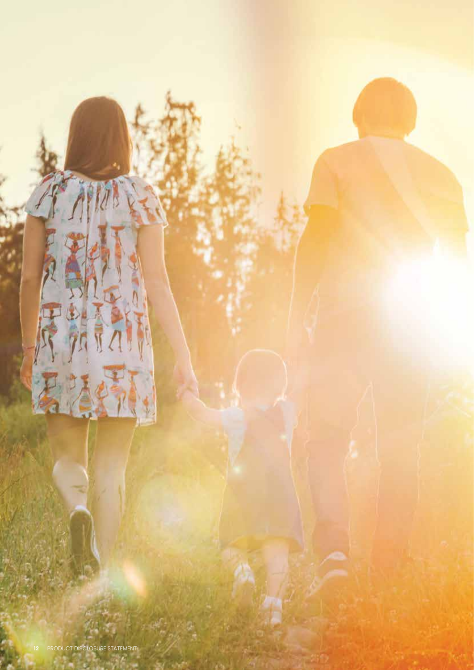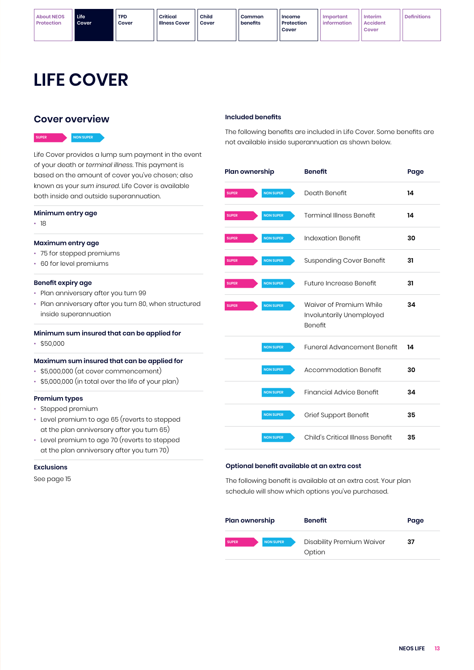| <b>About NEOS</b><br>Protection | <b>Life</b><br>Cover | <b>TPD</b><br>Cover | Critical<br><b>Illness Cover</b> | Child<br>Cover | Common<br>benefits | Income<br>Protection<br>Cover | Important<br>information | Interim<br><b>Accident</b><br>Cover | <b>Definitions</b> |
|---------------------------------|----------------------|---------------------|----------------------------------|----------------|--------------------|-------------------------------|--------------------------|-------------------------------------|--------------------|
|---------------------------------|----------------------|---------------------|----------------------------------|----------------|--------------------|-------------------------------|--------------------------|-------------------------------------|--------------------|

# **LIFE COVER**

### **Cover overview**

### **SUPER NON SUPER**

Life Cover provides a lump sum payment in the event of your death or *terminal illness*. This payment is based on the amount of cover you've chosen; also known as your *sum insured*. Life Cover is available both inside and outside superannuation.

#### **Minimum entry age**

• 18

#### **Maximum entry age**

- 75 for stepped premiums
- 60 for level premiums

#### **Benefit expiry age**

- Plan anniversary after you turn 99
- Plan anniversary after you turn 80, when structured inside superannuation

#### **Minimum sum insured that can be applied for**

• \$50,000

- **Maximum sum insured that can be applied for** • \$5,000,000 (at cover commencement)
- \$5,000,000 (in total over the life of your plan)

### **Premium types**

- Stepped premium
- Level premium to age 65 (reverts to stepped at the plan anniversary after you turn 65)
- Level premium to age 70 (reverts to stepped at the plan anniversary after you turn 70)

#### **Exclusions**

See page 15

#### **Included benefits**

The following benefits are included in Life Cover. Some benefits are not available inside superannuation as shown below.

| <b>Plan ownership</b>            | <b>Benefit</b>                                                 | Page |
|----------------------------------|----------------------------------------------------------------|------|
| <b>SUPER</b><br><b>NON SUPER</b> | Death Benefit                                                  | 14   |
| <b>SUPER</b><br><b>NON SUPER</b> | <b>Terminal Illness Benefit</b>                                | 14   |
| <b>NON SUPER</b><br><b>SUPER</b> | Indexation Benefit                                             | 30   |
| <b>SUPER</b><br><b>NON SUPER</b> | <b>Suspending Cover Benefit</b>                                | 31   |
| <b>NON SUPER</b><br><b>SUPER</b> | <b>Future Increase Benefit</b>                                 | 31   |
| <b>NON SUPER</b><br><b>SUPER</b> | Waiver of Premium While<br>Involuntarily Unemployed<br>Benefit | 34   |
| <b>NON SUPER</b>                 | <b>Funeral Advancement Benefit</b>                             | 14   |
| <b>NON SUPER</b>                 | Accommodation Benefit                                          | 30   |
| <b>NON SUPER</b>                 | <b>Financial Advice Benefit</b>                                | 34   |
| <b>NON SUPER</b>                 | Grief Support Benefit                                          | 35   |
| <b>NON SUPER</b>                 | Child's Critical Illness Benefit                               | 35   |

#### **Optional benefit available at an extra cost**

The following benefit is available at an extra cost. Your plan schedule will show which options you've purchased.

| <b>Plan ownership</b>            | <b>Benefit</b>                      | Page |  |
|----------------------------------|-------------------------------------|------|--|
| <b>NON SUPER</b><br><b>SUPER</b> | Disability Premium Waiver<br>Option | 37   |  |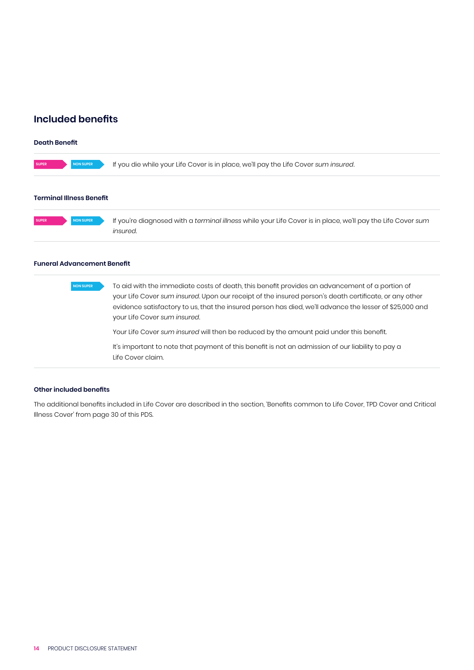### **Included benefits**

#### **Death Benefit**



### **Other included benefits**

The additional benefits included in Life Cover are described in the section, 'Benefits common to Life Cover, TPD Cover and Critical Illness Cover' from page 30 of this PDS.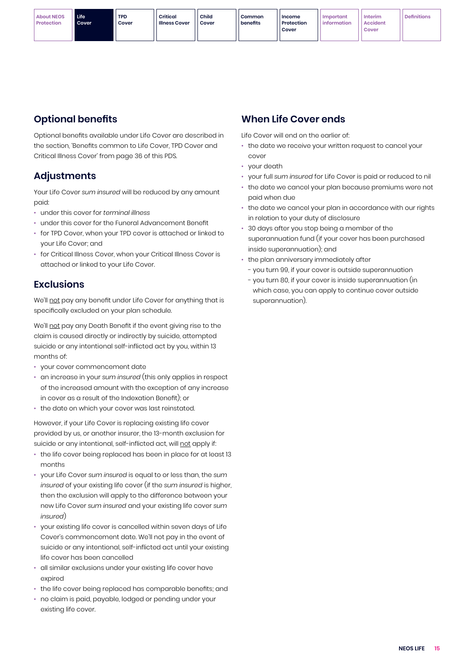| <b>About NEOS</b> |  |
|-------------------|--|
| Protection        |  |

**Interim Accident Cover**

**Child Cover**

## **Optional benefits**

Optional benefits available under Life Cover are described in the section, 'Benefits common to Life Cover, TPD Cover and Critical Illness Cover' from page 36 of this PDS.

## **Adjustments**

Your Life Cover *sum insured* will be reduced by any amount paid:

- under this cover for *terminal illness*
- under this cover for the Funeral Advancement Benefit
- for TPD Cover, when your TPD cover is attached or linked to your Life Cover; and
- for Critical Illness Cover, when your Critical Illness Cover is attached or linked to your Life Cover.

## **Exclusions**

We'll not pay any benefit under Life Cover for anything that is specifically excluded on your plan schedule.

We'll not pay any Death Benefit if the event giving rise to the claim is caused directly or indirectly by suicide, attempted suicide or any intentional self-inflicted act by you, within 13 months of:

- your cover commencement date
- an increase in your *sum insured* (this only applies in respect of the increased amount with the exception of any increase in cover as a result of the Indexation Benefit); or
- the date on which your cover was last reinstated.

However, if your Life Cover is replacing existing life cover provided by us, or another insurer, the 13-month exclusion for suicide or any intentional, self-inflicted act, will not apply if:

- the life cover being replaced has been in place for at least 13 months
- your Life Cover *sum insured* is equal to or less than, the *sum insured* of your existing life cover (if the *sum insured* is higher, then the exclusion will apply to the difference between your new Life Cover *sum insured* and your existing life cover *sum insured*)
- your existing life cover is cancelled within seven days of Life Cover's commencement date. We'll not pay in the event of suicide or any intentional, self-inflicted act until your existing life cover has been cancelled
- all similar exclusions under your existing life cover have expired
- the life cover being replaced has comparable benefits; and
- no claim is paid, payable, lodged or pending under your existing life cover.

## **When Life Cover ends**

**Income** 

**Cover**

Life Cover will end on the earlier of:

- the date we receive your written request to cancel your cover
- your death
- your full *sum insured* for Life Cover is paid or reduced to nil
- the date we cancel your plan because premiums were not paid when due
- the date we cancel your plan in accordance with our rights in relation to your duty of disclosure
- 30 days after you stop being a member of the superannuation fund (if your cover has been purchased inside superannuation); and
- the plan anniversary immediately after
	- you turn 99, if your cover is outside superannuation
- you turn 80, if your cover is inside superannuation (in which case, you can apply to continue cover outside superannuation).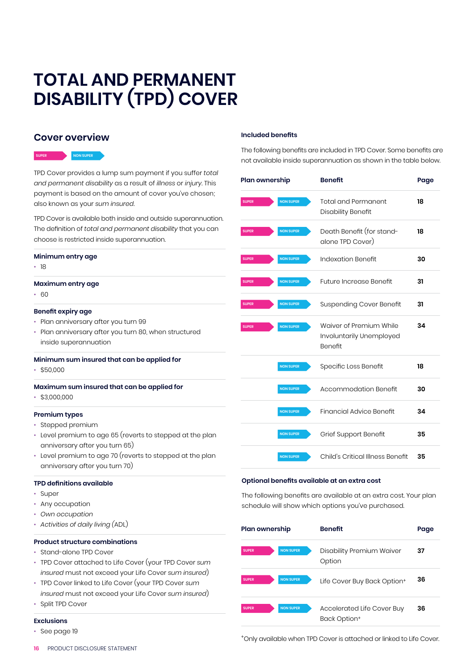# **TOTAL AND PERMANENT DISABILITY (TPD) COVER**

### **Cover overview**



TPD Cover provides a lump sum payment if you suffer *total and permanent disability* as a result of *illness* or *injury*. This payment is based on the amount of cover you've chosen; also known as your *sum insured*.

TPD Cover is available both inside and outside superannuation. The definition of *total and permanent disability* that you can choose is restricted inside superannuation.

#### **Minimum entry age**

• 18

#### **Maximum entry age**

• 60

#### **Benefit expiry age**

- Plan anniversary after you turn 99
- Plan anniversary after you turn 80, when structured inside superannuation

#### **Minimum sum insured that can be applied for**

• \$50,000

#### **Maximum sum insured that can be applied for**

• \$3,000,000

#### **Premium types**

- Stepped premium
- Level premium to age 65 (reverts to stepped at the plan anniversary after you turn 65)
- Level premium to age 70 (reverts to stepped at the plan anniversary after you turn 70)

#### **TPD definitions available**

- Super
- Any occupation
- *Own occupation*
- *Activities of daily living (*ADL)

#### **Product structure combinations**

- Stand-alone TPD Cover
- TPD Cover attached to Life Cover (your TPD Cover *sum insured* must not exceed your Life Cover *sum insured*)
- TPD Cover linked to Life Cover (your TPD Cover *sum insured* must not exceed your Life Cover *sum insured*)
- Split TPD Cover

#### **Exclusions**

• See page 19

#### **Included benefits**

The following benefits are included in TPD Cover. Some benefits are not available inside superannuation as shown in the table below.

| <b>Plan ownership</b>            | <b>Benefit</b>                                                 | Page |
|----------------------------------|----------------------------------------------------------------|------|
| <b>SUPER</b><br><b>NON SUPER</b> | <b>Total and Permanent</b><br><b>Disability Benefit</b>        | 18   |
| <b>NON SUPER</b><br><b>SUPER</b> | Death Benefit (for stand-<br>alone TPD Cover)                  | 18   |
| <b>SUPER</b><br><b>NON SUPER</b> | <b>Indexation Benefit</b>                                      | 30   |
| <b>SUPER</b><br><b>NON SUPER</b> | <b>Future Increase Benefit</b>                                 | 31   |
| <b>SUPER</b><br><b>NON SUPER</b> | <b>Suspending Cover Benefit</b>                                | 31   |
| <b>NON SUPER</b><br><b>SUPER</b> | Waiver of Premium While<br>Involuntarily Unemployed<br>Benefit | 34   |
| <b>NON SUPER</b>                 | Specific Loss Benefit                                          | 18   |
| <b>NON SUPER</b>                 | Accommodation Benefit                                          | 30   |
| <b>NON SUPER</b>                 | Financial Advice Benefit                                       | 34   |
| <b>NON SUPER</b>                 | Grief Support Benefit                                          | 35   |
| <b>NON SUPER</b>                 | Child's Critical Illness Benefit                               | 35   |

#### **Optional benefits available at an extra cost**

The following benefits are available at an extra cost. Your plan schedule will show which options you've purchased.

| <b>Plan ownership</b> |                  | <b>Benefit</b>                             | Page |
|-----------------------|------------------|--------------------------------------------|------|
| <b>SUPER</b>          | <b>NON SUPER</b> | Disability Premium Waiver<br>Option        | 37   |
| <b>SUPER</b>          | <b>NON SUPER</b> | Life Cover Buy Back Option+                | 36   |
| <b>SUPER</b>          | <b>NON SUPER</b> | Accelerated Life Cover Buy<br>Back Option+ | 36   |

+Only available when TPD Cover is attached or linked to Life Cover.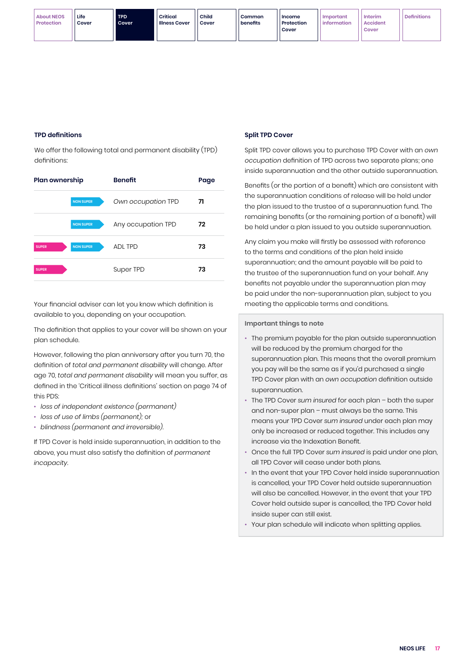| <b>About NEOS</b><br>Protection | Life<br>Cover | TPD.<br>Cover: | Critical<br><b>Illness Cover</b> | Child<br>Cover | Common<br>benefits | Income<br>Protection<br>Cover | Important<br>information | Interim<br><b>Accident</b><br>Cover | <b>Definitions</b> |
|---------------------------------|---------------|----------------|----------------------------------|----------------|--------------------|-------------------------------|--------------------------|-------------------------------------|--------------------|
|---------------------------------|---------------|----------------|----------------------------------|----------------|--------------------|-------------------------------|--------------------------|-------------------------------------|--------------------|

### **TPD definitions**

We offer the following total and permanent disability (TPD) definitions:

| <b>Plan ownership</b>            | <b>Benefit</b>     | Page |
|----------------------------------|--------------------|------|
| <b>NON SUPER</b>                 | Own occupation TPD | 71   |
| <b>NON SUPER</b>                 | Any occupation TPD | 72   |
| <b>NON SUPER</b><br><b>SUPER</b> | <b>ADL TPD</b>     | 73   |
| <b>SUPER</b>                     | Super TPD          | 73   |

Your financial adviser can let you know which definition is available to you, depending on your occupation.

The definition that applies to your cover will be shown on your plan schedule.

However, following the plan anniversary after you turn 70, the definition of *total and permanent disability* will change. After age 70, *total and permanent disability* will mean you suffer, as defined in the 'Critical illness definitions' section on page 74 of this PDS:

- *loss of independent existence (permanent)*
- *loss of use of limbs (permanent);* or
- *blindness (permanent and irreversible).*

If TPD Cover is held inside superannuation, in addition to the above, you must also satisfy the definition of *permanent incapacity.*

#### **Split TPD Cover**

Split TPD cover allows you to purchase TPD Cover with an *own occupation* definition of TPD across two separate plans; one inside superannuation and the other outside superannuation.

Benefits (or the portion of a benefit) which are consistent with the superannuation conditions of release will be held under the plan issued to the trustee of a superannuation fund. The remaining benefits (or the remaining portion of a benefit) will be held under a plan issued to you outside superannuation.

Any claim you make will firstly be assessed with reference to the terms and conditions of the plan held inside superannuation; and the amount payable will be paid to the trustee of the superannuation fund on your behalf. Any benefits not payable under the superannuation plan may be paid under the non-superannuation plan, subject to you meeting the applicable terms and conditions.

#### **Important things to note**

- The premium payable for the plan outside superannuation will be reduced by the premium charged for the superannuation plan. This means that the overall premium you pay will be the same as if you'd purchased a single TPD Cover plan with an *own occupation* definition outside superannuation.
- The TPD Cover *sum insured* for each plan both the super and non-super plan – must always be the same. This means your TPD Cover *sum insured* under each plan may only be increased or reduced together. This includes any increase via the Indexation Benefit.
- Once the full TPD Cover *sum insured* is paid under one plan, all TPD Cover will cease under both plans.
- In the event that your TPD Cover held inside superannuation is cancelled, your TPD Cover held outside superannuation will also be cancelled. However, in the event that your TPD Cover held outside super is cancelled, the TPD Cover held inside super can still exist.
- Your plan schedule will indicate when splitting applies.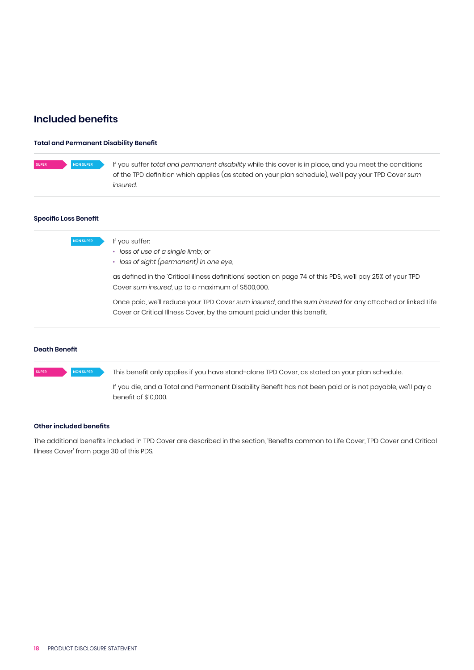### **Included benefits**

#### **Total and Permanent Disability Benefit**

| <b>NON SUPER</b><br><b>SUPER</b> | If you suffer total and permanent disability while this cover is in place, and you meet the conditions<br>of the TPD definition which applies (as stated on your plan schedule), we'll pay your TPD Cover sum<br>insured. |
|----------------------------------|---------------------------------------------------------------------------------------------------------------------------------------------------------------------------------------------------------------------------|
| <b>Specific Loss Benefit</b>     |                                                                                                                                                                                                                           |
| <b>NON SUPER</b>                 | If you suffer:<br>• loss of use of a single limb; or<br>• loss of sight (permanent) in one eye,                                                                                                                           |
|                                  | as defined in the 'Critical illness definitions' section on page 74 of this PDS, we'll pay 25% of your TPD<br>Cover sum insured, up to a maximum of \$500,000.                                                            |
|                                  | Once paid, we'll reduce your TPD Cover sum insured, and the sum insured for any attached or linked Life<br>Cover or Critical Illness Cover, by the amount paid under this benefit.                                        |
| <b>Death Benefit</b>             |                                                                                                                                                                                                                           |
| <b>NON SUPER</b><br><b>SUPER</b> | This benefit only applies if you have stand-alone TPD Cover, as stated on your plan schedule.                                                                                                                             |

**SUPER NON SUPER** This benefit only applies if you have stand-alone TPD Cover, as stated on your plan schedule.

If you die, and a Total and Permanent Disability Benefit has not been paid or is not payable, we'll pay a benefit of \$10,000.

### **Other included benefits**

The additional benefits included in TPD Cover are described in the section, 'Benefits common to Life Cover, TPD Cover and Critical Illness Cover' from page 30 of this PDS.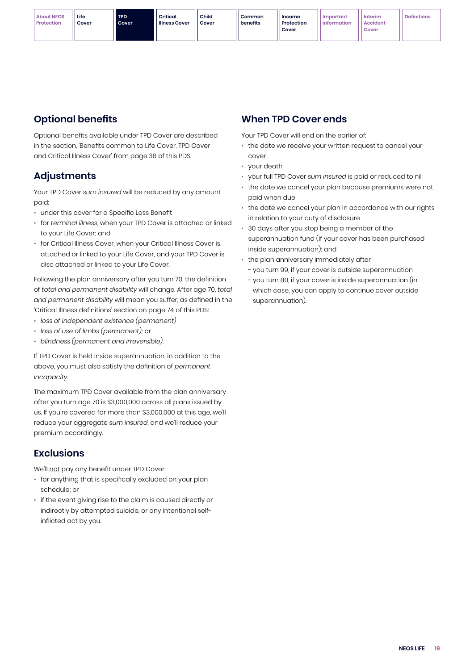**Critical** 

**Interim Accident Cover**

## **Optional benefits**

**Life Cover**

**Protection**

Optional benefits available under TPD Cover are described in the section, 'Benefits common to Life Cover, TPD Cover and Critical Illness Cover' from page 36 of this PDS

**TPD Cover**

## **Adjustments**

Your TPD Cover *sum insured* will be reduced by any amount paid:

- under this cover for a Specific Loss Benefit
- for *terminal illness*, when your TPD Cover is attached or linked to your Life Cover; and
- for Critical Illness Cover, when your Critical Illness Cover is attached or linked to your Life Cover, and your TPD Cover is also attached or linked to your Life Cover.

Following the plan anniversary after you turn 70, the definition of *total and permanent disability* will change. After age 70, *total and permanent disability* will mean you suffer, as defined in the 'Critical Illness definitions' section on page 74 of this PDS:

- *loss of independent existence (permanent)*
- *loss of use of limbs (permanent);* or
- *blindness (permanent and irreversible)*.

If TPD Cover is held inside superannuation, in addition to the above, you must also satisfy the definition of *permanent incapacity*.

The maximum TPD Cover available from the plan anniversary after you turn age 70 is \$3,000,000 across all plans issued by us. If you're covered for more than \$3,000,000 at this age, we'll reduce your aggregate *sum insured*, and we'll reduce your premium accordingly.

## **Exclusions**

We'll not pay any benefit under TPD Cover:

- for anything that is specifically excluded on your plan schedule; or
- if the event giving rise to the claim is caused directly or indirectly by attempted suicide, or any intentional selfinflicted act by you.

### **When TPD Cover ends**

Your TPD Cover will end on the earlier of:

- the date we receive your written request to cancel your cover
- your death
- your full TPD Cover *sum insured* is paid or reduced to nil
- the date we cancel your plan because premiums were not paid when due
- the date we cancel your plan in accordance with our rights in relation to your duty of disclosure
- 30 days after you stop being a member of the superannuation fund (if your cover has been purchased inside superannuation); and
- the plan anniversary immediately after
	- you turn 99, if your cover is outside superannuation
	- you turn 80, if your cover is inside superannuation (in which case, you can apply to continue cover outside superannuation).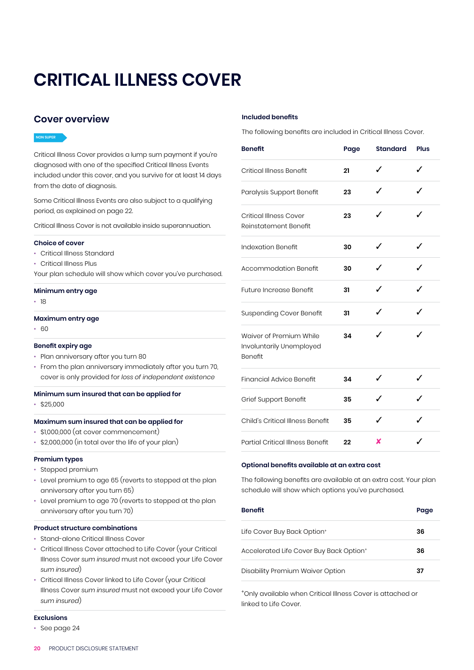# **CRITICAL ILLNESS COVER**

### **Cover overview**

#### **NON SUPER**

Critical Illness Cover provides a lump sum payment if you're diagnosed with one of the specified Critical Illness Events included under this cover, and you survive for at least 14 days from the date of diagnosis.

Some Critical Illness Events are also subject to a qualifying period, as explained on page 22.

Critical Illness Cover is not available inside superannuation.

#### **Choice of cover**

- Critical Illness Standard
- Critical Illness Plus

Your plan schedule will show which cover you've purchased.

#### **Minimum entry age**

• 18

#### **Maximum entry age**

• 60

#### **Benefit expiry age**

- Plan anniversary after you turn 80
- From the plan anniversary immediately after you turn 70, cover is only provided for *loss of independent existence*

#### **Minimum sum insured that can be applied for**

• \$25,000

#### **Maximum sum insured that can be applied for**

- \$1,000,000 (at cover commencement)
- \$2,000,000 (in total over the life of your plan)

#### **Premium types**

- Stepped premium
- Level premium to age 65 (reverts to stepped at the plan anniversary after you turn 65)
- Level premium to age 70 (reverts to stepped at the plan anniversary after you turn 70)

#### **Product structure combinations**

- Stand-alone Critical Illness Cover
- Critical Illness Cover attached to Life Cover (your Critical Illness Cover *sum insured* must not exceed your Life Cover *sum insured*)
- Critical Illness Cover linked to Life Cover (your Critical Illness Cover *sum insured* must not exceed your Life Cover *sum insured*)

#### **Exclusions**

• See page 24

#### **Included benefits**

The following benefits are included in Critical Illness Cover.

| <b>Benefit</b>                                                 | Page | <b>Standard</b> | <b>Plus</b> |
|----------------------------------------------------------------|------|-----------------|-------------|
| <b>Critical Illness Benefit</b>                                | 21   | J               | ✓           |
| Paralysis Support Benefit                                      | 23   | ℐ               |             |
| <b>Critical Illness Cover</b><br>Reinstatement Benefit         | 23   | ℐ               |             |
| Indexation Benefit                                             | 30   | ✓               | J           |
| <b>Accommodation Benefit</b>                                   | 30   |                 |             |
| <b>Future Increase Benefit</b>                                 | 31   | ✓               | J           |
| <b>Suspending Cover Benefit</b>                                | 31   | J               | ℐ           |
| Waiver of Premium While<br>Involuntarily Unemployed<br>Benefit | 34   | ℐ               | ./          |
| <b>Financial Advice Benefit</b>                                | 34   | J               |             |
| Grief Support Benefit                                          | 35   |                 |             |
| Child's Critical Illness Benefit                               | 35   | J               |             |
| <b>Partial Critical Illness Benefit</b>                        | 22   | x               | J           |

#### **Optional benefits available at an extra cost**

The following benefits are available at an extra cost. Your plan schedule will show which options you've purchased.

| Benefit                                             | Page |  |  |
|-----------------------------------------------------|------|--|--|
| Life Cover Buy Back Option <sup>+</sup>             | 36   |  |  |
| Accelerated Life Cover Buy Back Option <sup>+</sup> | 36   |  |  |
| Disability Premium Waiver Option                    | 37   |  |  |

+Only available when Critical Illness Cover is attached or linked to Life Cover.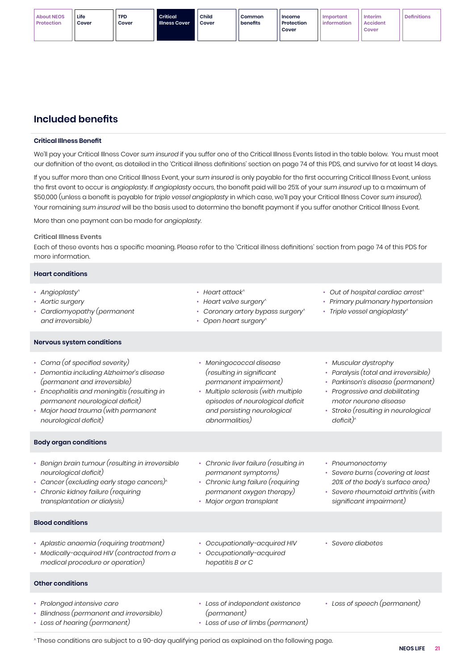| <b>About NEOS</b><br>Protection | Life<br>Cover | <b>TPD</b><br>Cover | Critical<br><b>Illness Cover</b> | Child<br>Cover | Common<br>benefits | Income<br>Protection<br>. Cover | Important<br>information | Interim<br>Accident<br>Cover | <b>Definitions</b> |
|---------------------------------|---------------|---------------------|----------------------------------|----------------|--------------------|---------------------------------|--------------------------|------------------------------|--------------------|
|---------------------------------|---------------|---------------------|----------------------------------|----------------|--------------------|---------------------------------|--------------------------|------------------------------|--------------------|

### **Included benefits**

#### **Critical Illness Benefit**

We'll pay your Critical Illness Cover *sum insured* if you suffer one of the Critical Illness Events listed in the table below. You must meet our definition of the event, as detailed in the 'Critical illness definitions' section on page 74 of this PDS, and survive for at least 14 days.

If you suffer more than one Critical Illness Event, your *sum insured* is only payable for the first occurring Critical Illness Event, unless the first event to occur is *angioplasty*. If *angioplasty* occurs, the benefit paid will be 25% of your *sum insured* up to a maximum of \$50,000 (unless a benefit is payable for *triple vessel angioplasty* in which case, we'll pay your Critical Illness Cover *sum insured*). Your remaining *sum insured* will be the basis used to determine the benefit payment if you suffer another Critical Illness Event.

More than one payment can be made for *angioplasty*.

#### **Critical Illness Events**

Each of these events has a specific meaning. Please refer to the 'Critical illness definitions' section from page 74 of this PDS for more information.

#### **Heart conditions**

- *Angioplasty^*
- *Aortic surgery*
- *Cardiomyopathy (permanent and irreversible)*

#### **Nervous system conditions**

- *Coma (of specified severity)*
- *Dementia including Alzheimer's disease (permanent and irreversible)*
- *Encephalitis and meningitis (resulting in permanent neurological deficit)*
- *Major head trauma (with permanent neurological deficit)*

#### **Body organ conditions**

- *Benign brain tumour (resulting in irreversible neurological deficit)*
- *Cancer (excluding early stage cancers)^*
- *Chronic kidney failure (requiring transplantation or dialysis)*

#### **Blood conditions**

- *Aplastic anaemia (requiring treatment)* • *Medically-acquired HIV (contracted from a medical procedure or operation)*
- **Other conditions**
- *Prolonged intensive care*
- *Blindness (permanent and irreversible)*
- *Loss of hearing (permanent)*
- *Heart attack^*
- *Heart valve surgery^*
- *Coronary artery bypass surgery^*
- *Open heart surgery^*
- *Out of hospital cardiac arrest^*
- *Primary pulmonary hypertension*
- *Triple vessel angioplasty^*
- *Meningococcal disease (resulting in significant permanent impairment)*
- *Multiple sclerosis (with multiple episodes of neurological deficit and persisting neurological abnormalities)*

• *Chronic liver failure (resulting in permanent symptoms)* • *Chronic lung failure (requiring permanent oxygen therapy)* • *Major organ transplant*

• *Muscular dystrophy*

• *Stroke (resulting in neurological deficit)^*

• *Paralysis (total and irreversible)* • *Parkinson's disease (permanent)* • *Progressive and debilitating motor neurone disease*

- *Pneumonectomy*
- *Severe burns (covering at least 20% of the body's surface area)*
- *Severe rheumatoid arthritis (with significant impairment)*

• *Loss of speech (permanent)*

• *Occupationally-acquired HIV* • *Occupationally-acquired* 

• *Loss of independent existence* 

• *Loss of use of limbs (permanent)*

*hepatitis B or C*

*(permanent)*

• *Severe diabetes*

^ These conditions are subject to a 90-day qualifying period as explained on the following page.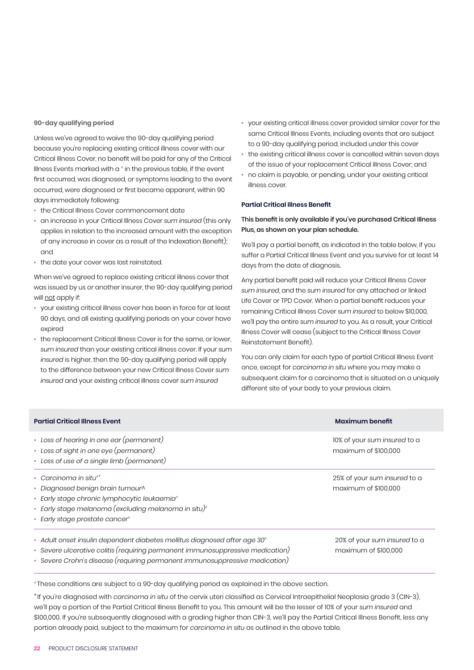#### **90-day qualifying period**

Unless we've agreed to waive the 90-day qualifying period because you're replacing existing critical illness cover with our Critical Illness Cover, no benefit will be paid for any of the Critical Illness Events marked with  $a^{\wedge}$  in the previous table, if the event first occurred, was diagnosed, or symptoms leading to the event occurred, were diagnosed or first became apparent, within 90 days immediately following:

- the Critical Illness Cover commencement date
- an increase in your Critical Illness Cover *sum insured* (this only applies in relation to the increased amount with the exception of any increase in cover as a result of the Indexation Benefit); and
- the date your cover was last reinstated.

When we've agreed to replace existing critical illness cover that was issued by us or another insurer, the 90-day qualifying period will not apply if:

- your existing critical illness cover has been in force for at least 90 days, and all existing qualifying periods on your cover have expired
- the replacement Critical Illness Cover is for the same, or lower, *sum insured* than your existing critical illness cover. If your *sum insured* is higher, then the 90-day qualifying period will apply to the difference between your new Critical Illness Cover *sum insured* and your existing critical illness cover *sum insured*
- your existing critical illness cover provided similar cover for the same Critical Illness Events, including events that are subject to a 90-day qualifying period, included under this cover
- the existing critical illness cover is cancelled within seven days of the issue of your replacement Critical Illness Cover; and
- no claim is payable, or pending, under your existing critical illness cover.

#### **Partial Critical Illness Benefit**

#### This benefit is only available if you've purchased Critical Illness Plus, as shown on your plan schedule.

We'll pay a partial benefit, as indicated in the table below, if you suffer a Partial Critical Illness Event and you survive for at least 14 days from the date of diagnosis.

Any partial benefit paid will reduce your Critical Illness Cover *sum insured*, and the *sum insured* for any attached or linked Life Cover or TPD Cover. When a partial benefit reduces your remaining Critical Illness Cover *sum insured* to below \$10,000, we'll pay the entire *sum insured* to you. As a result, your Critical Illness Cover will cease (subject to the Critical Illness Cover Reinstatement Benefit).

You can only claim for each type of partial Critical Illness Event once, except for *carcinoma in situ* where you may make a subsequent claim for a carcinoma that is situated on a uniquely different site of your body to your previous claim.

| <b>Partial Critical Illness Event</b>                                                                                                                                                                                                               | Maximum benefit                                      |
|-----------------------------------------------------------------------------------------------------------------------------------------------------------------------------------------------------------------------------------------------------|------------------------------------------------------|
| • Loss of hearing in one ear (permanent)<br>• Loss of sight in one eye (permanent)<br>• Loss of use of a single limb (permanent)                                                                                                                    | 10% of your sum insured to a<br>maximum of \$100,000 |
| • Carcinoma in situ $\Lambda^*$<br>• Diagnosed benign brain tumour^<br>· Early stage chronic lymphocytic leukaemia^<br>• Early stage melanoma (excluding melanoma in situ) $\wedge$<br>• Early stage prostate cancer^                               | 25% of your sum insured to a<br>maximum of \$100,000 |
| • Adult onset insulin dependent diabetes mellitus diagnosed after age $30^{\circ}$<br>· Severe ulcerative colitis (requiring permanent immunosuppressive medication)<br>· Severe Crohn's disease (requiring permanent immunosuppressive medication) | 20% of your sum insured to a<br>maximum of \$100,000 |

^ These conditions are subject to a 90-day qualifying period as explained in the above section.

<sup>+</sup> If you're diagnosed with *carcinoma in situ* of the cervix uteri classified as Cervical Intraepithelial Neoplasia grade 3 (CIN-3), we'll pay a portion of the Partial Critical Illness Benefit to you. This amount will be the lesser of 10% of your *sum insured* and \$100,000. If you're subsequently diagnosed with a grading higher than CIN-3, we'll pay the Partial Critical Illness Benefit, less any portion already paid, subject to the maximum for *carcinoma in situ* as outlined in the above table.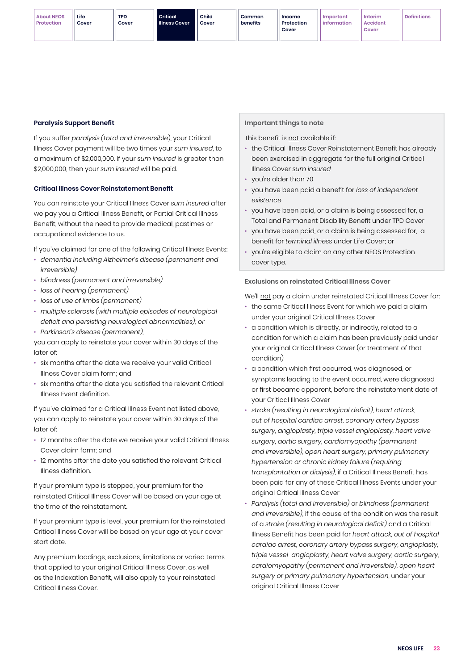| <b>About NEOS</b> | Life  |
|-------------------|-------|
| Protection        | Cover |
|                   |       |

**Accident Cover**

### **Paralysis Support Benefit**

If you suffer *paralysis (total and irreversible*), your Critical Illness Cover payment will be two times your *sum insured*, to a maximum of \$2,000,000. If your *sum insured* is greater than \$2,000,000, then your *sum insured* will be paid.

### **Critical Illness Cover Reinstatement Benefit**

You can reinstate your Critical Illness Cover *sum insured* after we pay you a Critical Illness Benefit, or Partial Critical Illness Benefit, without the need to provide medical, pastimes or occupational evidence to us.

If you've claimed for one of the following Critical Illness Events:

- *dementia including Alzheimer's disease (permanent and irreversible)*
- *blindness (permanent and irreversible)*
- *loss of hearing (permanent)*
- *loss of use of limbs (permanent)*
- *multiple sclerosis (with multiple episodes of neurological deficit and persisting neurological abnormalities); or*
- *Parkinson's disease (permanent),*

you can apply to reinstate your cover within 30 days of the later of:

- six months after the date we receive your valid Critical Illness Cover claim form; and
- six months after the date you satisfied the relevant Critical Illness Event definition.

If you've claimed for a Critical Illness Event not listed above, you can apply to reinstate your cover within 30 days of the later of:

- 12 months after the date we receive your valid Critical Illness Cover claim form; and
- 12 months after the date you satisfied the relevant Critical Illness definition.

If your premium type is stepped, your premium for the reinstated Critical Illness Cover will be based on your age at the time of the reinstatement.

If your premium type is level, your premium for the reinstated Critical Illness Cover will be based on your age at your cover start date.

Any premium loadings, exclusions, limitations or varied terms that applied to your original Critical Illness Cover, as well as the Indexation Benefit, will also apply to your reinstated Critical Illness Cover.

**Important things to note** 

This benefit is not available if:

- the Critical Illness Cover Reinstatement Benefit has already been exercised in aggregate for the full original Critical Illness Cover *sum insured*
- you're older than 70
- you have been paid a benefit for *loss of independent existence*
- you have been paid, or a claim is being assessed for, a Total and Permanent Disability Benefit under TPD Cover
- you have been paid, or a claim is being assessed for, a benefit for *terminal illness* under Life Cover; or
- you're eligible to claim on any other NEOS Protection cover type.

**Exclusions on reinstated Critical Illness Cover**

We'll not pay a claim under reinstated Critical Illness Cover for:

- the same Critical Illness Event for which we paid a claim under your original Critical Illness Cover
- a condition which is directly, or indirectly, related to a condition for which a claim has been previously paid under your original Critical Illness Cover (or treatment of that condition)
- a condition which first occurred, was diagnosed, or symptoms leading to the event occurred, were diagnosed or first became apparent, before the reinstatement date of your Critical Illness Cover
- *stroke (resulting in neurological deficit), heart attack, out of hospital cardiac arrest, coronary artery bypass surgery, angioplasty, triple vessel angioplasty, heart valve surgery, aortic surgery, cardiomyopathy (permanent and irreversible), open heart surgery, primary pulmonary hypertension or chronic kidney failure (requiring transplantation or dialysis)*, if a Critical Illness Benefit has been paid for any of these Critical Illness Events under your original Critical Illness Cover
- *Paralysis (total and irreversible)* or *blindness (permanent and irreversible)*, if the cause of the condition was the result of a *stroke (resulting in neurological deficit)* and a Critical Illness Benefit has been paid for *heart attack, out of hospital cardiac arrest, coronary artery bypass surgery, angioplasty, triple vessel angioplasty, heart valve surgery, aortic surgery, cardiomyopathy (permanent and irreversible), open heart surgery or primary pulmonary hypertension*, under your original Critical Illness Cover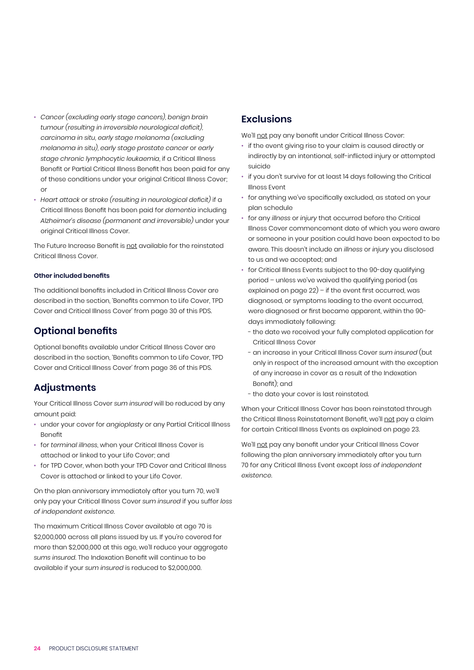- *Cancer (excluding early stage cancers), benign brain tumour (resulting in irreversible neurological deficit), carcinoma in situ, early stage melanoma (excluding melanoma in situ), early stage prostate cancer* or *early stage chronic lymphocytic leukaemia*, if a Critical Illness Benefit or Partial Critical Illness Benefit has been paid for any of these conditions under your original Critical Illness Cover; or
- *Heart attack* or *stroke (resulting in neurological deficit)* if a Critical Illness Benefit has been paid for *dementia* including *Alzheimer's disease (permanent and irreversible)* under your original Critical Illness Cover.

The Future Increase Benefit is not available for the reinstated Critical Illness Cover.

#### **Other included benefits**

The additional benefits included in Critical Illness Cover are described in the section, 'Benefits common to Life Cover, TPD Cover and Critical Illness Cover' from page 30 of this PDS.

### **Optional benefits**

Optional benefits available under Critical Illness Cover are described in the section, 'Benefits common to Life Cover, TPD Cover and Critical Illness Cover' from page 36 of this PDS.

### **Adjustments**

Your Critical Illness Cover *sum insured* will be reduced by any amount paid:

- under your cover for *angioplasty* or any Partial Critical Illness Benefit
- for *terminal illness*, when your Critical Illness Cover is attached or linked to your Life Cover; and
- for TPD Cover, when both your TPD Cover and Critical Illness Cover is attached or linked to your Life Cover.

On the plan anniversary immediately after you turn 70, we'll only pay your Critical Illness Cover *sum insured* if you suffer *loss of independent existence*.

The maximum Critical Illness Cover available at age 70 is \$2,000,000 across all plans issued by us. If you're covered for more than \$2,000,000 at this age, we'll reduce your aggregate *sums insured*. The Indexation Benefit will continue to be available if your *sum insured* is reduced to \$2,000,000.

### **Exclusions**

We'll not pay any benefit under Critical Illness Cover:

- if the event giving rise to your claim is caused directly or indirectly by an intentional, self-inflicted injury or attempted suicide
- if you don't survive for at least 14 days following the Critical Illness Event
- for anything we've specifically excluded, as stated on your plan schedule
- for any *illness* or *injury* that occurred before the Critical Illness Cover commencement date of which you were aware or someone in your position could have been expected to be aware. This doesn't include an *illness* or *injury* you disclosed to us and we accepted; and
- for Critical Illness Events subject to the 90-day qualifying period – unless we've waived the qualifying period (as explained on page 22) – if the event first occurred, was diagnosed, or symptoms leading to the event occurred, were diagnosed or first became apparent, within the 90 days immediately following:
	- the date we received your fully completed application for Critical Illness Cover
	- an increase in your Critical Illness Cover *sum insured* (but only in respect of the increased amount with the exception of any increase in cover as a result of the Indexation Benefit); and
	- the date your cover is last reinstated.

When your Critical Illness Cover has been reinstated through the Critical Illness Reinstatement Benefit, we'll not pay a claim for certain Critical Illness Events as explained on page 23.

We'll not pay any benefit under your Critical Illness Cover following the plan anniversary immediately after you turn 70 for any Critical Illness Event except *loss of independent existence.*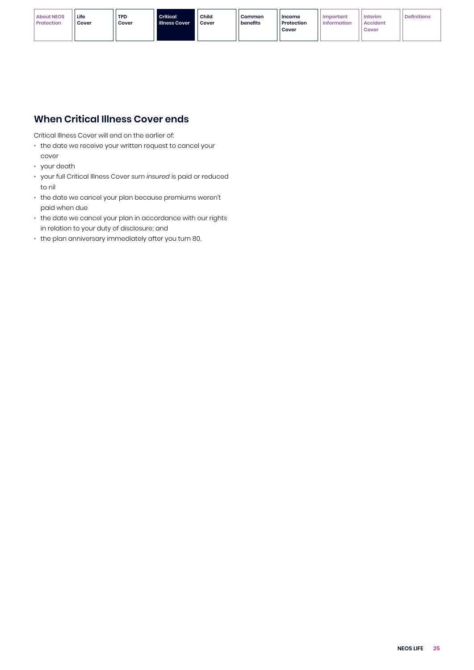| <b>About NEOS</b><br>Protection | Life<br>Cover | <b>TPD</b><br>Cover | Critical<br><b>Illness Cover</b> | Child<br>Cover | Common<br>benefits | Income<br>Protection<br>Cover | Important<br><i>information</i> | Interim<br><b>Accident</b><br>Cover | <b>Definitions</b> |
|---------------------------------|---------------|---------------------|----------------------------------|----------------|--------------------|-------------------------------|---------------------------------|-------------------------------------|--------------------|
|---------------------------------|---------------|---------------------|----------------------------------|----------------|--------------------|-------------------------------|---------------------------------|-------------------------------------|--------------------|

## **When Critical Illness Cover ends**

Critical Illness Cover will end on the earlier of:

- the date we receive your written request to cancel your cover
- your death
- your full Critical Illness Cover *sum insured* is paid or reduced to nil
- the date we cancel your plan because premiums weren't paid when due
- the date we cancel your plan in accordance with our rights in relation to your duty of disclosure; and
- the plan anniversary immediately after you turn 80.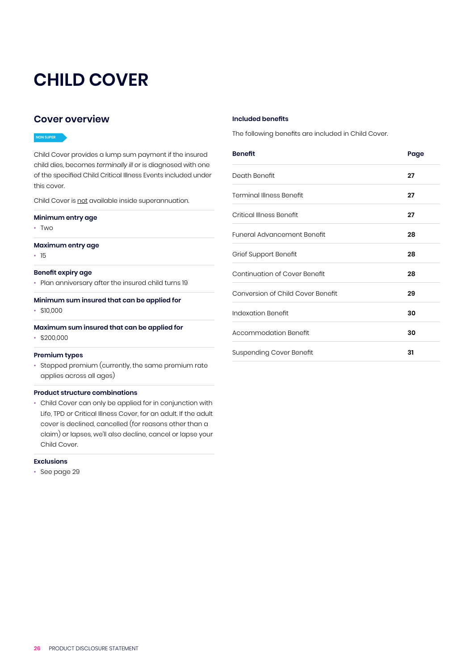# **CHILD COVER**

### **Cover overview**

### **NON SUPER**

Child Cover provides a lump sum payment if the insured child dies, becomes *terminally ill* or is diagnosed with one of the specified Child Critical Illness Events included under this cover.

Child Cover is not available inside superannuation.

#### **Minimum entry age**

• Two

#### **Maximum entry age**

• 15

#### **Benefit expiry age**

• Plan anniversary after the insured child turns 19

#### **Minimum sum insured that can be applied for**

• \$10,000

#### **Maximum sum insured that can be applied for**

• \$200,000

#### **Premium types**

• Stepped premium (currently, the same premium rate applies across all ages)

#### **Product structure combinations**

• Child Cover can only be applied for in conjunction with Life, TPD or Critical Illness Cover, for an adult. If the adult cover is declined, cancelled (for reasons other than a claim) or lapses, we'll also decline, cancel or lapse your Child Cover.

#### **Exclusions**

• See page 29

### **Included benefits**

The following benefits are included in Child Cover.

| <b>Benefit</b>                     | Page |
|------------------------------------|------|
| Death Benefit                      | 27   |
| <b>Terminal Illness Benefit</b>    | 27   |
| Critical Illness Benefit           | 27   |
| <b>Funeral Advancement Benefit</b> | 28   |
| Grief Support Benefit              | 28   |
| Continuation of Cover Benefit      | 28   |
| Conversion of Child Cover Benefit  | 29   |
| Indexation Benefit                 | 30   |
| Accommodation Benefit              | 30   |
| <b>Suspending Cover Benefit</b>    | 31   |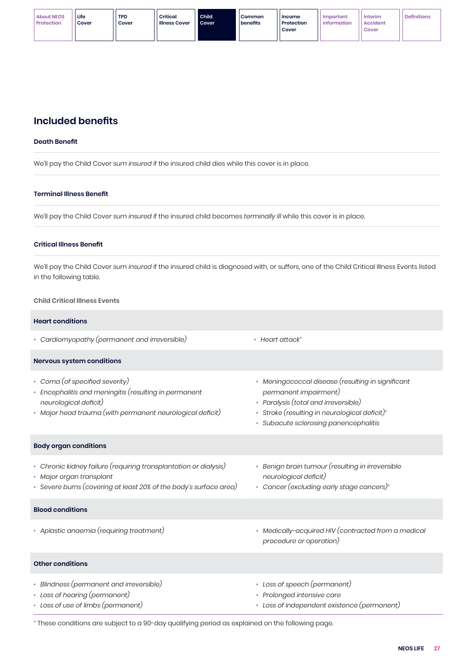| <b>About NEOS</b><br>Protection | Life<br>Cover | <b>TPD</b><br>Cover | Critical<br>Illness Cover | Child<br><b>Cover</b> | Common<br>benefits | Income<br>Protection<br>Cover | Important<br>information | Interim<br>Accident<br>Cover | <b>Definitions</b> |
|---------------------------------|---------------|---------------------|---------------------------|-----------------------|--------------------|-------------------------------|--------------------------|------------------------------|--------------------|
|---------------------------------|---------------|---------------------|---------------------------|-----------------------|--------------------|-------------------------------|--------------------------|------------------------------|--------------------|

### **Included benefits**

### **Death Benefit**

We'll pay the Child Cover *sum insured* if the insured child dies while this cover is in place.

#### **Terminal Illness Benefit**

We'll pay the Child Cover *sum insured* if the insured child becomes *terminally ill* while this cover is in place.

#### **Critical Illness Benefit**

We'll pay the Child Cover *sum insured* if the insured child is diagnosed with, or suffers, one of the Child Critical Illness Events listed in the following table.

#### **Child Critical Illness Events**

#### **Heart conditions**

| • Cardiomyopathy (permanent and irreversible) | $\cdot$ Heart attack $\wedge$ |
|-----------------------------------------------|-------------------------------|
|                                               |                               |

### **Nervous system conditions**

| • Coma (of specified severity)<br>• Encephalitis and meningitis (resulting in permanent<br>neurological deficit)<br>• Major head trauma (with permanent neurological deficit) | • Meningococcal disease (resulting in significant<br>permanent impairment)<br>• Paralysis (total and irreversible)<br>• Stroke (resulting in neurological deficit) $\wedge$<br>· Subacute sclerosing panencephalitis |
|-------------------------------------------------------------------------------------------------------------------------------------------------------------------------------|----------------------------------------------------------------------------------------------------------------------------------------------------------------------------------------------------------------------|
| <b>Body organ conditions</b>                                                                                                                                                  |                                                                                                                                                                                                                      |
| • Chronic kidney failure (requiring transplantation or dialysis)<br>· Major organ transplant<br>• Severe burns (covering at least 20% of the body's surface area)             | • Benign brain tumour (resulting in irreversible<br>neurological deficit)<br>• Cancer (excluding early stage cancers) <sup>^</sup>                                                                                   |
| <b>Blood conditions</b>                                                                                                                                                       |                                                                                                                                                                                                                      |
| • Aplastic anaemia (requiring treatment)                                                                                                                                      | • Medically-acquired HIV (contracted from a medical<br>procedure or operation)                                                                                                                                       |
| <b>Other conditions</b>                                                                                                                                                       |                                                                                                                                                                                                                      |
| • Blindness (permanent and irreversible)<br>• Loss of hearing (permanent)<br>• Loss of use of limbs (permanent)                                                               | • Loss of speech (permanent)<br>• Prolonged intensive care<br>• Loss of independent existence (permanent)                                                                                                            |

^ These conditions are subject to a 90-day qualifying period as explained on the following page.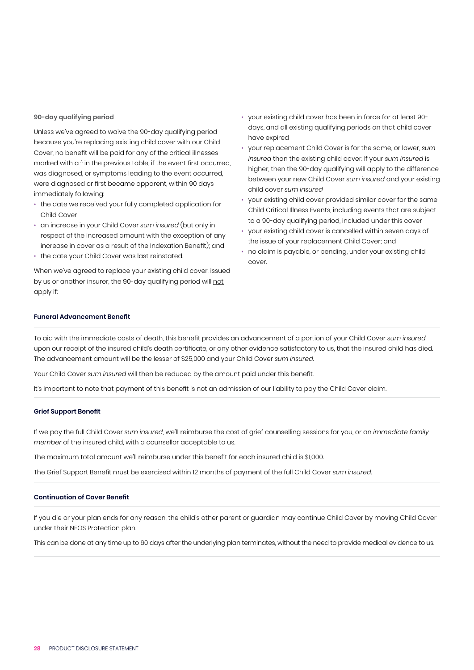#### **90-day qualifying period**

Unless we've agreed to waive the 90-day qualifying period because you're replacing existing child cover with our Child Cover, no benefit will be paid for any of the critical illnesses marked with a  $\hat{ }$  in the previous table, if the event first occurred, was diagnosed, or symptoms leading to the event occurred, were diagnosed or first became apparent, within 90 days immediately following:

- the date we received your fully completed application for Child Cover
- an increase in your Child Cover *sum insured* (but only in respect of the increased amount with the exception of any increase in cover as a result of the Indexation Benefit); and
- the date your Child Cover was last reinstated.

When we've agreed to replace your existing child cover, issued by us or another insurer, the 90-day qualifying period will not apply if:

- your existing child cover has been in force for at least 90 days, and all existing qualifying periods on that child cover have expired
- your replacement Child Cover is for the same, or lower, *sum insured* than the existing child cover. If your *sum insured* is higher, then the 90-day qualifying will apply to the difference between your new Child Cover *sum insured* and your existing child cover *sum insured*
- your existing child cover provided similar cover for the same Child Critical Illness Events, including events that are subject to a 90-day qualifying period, included under this cover
- your existing child cover is cancelled within seven days of the issue of your replacement Child Cover; and
- no claim is payable, or pending, under your existing child cover.

#### **Funeral Advancement Benefit**

To aid with the immediate costs of death, this benefit provides an advancement of a portion of your Child Cover *sum insured* upon our receipt of the insured child's death certificate, or any other evidence satisfactory to us, that the insured child has died. The advancement amount will be the lesser of \$25,000 and your Child Cover *sum insured*.

Your Child Cover *sum insured* will then be reduced by the amount paid under this benefit.

It's important to note that payment of this benefit is not an admission of our liability to pay the Child Cover claim.

#### **Grief Support Benefit**

If we pay the full Child Cover *sum insured*, we'll reimburse the cost of grief counselling sessions for you, or an *immediate family member* of the insured child, with a counsellor acceptable to us.

The maximum total amount we'll reimburse under this benefit for each insured child is \$1,000.

The Grief Support Benefit must be exercised within 12 months of payment of the full Child Cover *sum insured*.

#### **Continuation of Cover Benefit**

If you die or your plan ends for any reason, the child's other parent or guardian may continue Child Cover by moving Child Cover under their NEOS Protection plan.

This can be done at any time up to 60 days after the underlying plan terminates, without the need to provide medical evidence to us.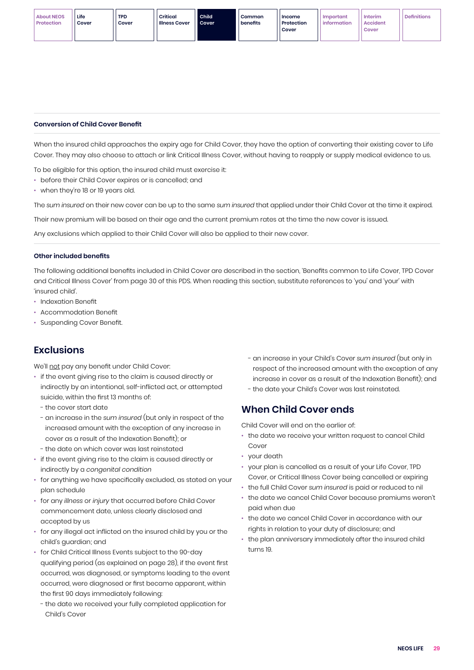| <b>About NEOS</b><br>Protection | Life<br>Cover | <b>TPD</b><br>Cover | Critical<br><b>Illness Cover</b> | Child<br>Cover | Common<br>benefits | Income<br>Protection<br>Cover | Important<br>information | Interim<br><b>Accident</b><br>Cover | <b>Definitions</b> |
|---------------------------------|---------------|---------------------|----------------------------------|----------------|--------------------|-------------------------------|--------------------------|-------------------------------------|--------------------|
|                                 |               |                     |                                  |                |                    |                               |                          |                                     |                    |

#### **Conversion of Child Cover Benefit**

When the insured child approaches the expiry age for Child Cover, they have the option of converting their existing cover to Life Cover. They may also choose to attach or link Critical Illness Cover, without having to reapply or supply medical evidence to us.

To be eligible for this option, the insured child must exercise it:

- before their Child Cover expires or is cancelled; and
- when they're 18 or 19 years old.

The *sum insured* on their new cover can be up to the same *sum insured* that applied under their Child Cover at the time it expired.

Their new premium will be based on their age and the current premium rates at the time the new cover is issued.

Any exclusions which applied to their Child Cover will also be applied to their new cover.

#### **Other included benefits**

The following additional benefits included in Child Cover are described in the section, 'Benefits common to Life Cover, TPD Cover and Critical Illness Cover' from page 30 of this PDS. When reading this section, substitute references to 'you' and 'your' with 'insured child'.

- Indexation Benefit
- Accommodation Benefit
- Suspending Cover Benefit.

### **Exclusions**

We'll not pay any benefit under Child Cover:

- if the event giving rise to the claim is caused directly or indirectly by an intentional, self-inflicted act, or attempted suicide, within the first 13 months of:
	- the cover start date
	- an increase in the *sum insured* (but only in respect of the increased amount with the exception of any increase in cover as a result of the Indexation Benefit); or - the date on which cover was last reinstated
	-
- if the event giving rise to the claim is caused directly or indirectly by a *congenital condition*
- for anything we have specifically excluded, as stated on your plan schedule
- for any *illness* or *injury* that occurred before Child Cover commencement date, unless clearly disclosed and accepted by us
- for any illegal act inflicted on the insured child by you or the child's guardian; and
- for Child Critical Illness Events subject to the 90-day qualifying period (as explained on page 28), if the event first occurred, was diagnosed, or symptoms leading to the event occurred, were diagnosed or first became apparent, within the first 90 days immediately following:
	- the date we received your fully completed application for Child's Cover
- an increase in your Child's Cover *sum insured* (but only in respect of the increased amount with the exception of any increase in cover as a result of the Indexation Benefit); and
- the date your Child's Cover was last reinstated.

### **When Child Cover ends**

Child Cover will end on the earlier of:

- the date we receive your written request to cancel Child Cover
- your death
- your plan is cancelled as a result of your Life Cover, TPD Cover, or Critical Illness Cover being cancelled or expiring
- the full Child Cover *sum insured* is paid or reduced to nil
- the date we cancel Child Cover because premiums weren't paid when due
- the date we cancel Child Cover in accordance with our rights in relation to your duty of disclosure; and
- the plan anniversary immediately after the insured child turns 19.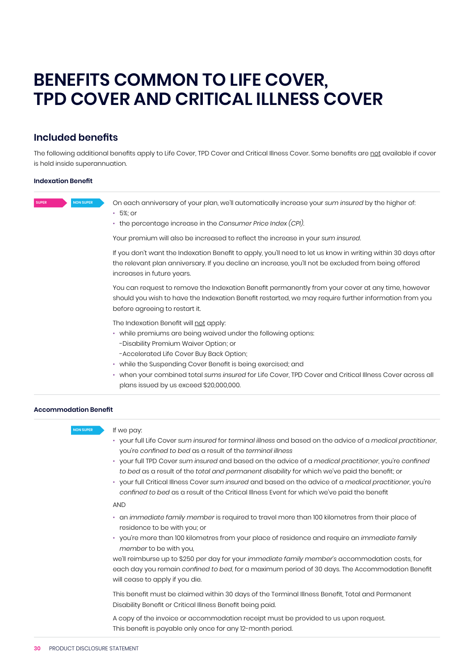# **BENEFITS COMMON TO LIFE COVER, TPD COVER AND CRITICAL ILLNESS COVER**

### **Included benefits**

The following additional benefits apply to Life Cover, TPD Cover and Critical Illness Cover. Some benefits are not available if cover is held inside superannuation.

#### **Indexation Benefit**

| <b>NON SUPER</b><br><b>SUPER</b> | On each anniversary of your plan, we'll automatically increase your sum insured by the higher of:<br>$\cdot$ 5%; or<br>• the percentage increase in the Consumer Price Index (CPI).                                                                                                                                                                                                                                                                                                                                                                                                                       |  |  |  |  |  |  |  |  |
|----------------------------------|-----------------------------------------------------------------------------------------------------------------------------------------------------------------------------------------------------------------------------------------------------------------------------------------------------------------------------------------------------------------------------------------------------------------------------------------------------------------------------------------------------------------------------------------------------------------------------------------------------------|--|--|--|--|--|--|--|--|
|                                  | Your premium will also be increased to reflect the increase in your sum insured.                                                                                                                                                                                                                                                                                                                                                                                                                                                                                                                          |  |  |  |  |  |  |  |  |
|                                  | If you don't want the Indexation Benefit to apply, you'll need to let us know in writing within 30 days after<br>the relevant plan anniversary. If you decline an increase, you'll not be excluded from being offered<br>increases in future years.                                                                                                                                                                                                                                                                                                                                                       |  |  |  |  |  |  |  |  |
|                                  | You can request to remove the Indexation Benefit permanently from your cover at any time, however<br>should you wish to have the Indexation Benefit restarted, we may require further information from you<br>before agreeing to restart it.                                                                                                                                                                                                                                                                                                                                                              |  |  |  |  |  |  |  |  |
|                                  | The Indexation Benefit will not apply:<br>• while premiums are being waived under the following options:<br>-Disability Premium Waiver Option; or<br>-Accelerated Life Cover Buy Back Option;<br>• while the Suspending Cover Benefit is being exercised; and<br>• when your combined total sums insured for Life Cover, TPD Cover and Critical Illness Cover across all<br>plans issued by us exceed \$20,000,000.                                                                                                                                                                                       |  |  |  |  |  |  |  |  |
| <b>Accommodation Benefit</b>     |                                                                                                                                                                                                                                                                                                                                                                                                                                                                                                                                                                                                           |  |  |  |  |  |  |  |  |
| <b>NON SUPER</b>                 | If we pay:<br>• your full Life Cover sum insured for terminal illness and based on the advice of a medical practitioner,<br>you're confined to bed as a result of the terminal illness<br>• your full TPD Cover sum insured and based on the advice of a medical practitioner, you're confined<br>to bed as a result of the total and permanent disability for which we've paid the benefit; or<br>• your full Critical Illness Cover sum insured and based on the advice of a medical practitioner, you're<br>confined to bed as a result of the Critical Illness Event for which we've paid the benefit |  |  |  |  |  |  |  |  |

AND

- an *immediate family member* is required to travel more than 100 kilometres from their place of residence to be with you; or
- you're more than 100 kilometres from your place of residence and require an *immediate family member* to be with you,

we'll reimburse up to \$250 per day for your *immediate family member's* accommodation costs, for each day you remain *confined to bed*, for a maximum period of 30 days. The Accommodation Benefit will cease to apply if you die.

This benefit must be claimed within 30 days of the Terminal Illness Benefit, Total and Permanent Disability Benefit or Critical Illness Benefit being paid.

A copy of the invoice or accommodation receipt must be provided to us upon request. This benefit is payable only once for any 12-month period.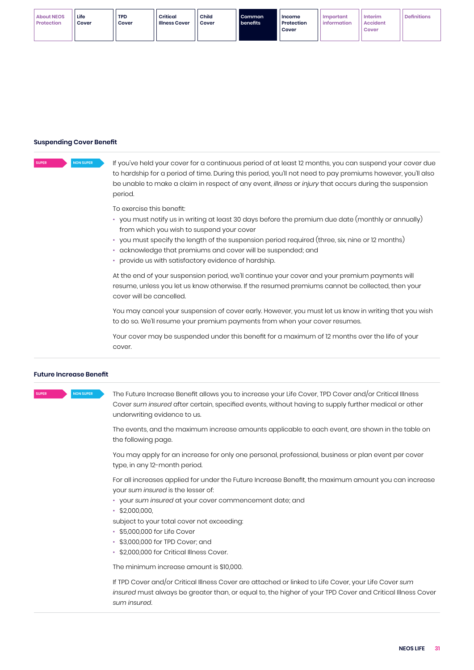| <b>About NEOS</b><br>Protection | Life<br>Cover | <b>TPD</b><br>Cover | Critical<br>Illness Cover | Child<br>Cover | Common<br>benefits | Income<br>Protection<br>Cover | Important<br>information | Interim<br><b>Accident</b><br>Cover | <b>Definitions</b> |
|---------------------------------|---------------|---------------------|---------------------------|----------------|--------------------|-------------------------------|--------------------------|-------------------------------------|--------------------|
|---------------------------------|---------------|---------------------|---------------------------|----------------|--------------------|-------------------------------|--------------------------|-------------------------------------|--------------------|

#### **Suspending Cover Benefit**

**SUPER NON SUPER** If you've held your cover for a continuous period of at least 12 months, you can suspend your cover due to hardship for a period of time. During this period, you'll not need to pay premiums however, you'll also be unable to make a claim in respect of any event, *illness* or *injury* that occurs during the suspension period.

To exercise this benefit:

*sum insured*.

- you must notify us in writing at least 30 days before the premium due date (monthly or annually) from which you wish to suspend your cover
- you must specify the length of the suspension period required (three, six, nine or 12 months)
- acknowledge that premiums and cover will be suspended; and
- provide us with satisfactory evidence of hardship.

At the end of your suspension period, we'll continue your cover and your premium payments will resume, unless you let us know otherwise. If the resumed premiums cannot be collected, then your cover will be cancelled.

You may cancel your suspension of cover early. However, you must let us know in writing that you wish to do so. We'll resume your premium payments from when your cover resumes.

Your cover may be suspended under this benefit for a maximum of 12 months over the life of your cover.

| <b>SUPER</b> | <b>NON SUPER</b> | The Future Increase Benefit allows you to increase your Life Cover, TPD Cover and/or Critical Illness<br>Cover sum insured after certain, specified events, without having to supply further medical or other<br>underwriting evidence to us.                                                                                                                                                |
|--------------|------------------|----------------------------------------------------------------------------------------------------------------------------------------------------------------------------------------------------------------------------------------------------------------------------------------------------------------------------------------------------------------------------------------------|
|              |                  | The events, and the maximum increase amounts applicable to each event, are shown in the table on<br>the following page.                                                                                                                                                                                                                                                                      |
|              |                  | You may apply for an increase for only one personal, professional, business or plan event per cover<br>type, in any 12-month period.                                                                                                                                                                                                                                                         |
|              |                  | For all increases applied for under the Future Increase Benefit, the maximum amount you can increase<br>your sum insured is the lesser of:<br>• your sum insured at your cover commencement date; and<br>$\cdot$ \$2,000,000,<br>subject to your total cover not exceeding:<br>• \$5,000,000 for Life Cover<br>• \$3,000,000 for TPD Cover; and<br>• \$2,000,000 for Critical Illness Cover. |
|              |                  | The minimum increase amount is \$10,000.<br>If TPD Cover and/or Critical Illness Cover are attached or linked to Life Cover, your Life Cover sum<br>insured must always be greater than, or equal to, the higher of your TPD Cover and Critical Illness Cover                                                                                                                                |

#### **Future Increase Benefit**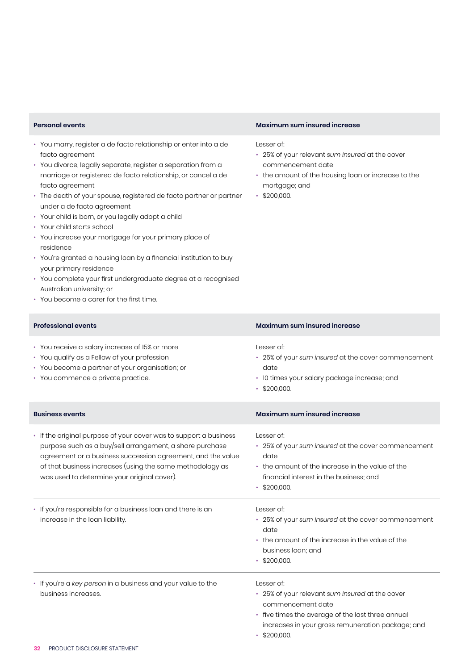- You marry, register a de facto relationship or enter into a de facto agreement
- You divorce, legally separate, register a separation from a marriage or registered de facto relationship, or cancel a de facto agreement
- The death of your spouse, registered de facto partner or partner under a de facto agreement
- Your child is born, or you legally adopt a child
- Your child starts school
- You increase your mortgage for your primary place of residence
- You're granted a housing loan by a financial institution to buy your primary residence
- You complete your first undergraduate degree at a recognised Australian university; or
- You become a carer for the first time.

#### **Maximum sum insured increase**

Lesser of:

- 25% of your relevant *sum insured* at the cover commencement date
- the amount of the housing loan or increase to the mortgage; and
- \$200,000.

| <b>Professional events</b>                                                                                                                                                                                                                                                                               | <b>Maximum sum insured increase</b>                                                                                                                                                                                |
|----------------------------------------------------------------------------------------------------------------------------------------------------------------------------------------------------------------------------------------------------------------------------------------------------------|--------------------------------------------------------------------------------------------------------------------------------------------------------------------------------------------------------------------|
| • You receive a salary increase of 15% or more<br>• You qualify as a Fellow of your profession<br>• You become a partner of your organisation; or<br>• You commence a private practice.                                                                                                                  | Lesser of:<br>• 25% of your sum insured at the cover commencement<br>date<br>· 10 times your salary package increase; and<br>\$200,000.                                                                            |
| <b>Business events</b>                                                                                                                                                                                                                                                                                   | <b>Maximum sum insured increase</b>                                                                                                                                                                                |
| • If the original purpose of your cover was to support a business<br>purpose such as a buy/sell arrangement, a share purchase<br>agreement or a business succession agreement, and the value<br>of that business increases (using the same methodology as<br>was used to determine your original cover). | Lesser of:<br>• 25% of your sum insured at the cover commencement<br>date<br>• the amount of the increase in the value of the<br>financial interest in the business; and<br>\$200,000.                             |
| • If you're responsible for a business loan and there is an<br>increase in the loan liability.                                                                                                                                                                                                           | Lesser of:<br>• 25% of your sum insured at the cover commencement<br>date<br>• the amount of the increase in the value of the<br>business loan; and<br>$\cdot$ \$200,000.                                          |
| • If you're a key person in a business and your value to the<br>business increases.                                                                                                                                                                                                                      | Lesser of:<br>* 25% of your relevant sum insured at the cover<br>commencement date<br>• five times the average of the last three annual<br>increases in your gross remuneration package; and<br>$\cdot$ \$200,000. |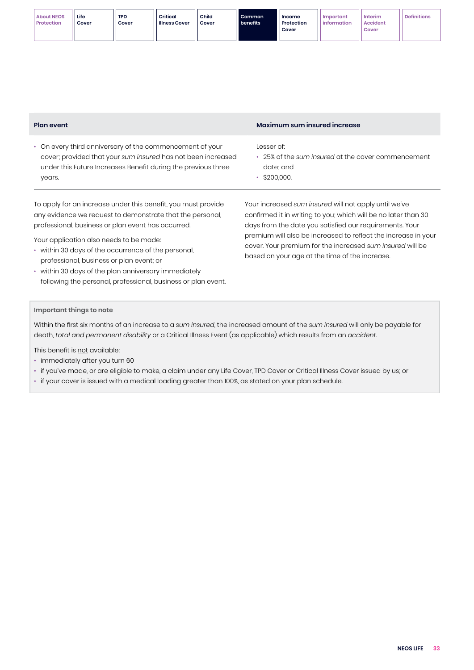| <b>About NEOS</b><br>Protection | Life<br>Cover | <b>TPD</b><br>Cover | Critical<br><b>Illness Cover</b> | Child<br>Cover | Common<br>benefits | Income<br>Protection<br>Cover | Important<br>information | Interim<br><b>Accident</b><br>Cover | <b>Definitions</b> |
|---------------------------------|---------------|---------------------|----------------------------------|----------------|--------------------|-------------------------------|--------------------------|-------------------------------------|--------------------|
|---------------------------------|---------------|---------------------|----------------------------------|----------------|--------------------|-------------------------------|--------------------------|-------------------------------------|--------------------|

| <b>Plan event</b>                                                                                                                                                                                                                                                                                                                                                                                                                                       | Maximum sum insured increase                                                                                                                                                                                                                                                                                                                                        |
|---------------------------------------------------------------------------------------------------------------------------------------------------------------------------------------------------------------------------------------------------------------------------------------------------------------------------------------------------------------------------------------------------------------------------------------------------------|---------------------------------------------------------------------------------------------------------------------------------------------------------------------------------------------------------------------------------------------------------------------------------------------------------------------------------------------------------------------|
| • On every third anniversary of the commencement of your<br>cover; provided that your sum insured has not been increased<br>under this Future Increases Benefit during the previous three<br>years.                                                                                                                                                                                                                                                     | Lesser of:<br>• 25% of the sum insured at the cover commencement<br>date; and<br>\$200.000.<br>٠                                                                                                                                                                                                                                                                    |
| To apply for an increase under this benefit, you must provide<br>any evidence we request to demonstrate that the personal,<br>professional, business or plan event has occurred.<br>Your application also needs to be made:<br>• within 30 days of the occurrence of the personal,<br>professional, business or plan event; or<br>• within 30 days of the plan anniversary immediately<br>following the personal, professional, business or plan event. | Your increased sum insured will not apply until we've<br>confirmed it in writing to you; which will be no later than 30<br>days from the date you satisfied our requirements. Your<br>premium will also be increased to reflect the increase in your<br>cover. Your premium for the increased sum insured will be<br>based on your age at the time of the increase. |

#### **Important things to note**

Within the first six months of an increase to a *sum insured*, the increased amount of the *sum insured* will only be payable for death, *total and permanent disability* or a Critical Illness Event (as applicable) which results from an *accident*.

This benefit is not available:

- immediately after you turn 60
- if you've made, or are eligible to make, a claim under any Life Cover, TPD Cover or Critical Illness Cover issued by us; or
- if your cover is issued with a medical loading greater than 100%, as stated on your plan schedule.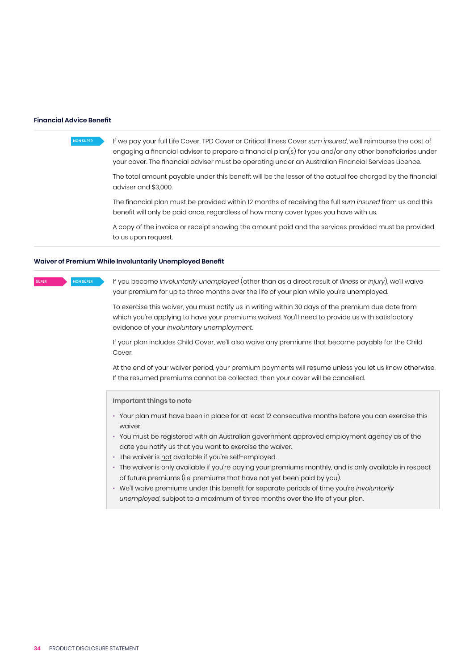#### **Financial Advice Benefit**

**NON SUPER** If we pay your full Life Cover, TPD Cover or Critical Illness Cover *sum insured*, we'll reimburse the cost of engaging a financial adviser to prepare a financial plan(s) for you and/or any other beneficiaries under your cover. The financial adviser must be operating under an Australian Financial Services Licence.

> The total amount payable under this benefit will be the lesser of the actual fee charged by the financial adviser and \$3,000.

The financial plan must be provided within 12 months of receiving the full *sum insured* from us and this benefit will only be paid once, regardless of how many cover types you have with us.

A copy of the invoice or receipt showing the amount paid and the services provided must be provided to us upon request.

#### **Waiver of Premium While Involuntarily Unemployed Benefit**

**SUPER NON SUPER** If you become *involuntarily unemployed* (other than as a direct result of *illness* or *injury*), we'll waive your premium for up to three months over the life of your plan while you're unemployed.

To exercise this waiver, you must notify us in writing within 30 days of the premium due date from which you're applying to have your premiums waived. You'll need to provide us with satisfactory evidence of your *involuntary unemployment*.

If your plan includes Child Cover, we'll also waive any premiums that become payable for the Child Cover.

At the end of your waiver period, your premium payments will resume unless you let us know otherwise. If the resumed premiums cannot be collected, then your cover will be cancelled.

#### **Important things to note**

- Your plan must have been in place for at least 12 consecutive months before you can exercise this waiver.
- You must be registered with an Australian government approved employment agency as of the date you notify us that you want to exercise the waiver.
- The waiver is not available if you're self-employed.
- The waiver is only available if you're paying your premiums monthly, and is only available in respect of future premiums (i.e. premiums that have not yet been paid by you).
- We'll waive premiums under this benefit for separate periods of time you're *involuntarily unemployed*, subject to a maximum of three months over the life of your plan.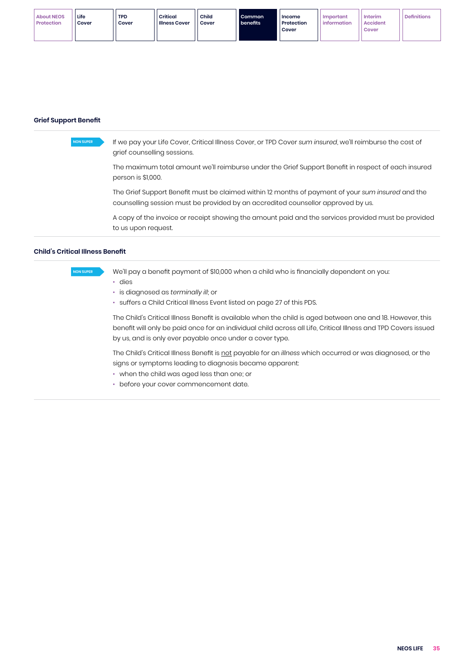| <b>About NEOS</b><br>Protection | Life<br>Cover | <b>TPD</b><br>Cover | Critical<br><b>Illness Cover</b> | Child<br>Cover | Common<br><b>benefits</b> | Income<br>Protection<br>Cover | Important<br>information | Interim<br><b>Accident</b><br>Cover | <b>Definitions</b> |
|---------------------------------|---------------|---------------------|----------------------------------|----------------|---------------------------|-------------------------------|--------------------------|-------------------------------------|--------------------|
|---------------------------------|---------------|---------------------|----------------------------------|----------------|---------------------------|-------------------------------|--------------------------|-------------------------------------|--------------------|

#### **Grief Support Benefit**

**NON SUPER** If we pay your Life Cover, Critical Illness Cover, or TPD Cover *sum insured*, we'll reimburse the cost of grief counselling sessions.

The maximum total amount we'll reimburse under the Grief Support Benefit in respect of each insured person is \$1,000.

The Grief Support Benefit must be claimed within 12 months of payment of your *sum insured* and the counselling session must be provided by an accredited counsellor approved by us.

A copy of the invoice or receipt showing the amount paid and the services provided must be provided to us upon request.

#### **Child's Critical Illness Benefit**

**NON SUPER** We'll pay a benefit payment of \$10,000 when a child who is financially dependent on you:

- dies
- is diagnosed as *terminally ill*; or
- suffers a Child Critical Illness Event listed on page 27 of this PDS.

The Child's Critical Illness Benefit is available when the child is aged between one and 18. However, this benefit will only be paid once for an individual child across all Life, Critical Illness and TPD Covers issued by us, and is only ever payable once under a cover type.

The Child's Critical Illness Benefit is not payable for an *illness* which occurred or was diagnosed, or the signs or symptoms leading to diagnosis became apparent:

- when the child was aged less than one; or
- before your cover commencement date.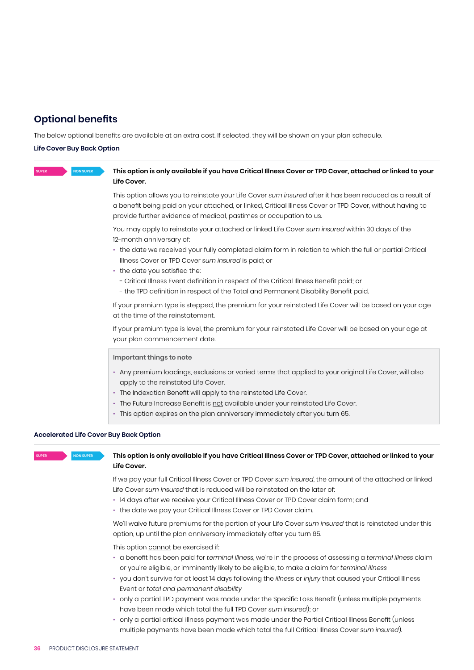### **Optional benefits**

The below optional benefits are available at an extra cost. If selected, they will be shown on your plan schedule.

#### **Life Cover Buy Back Option**

| <b>NON SUPER</b> | This option is only available if you have Critical Illness Cover or TPD Cover, attached or linked to your<br>Life Cover.                                                                                                                                                                                                                                                                                                                                                                                                                                                                                                                                       |
|------------------|----------------------------------------------------------------------------------------------------------------------------------------------------------------------------------------------------------------------------------------------------------------------------------------------------------------------------------------------------------------------------------------------------------------------------------------------------------------------------------------------------------------------------------------------------------------------------------------------------------------------------------------------------------------|
|                  | This option allows you to reinstate your Life Cover sum insured after it has been reduced as a result of<br>a benefit being paid on your attached, or linked, Critical Illness Cover or TPD Cover, without having to<br>provide further evidence of medical, pastimes or occupation to us.                                                                                                                                                                                                                                                                                                                                                                     |
|                  | You may apply to reinstate your attached or linked Life Cover sum insured within 30 days of the<br>12-month anniversary of:<br>• the date we received your fully completed claim form in relation to which the full or partial Critical<br>Illness Cover or TPD Cover sum insured is paid; or<br>• the date you satisfied the:<br>- Critical Illness Event definition in respect of the Critical Illness Benefit paid; or<br>- the TPD definition in respect of the Total and Permanent Disability Benefit paid.<br>If your premium type is stepped, the premium for your reinstated Life Cover will be based on your age<br>at the time of the reinstatement. |
|                  | If your premium type is level, the premium for your reinstated Life Cover will be based on your age at<br>your plan commencement date.                                                                                                                                                                                                                                                                                                                                                                                                                                                                                                                         |
|                  | Important things to note<br>• Any premium loadings, exclusions or varied terms that applied to your original Life Cover, will also<br>apply to the reinstated Life Cover.<br>• The Indexation Benefit will apply to the reinstated Life Cover.<br>• The Future Increase Benefit is not available under your reinstated Life Cover.<br>• This option expires on the plan anniversary immediately after you turn 65.                                                                                                                                                                                                                                             |

#### **Accelerated Life Cover Buy Back Option**

### **SUPER NON SUPER This option is only available if you have Critical Illness Cover or TPD Cover, attached or linked to your Life Cover.**

If we pay your full Critical Illness Cover or TPD Cover *sum insured*, the amount of the attached or linked Life Cover *sum insured* that is reduced will be reinstated on the later of:

- 14 days after we receive your Critical Illness Cover or TPD Cover claim form; and
- the date we pay your Critical Illness Cover or TPD Cover claim.

We'll waive future premiums for the portion of your Life Cover *sum insured* that is reinstated under this option, up until the plan anniversary immediately after you turn 65.

This option cannot be exercised if:

- a benefit has been paid for *terminal illness*, we're in the process of assessing a *terminal illness* claim or you're eligible, or imminently likely to be eligible, to make a claim for *terminal illness*
- you don't survive for at least 14 days following the *illness* or *injury* that caused your Critical Illness Event or *total and permanent disability*
- only a partial TPD payment was made under the Specific Loss Benefit (unless multiple payments have been made which total the full TPD Cover *sum insured*); or
- only a partial critical illness payment was made under the Partial Critical Illness Benefit (unless multiple payments have been made which total the full Critical Illness Cover *sum insured*).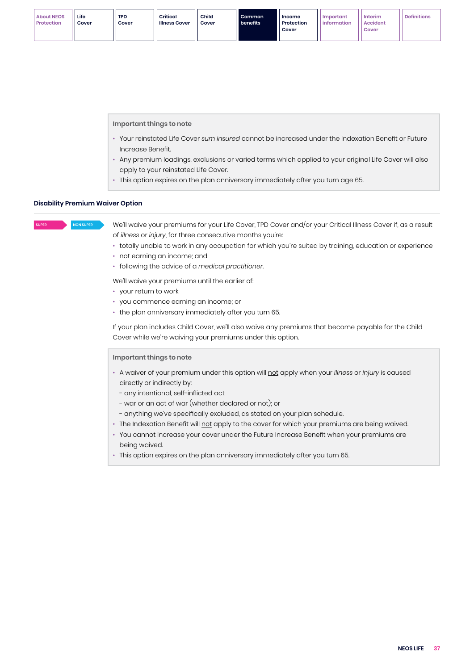| <b>About NEOS</b><br>Protection | Life<br>Cover | <b>TPD</b><br>Cover | Critical<br><b>Illness Cover</b> | Child<br>Cover | Common<br>benefits | Income<br>Protection<br>Cover | Important<br>information | Interim<br><b>Accident</b><br>Cover | <b>Definitions</b> |
|---------------------------------|---------------|---------------------|----------------------------------|----------------|--------------------|-------------------------------|--------------------------|-------------------------------------|--------------------|
|---------------------------------|---------------|---------------------|----------------------------------|----------------|--------------------|-------------------------------|--------------------------|-------------------------------------|--------------------|

**Important things to note**

- Your reinstated Life Cover *sum insured* cannot be increased under the Indexation Benefit or Future Increase Benefit.
- Any premium loadings, exclusions or varied terms which applied to your original Life Cover will also apply to your reinstated Life Cover.
- This option expires on the plan anniversary immediately after you turn age 65.

### **Disability Premium Waiver Option**

**ION SUPER** We'll waive your premiums for your Life Cover, TPD Cover and/or your Critical Illness Cover if, as a result of *illness* or *injury*, for three consecutive months you're:

- totally unable to work in any occupation for which you're suited by training, education or experience
- not earning an income; and
- following the advice of a *medical practitioner.*

We'll waive your premiums until the earlier of:

- your return to work
- you commence earning an income; or
- the plan anniversary immediately after you turn 65.

If your plan includes Child Cover, we'll also waive any premiums that become payable for the Child Cover while we're waiving your premiums under this option.

- A waiver of your premium under this option will not apply when your *illness* or *injury* is caused directly or indirectly by:
	- any intentional, self-inflicted act
	- war or an act of war (whether declared or not); or
	- anything we've specifically excluded, as stated on your plan schedule.
- The Indexation Benefit will not apply to the cover for which your premiums are being waived.
- You cannot increase your cover under the Future Increase Benefit when your premiums are being waived.
- This option expires on the plan anniversary immediately after you turn 65.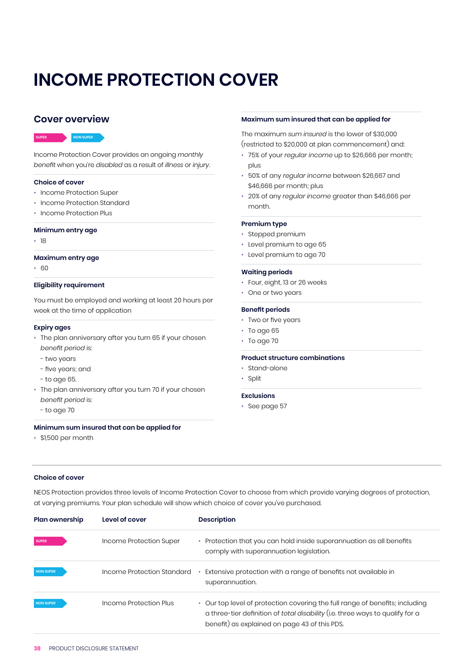# **INCOME PROTECTION COVER**

## **Cover overview**

## **SUPER NON SUPER**

Income Protection Cover provides an ongoing *monthly benefit* when you're *disabled* as a result of *illness* or *injury*.

#### **Choice of cover**

- Income Protection Super
- Income Protection Standard
- Income Protection Plus

## **Minimum entry age**

• 18

## **Maximum entry age**

• 60

## **Eligibility requirement**

You must be employed and working at least 20 hours per week at the time of application

## **Expiry ages**

- The plan anniversary after you turn 65 if your chosen
	- *benefit period* is:
	- two years
	- five years; and
	- $-$  to age 65.
- The plan anniversary after you turn 70 if your chosen *benefit period* is:
	- to age 70

## **Minimum sum insured that can be applied for**

• \$1,500 per month

#### **Maximum sum insured that can be applied for**

The maximum *sum insured* is the lower of \$30,000 (restricted to \$20,000 at plan commencement) and:

- 75% of your *regular income* up to \$26,666 per month; plus
- 50% of any *regular income* between \$26,667 and \$46,666 per month; plus
- 20% of any *regular income* greater than \$46,666 per month.

## **Premium type**

- Stepped premium
- Level premium to age 65
- Level premium to age 70

#### **Waiting periods**

- Four, eight, 13 or 26 weeks
- One or two years

#### **Benefit periods**

- Two or five years
- To age 65
- To age 70

### **Product structure combinations**

- Stand-alone
- Split

## **Exclusions**

• See page 57

**Choice of cover** 

NEOS Protection provides three levels of Income Protection Cover to choose from which provide varying degrees of protection, at varying premiums. Your plan schedule will show which choice of cover you've purchased.

| Plan ownership   | Level of cover             | <b>Description</b>                                                                                                                                                                                           |
|------------------|----------------------------|--------------------------------------------------------------------------------------------------------------------------------------------------------------------------------------------------------------|
| <b>SUPER</b>     | Income Protection Super    | • Protection that you can hold inside superannuation as all benefits<br>comply with superannuation legislation.                                                                                              |
| <b>NON SUPER</b> | Income Protection Standard | Extensive protection with a range of benefits not available in<br>superannuation.                                                                                                                            |
| <b>NON SUPER</b> | Income Protection Plus     | Our top level of protection covering the full range of benefits; including<br>a three-tier definition of total disability (i.e. three ways to qualify for a<br>benefit) as explained on page 43 of this PDS. |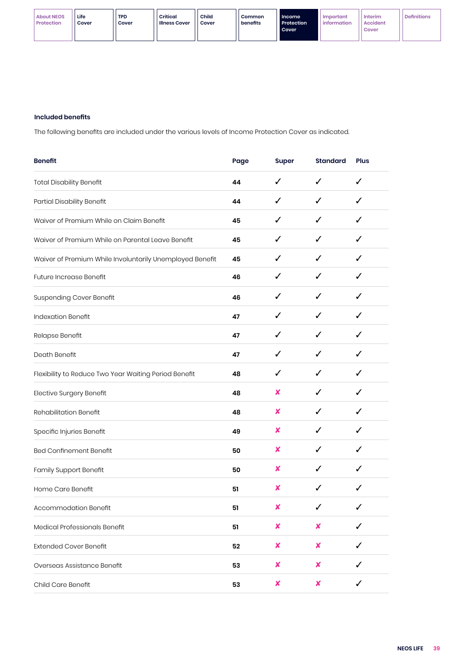| <b>About NEOS</b><br>Protection | Life<br>Cover | <b>TPD</b><br>Cover | Critical<br>Illness Cover | Child<br>Cover | Common<br>benefits | <b>Income</b><br><b>Protection</b><br><b>Cover</b> | Important<br>information | Interim<br>Accident<br>Cover | <b>Definitions</b> |
|---------------------------------|---------------|---------------------|---------------------------|----------------|--------------------|----------------------------------------------------|--------------------------|------------------------------|--------------------|
|                                 |               |                     |                           |                |                    |                                                    |                          |                              |                    |

## **Included benefits**

The following benefits are included under the various levels of Income Protection Cover as indicated.

| <b>Benefit</b>                                           | Page | <b>Super</b>     | <b>Standard</b> | <b>Plus</b> |
|----------------------------------------------------------|------|------------------|-----------------|-------------|
| <b>Total Disability Benefit</b>                          | 44   | $\checkmark$     | $\checkmark$    | ✓           |
| <b>Partial Disability Benefit</b>                        | 44   | ✓                | $\checkmark$    | ✓           |
| Waiver of Premium While on Claim Benefit                 | 45   | ✓                | $\checkmark$    | ✓           |
| Waiver of Premium While on Parental Leave Benefit        | 45   | ✓                | ✓               | ✓           |
| Waiver of Premium While Involuntarily Unemployed Benefit | 45   | ✓                | $\checkmark$    | ✓           |
| Future Increase Benefit                                  | 46   | ✓                | ✓               | ✓           |
| <b>Suspending Cover Benefit</b>                          | 46   | ✓                | $\checkmark$    | ✓           |
| <b>Indexation Benefit</b>                                | 47   | ✓                | $\checkmark$    | ✓           |
| Relapse Benefit                                          | 47   | ✓                | $\checkmark$    | ✓           |
| Death Benefit                                            | 47   | ✓                | $\checkmark$    | ✓           |
| Flexibility to Reduce Two Year Waiting Period Benefit    | 48   | ✓                | ✓               | ✓           |
| Elective Surgery Benefit                                 | 48   | X                | ✓               | ✓           |
| Rehabilitation Benefit                                   | 48   | X                | ✓               | ✓           |
| Specific Injuries Benefit                                | 49   | X                | ✓               | ✓           |
| <b>Bed Confinement Benefit</b>                           | 50   | X                | $\checkmark$    | ✓           |
| Family Support Benefit                                   | 50   | X                | $\checkmark$    | ✓           |
| Home Care Benefit                                        | 51   | X                | $\checkmark$    | ✓           |
| Accommodation Benefit                                    | 51   | $\boldsymbol{x}$ | ✓               | ✓           |
| Medical Professionals Benefit                            | 51   | X                | x               | J           |
| <b>Extended Cover Benefit</b>                            | 52   | X                | x               | ✓           |
| Overseas Assistance Benefit                              | 53   | X                | x               | ✓           |
| Child Care Benefit                                       | 53   | ×                | x               | ✓           |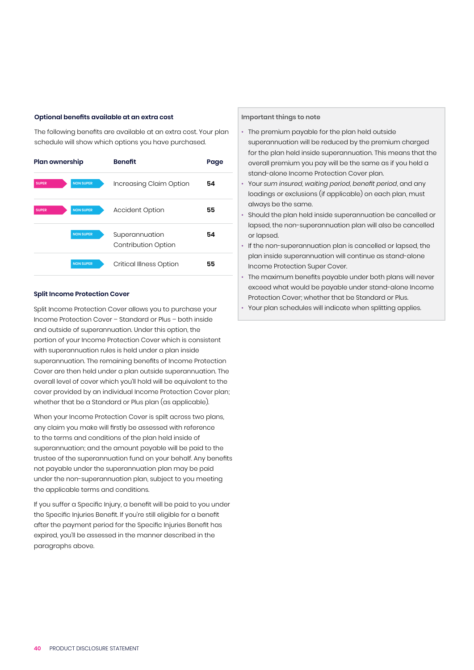### **Optional benefits available at an extra cost**

The following benefits are available at an extra cost. Your plan schedule will show which options you have purchased.

| <b>Plan ownership</b> |                  | <b>Benefit</b>                               | Page |
|-----------------------|------------------|----------------------------------------------|------|
| <b>SUPER</b>          | <b>NON SUPER</b> | Increasing Claim Option                      | 54   |
| <b>SUPER</b>          | <b>NON SUPER</b> | <b>Accident Option</b>                       | 55   |
|                       | <b>NON SUPER</b> | Superannuation<br><b>Contribution Option</b> | 54   |
|                       | <b>NON SUPER</b> | <b>Critical Illness Option</b>               | 55   |

#### **Split Income Protection Cover**

Split Income Protection Cover allows you to purchase your Income Protection Cover – Standard or Plus – both inside and outside of superannuation. Under this option, the portion of your Income Protection Cover which is consistent with superannuation rules is held under a plan inside superannuation. The remaining benefits of Income Protection Cover are then held under a plan outside superannuation. The overall level of cover which you'll hold will be equivalent to the cover provided by an individual Income Protection Cover plan; whether that be a Standard or Plus plan (as applicable).

When your Income Protection Cover is spilt across two plans, any claim you make will firstly be assessed with reference to the terms and conditions of the plan held inside of superannuation; and the amount payable will be paid to the trustee of the superannuation fund on your behalf. Any benefits not payable under the superannuation plan may be paid under the non-superannuation plan, subject to you meeting the applicable terms and conditions.

If you suffer a Specific Injury, a benefit will be paid to you under the Specific Injuries Benefit. If you're still eligible for a benefit after the payment period for the Specific Injuries Benefit has expired, you'll be assessed in the manner described in the paragraphs above.

- The premium payable for the plan held outside superannuation will be reduced by the premium charged for the plan held inside superannuation. This means that the overall premium you pay will be the same as if you held a stand-alone Income Protection Cover plan.
- Your *sum insured, waiting period, benefit period*, and any loadings or exclusions (if applicable) on each plan, must always be the same.
- Should the plan held inside superannuation be cancelled or lapsed, the non-superannuation plan will also be cancelled or lapsed.
- If the non-superannuation plan is cancelled or lapsed, the plan inside superannuation will continue as stand-alone Income Protection Super Cover.
- The maximum benefits payable under both plans will never exceed what would be payable under stand-alone Income Protection Cover; whether that be Standard or Plus.
- Your plan schedules will indicate when splitting applies.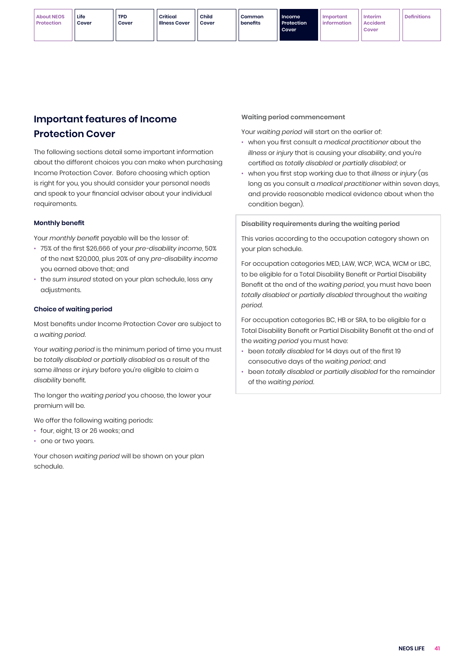| <b>About NEOS</b> |  |
|-------------------|--|
| Protection        |  |

**Child Cover**

**Accident Cover**

## **Important features of Income Protection Cover**

The following sections detail some important information about the different choices you can make when purchasing Income Protection Cover. Before choosing which option is right for you, you should consider your personal needs and speak to your financial adviser about your individual requirements.

## **Monthly benefit**

Your *monthly benefit* payable will be the lesser of:

- 75% of the first \$26,666 of your *pre-disability income*, 50% of the next \$20,000, plus 20% of any *pre-disability income* you earned above that; and
- the *sum insured* stated on your plan schedule, less any adjustments.

## **Choice of waiting period**

Most benefits under Income Protection Cover are subject to a *waiting period*.

Your *waiting period* is the minimum period of time you must be *totally disabled* or *partially disabled* as a result of the same *illness* or *injury* before you're eligible to claim a *disability* benefit.

The longer the *waiting period* you choose, the lower your premium will be.

We offer the following waiting periods:

- four, eight, 13 or 26 weeks; and
- one or two years.

Your chosen *waiting period* will be shown on your plan schedule.

## **Waiting period commencement**

Your *waiting period* will start on the earlier of:

- when you first consult a *medical practitioner* about the *illness* or *injury* that is causing your *disability*, and you're certified as *totally disabled* or *partially disabled*; or
- when you first stop working due to that *illness* or *injury* (as long as you consult a *medical practitioner* within seven days, and provide reasonable medical evidence about when the condition began).

**Disability requirements during the waiting period**

This varies according to the occupation category shown on your plan schedule.

For occupation categories MED, LAW, WCP, WCA, WCM or LBC, to be eligible for a Total Disability Benefit or Partial Disability Benefit at the end of the *waiting period*, you must have been *totally disabled* or *partially disabled* throughout the *waiting period*.

For occupation categories BC, HB or SRA, to be eligible for a Total Disability Benefit or Partial Disability Benefit at the end of the *waiting period* you must have:

- been *totally disabled* for 14 days out of the first 19 consecutive days of the *waiting period*; and
- been *totally disabled* or *partially disabled* for the remainder of the *waiting period*.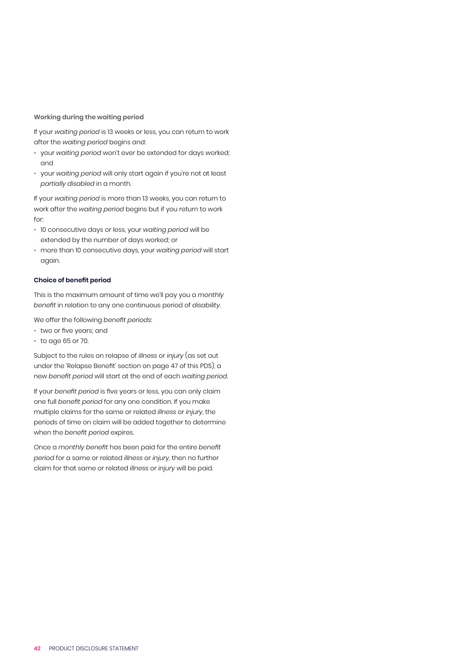## **Working during the waiting period**

If your *waiting period* is 13 weeks or less, you can return to work after the *waiting period* begins and:

- your *waiting period* won't ever be extended for days worked; and
- your *waiting period* will only start again if you're not at least *partially disabled* in a month.

If your *waiting period* is more than 13 weeks, you can return to work after the *waiting period* begins but if you return to work for:

- 10 consecutive days or less, your *waiting period* will be extended by the number of days worked; or
- more than 10 consecutive days, your *waiting period* will start again.

## **Choice of benefit period**

This is the maximum amount of time we'll pay you a *monthly benefit* in relation to any one continuous period of *disability*.

We offer the following *benefit periods*:

- two or five years; and
- to age 65 or 70.

Subject to the rules on relapse of *illness* or *injury* (as set out under the 'Relapse Benefit' section on page 47 of this PDS), a new *benefit period* will start at the end of each *waiting period*.

If your *benefit period* is five years or less, you can only claim one full *benefit period* for any one condition. If you make multiple claims for the same or related *illness* or *injury*, the periods of time on claim will be added together to determine when the *benefit period* expires.

Once a *monthly benefit* has been paid for the entire *benefit period* for a same or related *illness* or *injury*, then no further claim for that same or related *illness* or *injury* will be paid.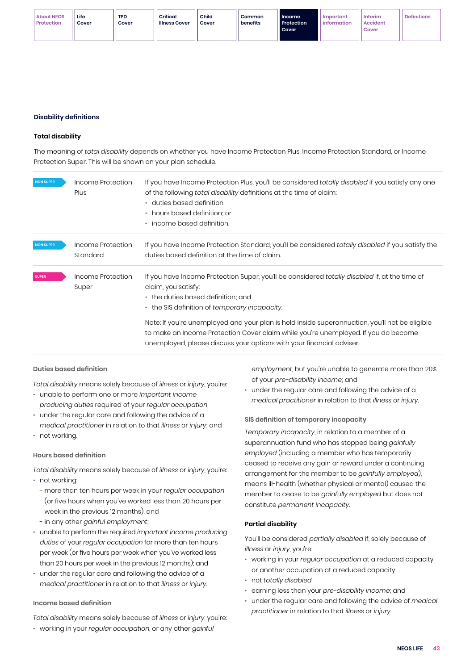| <b>About NEOS</b><br>Protection | Life<br>Cover | <b>TPD</b><br>Cover | Critical<br><b>Illness Cover</b> | Child<br>Cover | Common<br>benefits | <b>Income</b><br>Protection<br><b>Cover</b> | Important<br>information | Interim<br>Accident<br>Cover | <b>Definitions</b> |
|---------------------------------|---------------|---------------------|----------------------------------|----------------|--------------------|---------------------------------------------|--------------------------|------------------------------|--------------------|
|---------------------------------|---------------|---------------------|----------------------------------|----------------|--------------------|---------------------------------------------|--------------------------|------------------------------|--------------------|

## **Disability definitions**

## **Total disability**

The meaning of *total disability* depends on whether you have Income Protection Plus, Income Protection Standard, or Income Protection Super. This will be shown on your plan schedule.

| <b>NON SUPER</b> | Income Protection<br>Plus     | If you have Income Protection Plus, you'll be considered totally disabled if you satisfy any one<br>of the following total disability definitions at the time of claim:<br>• duties based definition<br>• hours based definition; or<br>• income based definition.                                                                                                                                                                                                                 |
|------------------|-------------------------------|------------------------------------------------------------------------------------------------------------------------------------------------------------------------------------------------------------------------------------------------------------------------------------------------------------------------------------------------------------------------------------------------------------------------------------------------------------------------------------|
| <b>NON SUPER</b> | Income Protection<br>Standard | If you have Income Protection Standard, you'll be considered totally disabled if you satisfy the<br>duties based definition at the time of claim.                                                                                                                                                                                                                                                                                                                                  |
| <b>SUPER</b>     | Income Protection<br>Super    | If you have Income Protection Super, you'll be considered <i>totally disabled</i> if, at the time of<br>claim, you satisfy:<br>• the duties based definition; and<br>• the SIS definition of temporary incapacity.<br>Note: If you're unemployed and your plan is held inside superannuation, you'll not be eligible<br>to make an Income Protection Cover claim while you're unemployed. If you do become<br>unemployed, please discuss your options with your financial adviser. |

## **Duties based definition**

*Total disability* means solely because of *illness* or *injury*, you're:

- unable to perform one or more *important income producing duties* required of your *regular occupation*
- under the regular care and following the advice of a *medical practitioner* in relation to that *illness* or *injury*; and
- not working.

#### **Hours based definition**

*Total disability* means solely because of *illness* or *injury*, you're: • not working:

- more than ten hours per week in your *regular occupation* (or five hours when you've worked less than 20 hours per week in the previous 12 months), and
- in any other *gainful employment*;
- unable to perform the required *important income producing duties* of your *regular occupation* for more than ten hours per week (or five hours per week when you've worked less than 20 hours per week in the previous 12 months); and
- under the regular care and following the advice of a *medical practitioner* in relation to that *illness* or *injury*.

#### **Income based definition**

*Total disability* means solely because of *illness* or *injury*, you're: • working in your *regular occupation*, or any other *gainful* 

- *employment*, but you're unable to generate more than 20% of your *pre-disability income*; and
- under the regular care and following the advice of a *medical practitioner* in relation to that *illness* or *injury*.

#### **SIS definition of temporary incapacity**

*Temporary incapacity*, in relation to a member of a superannuation fund who has stopped being *gainfully employed* (including a member who has temporarily ceased to receive any gain or reward under a continuing arrangement for the member to be *gainfully employed*), means ill-health (whether physical or mental) caused the member to cease to be *gainfully employed* but does not constitute *permanent incapacity*.

#### **Partial disability**

You'll be considered *partially disabled* if, solely because of *illness* or *injury*, you're:

- working in your *regular occupation* at a reduced capacity or another occupation at a reduced capacity
- not *totally disabled*
- earning less than your *pre-disability income*; and
- under the regular care and following the advice of *medical practitioner* in relation to that *illness* or *injury*.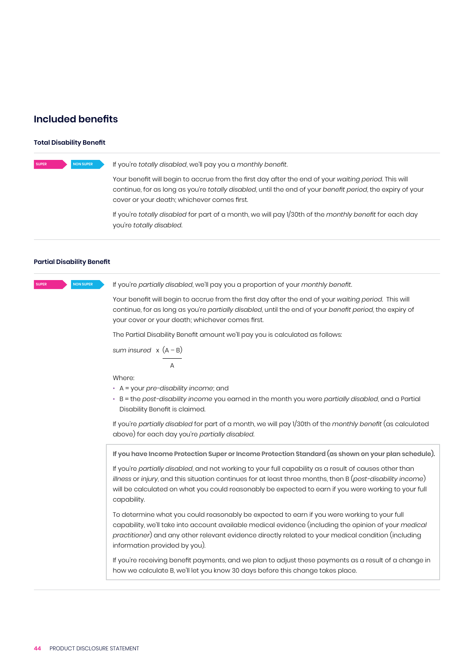## **Included benefits**

#### **Total Disability Benefit**

**SUPER NON SUPER** If you're *totally disabled*, we'll pay you a *monthly benefit*.

Your benefit will begin to accrue from the first day after the end of your *waiting period*. This will continue, for as long as you're *totally disabled*, until the end of your *benefit period*, the expiry of your cover or your death; whichever comes first.

If you're *totally disabled* for part of a month, we will pay 1/30th of the *monthly benefit* for each day you're *totally disabled*.

#### **Partial Disability Benefit**

| <b>SUPER</b> | NON SUPER |  |
|--------------|-----------|--|

If you're partially disabled, we'll pay you a proportion of your *monthly benefit*.

Your benefit will begin to accrue from the first day after the end of your *waiting period*. This will continue, for as long as you're *partially disabled*, until the end of your *benefit period,* the expiry of your cover or your death; whichever comes first.

The Partial Disability Benefit amount we'll pay you is calculated as follows:

sum 
$$
inserted x (A - B)
$$
  
A

Where:

- A = your *pre-disability income*; and
- B = the *post-disability income* you earned in the month you were *partially disabled*, and a Partial Disability Benefit is claimed.

If you're *partially disabled* for part of a month, we will pay 1/30th of the *monthly benefit* (as calculated above) for each day you're *partially disabled*.

**If you have Income Protection Super or Income Protection Standard (as shown on your plan schedule).**

If you're *partially disabled*, and not working to your full capability as a result of causes other than *illness* or *injury*, and this situation continues for at least three months, then B (*post-disability income*) will be calculated on what you could reasonably be expected to earn if you were working to your full capability.

To determine what you could reasonably be expected to earn if you were working to your full capability, we'll take into account available medical evidence (including the opinion of your *medical practitioner*) and any other relevant evidence directly related to your medical condition (including information provided by you).

If you're receiving benefit payments, and we plan to adjust these payments as a result of a change in how we calculate B, we'll let you know 30 days before this change takes place.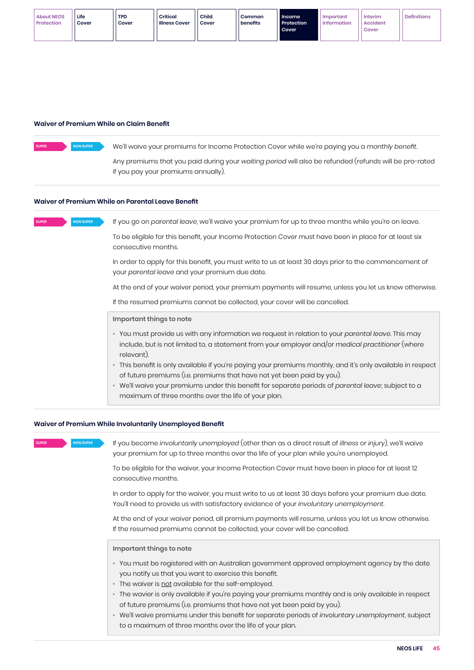| <b>About NEOS</b><br>Protection | Life<br>Cover | <b>TPD</b><br>Cover | Critical<br><b>Illness Cover</b> | Child<br>Cover | Common<br>benefits | <b>Income</b><br>Protection<br>Cover | Important<br>information | Interim<br>Accident<br>Cover | <b>Definitions</b> |
|---------------------------------|---------------|---------------------|----------------------------------|----------------|--------------------|--------------------------------------|--------------------------|------------------------------|--------------------|
|---------------------------------|---------------|---------------------|----------------------------------|----------------|--------------------|--------------------------------------|--------------------------|------------------------------|--------------------|

## **Waiver of Premium While on Claim Benefit**



**SUPER NON SUPER** We'll waive your premiums for Income Protection Cover while we're paying you a *monthly benefit*.

Any premiums that you paid during your *waiting period* will also be refunded (refunds will be pro-rated if you pay your premiums annually).

#### **Waiver of Premium While on Parental Leave Benefit**



**SUPER NON SUPER** If you go on *parental leave*, we'll waive your premium for up to three months while you're on leave.

To be eligible for this benefit, your Income Protection Cover must have been in place for at least six consecutive months.

In order to apply for this benefit, you must write to us at least 30 days prior to the commencement of your *parental leave* and your premium due date.

At the end of your waiver period, your premium payments will resume, unless you let us know otherwise.

If the resumed premiums cannot be collected, your cover will be cancelled.

**Important things to note**

- You must provide us with any information we request in relation to your *parental leave*. This may include, but is not limited to, a statement from your employer and/or *medical practitioner* (where relevant).
- This benefit is only available if you're paying your premiums monthly, and it's only available in respect of future premiums (i.e. premiums that have not yet been paid by you).
- We'll waive your premiums under this benefit for separate periods of *parental leave*; subject to a maximum of three months over the life of your plan.

#### **Waiver of Premium While Involuntarily Unemployed Benefit**



**SUPER NON SUPER** If you become *involuntarily unemployed* (other than as a direct result of *illness* or *injury*), we'll waive your premium for up to three months over the life of your plan while you're unemployed.

> To be eligible for the waiver, your Income Protection Cover must have been in place for at least 12 consecutive months.

In order to apply for the waiver, you must write to us at least 30 days before your premium due date. You'll need to provide us with satisfactory evidence of your *involuntary unemployment*.

At the end of your waiver period, all premium payments will resume, unless you let us know otherwise. If the resumed premiums cannot be collected, your cover will be cancelled.

- You must be registered with an Australian government approved employment agency by the date you notify us that you want to exercise this benefit.
- The waiver is not available for the self-employed.
- The wavier is only available if you're paying your premiums monthly and is only available in respect of future premiums (i.e. premiums that have not yet been paid by you).
- We'll waive premiums under this benefit for separate periods of *involuntary unemployment*, subject to a maximum of three months over the life of your plan.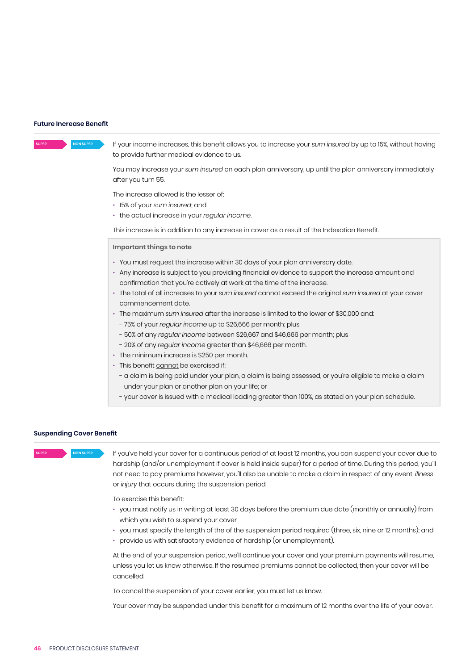#### **Future Increase Benefit**

| <b>SUPER</b><br><b>NON SUPER</b> | If your income increases, this benefit allows you to increase your sum insured by up to 15%, without having<br>to provide further medical evidence to us.                                                                                                                                                                                                                                                                                                                                                                                                                                                                                                                                                                                                                                                                                                                                                                                                                                                                                                                            |
|----------------------------------|--------------------------------------------------------------------------------------------------------------------------------------------------------------------------------------------------------------------------------------------------------------------------------------------------------------------------------------------------------------------------------------------------------------------------------------------------------------------------------------------------------------------------------------------------------------------------------------------------------------------------------------------------------------------------------------------------------------------------------------------------------------------------------------------------------------------------------------------------------------------------------------------------------------------------------------------------------------------------------------------------------------------------------------------------------------------------------------|
|                                  | You may increase your sum insured on each plan anniversary, up until the plan anniversary immediately<br>after you turn 55.                                                                                                                                                                                                                                                                                                                                                                                                                                                                                                                                                                                                                                                                                                                                                                                                                                                                                                                                                          |
|                                  | The increase allowed is the lesser of:<br>· 15% of your sum insured; and<br>• the actual increase in your regular income.<br>This increase is in addition to any increase in cover as a result of the Indexation Benefit.                                                                                                                                                                                                                                                                                                                                                                                                                                                                                                                                                                                                                                                                                                                                                                                                                                                            |
|                                  | Important things to note<br>• You must request the increase within 30 days of your plan anniversary date.<br>Any increase is subject to you providing financial evidence to support the increase amount and<br>confirmation that you're actively at work at the time of the increase.<br>. The total of all increases to your sum insured cannot exceed the original sum insured at your cover<br>commencement date.<br>• The maximum sum insured after the increase is limited to the lower of \$30,000 and:<br>- 75% of your regular income up to \$26,666 per month; plus<br>- 50% of any regular income between \$26,667 and \$46,666 per month; plus<br>- 20% of any regular income greater than \$46,666 per month.<br>• The minimum increase is \$250 per month.<br>• This benefit cannot be exercised if:<br>- a claim is being paid under your plan, a claim is being assessed, or you're eligible to make a claim<br>under your plan or another plan on your life; or<br>- your cover is issued with a medical loading greater than 100%, as stated on your plan schedule. |

#### **Suspending Cover Benefit**



**SUPER** If you've held your cover for a continuous period of at least 12 months, you can suspend your cover due to hardship (and/or unemployment if cover is held inside super) for a period of time. During this period, you'll not need to pay premiums however, you'll also be unable to make a claim in respect of any event, *illness*  or *injury* that occurs during the suspension period.

To exercise this benefit:

- you must notify us in writing at least 30 days before the premium due date (monthly or annually) from which you wish to suspend your cover
- you must specify the length of the of the suspension period required (three, six, nine or 12 months); and
- provide us with satisfactory evidence of hardship (or unemployment).

At the end of your suspension period, we'll continue your cover and your premium payments will resume, unless you let us know otherwise. If the resumed premiums cannot be collected, then your cover will be cancelled.

To cancel the suspension of your cover earlier, you must let us know.

Your cover may be suspended under this benefit for a maximum of 12 months over the life of your cover.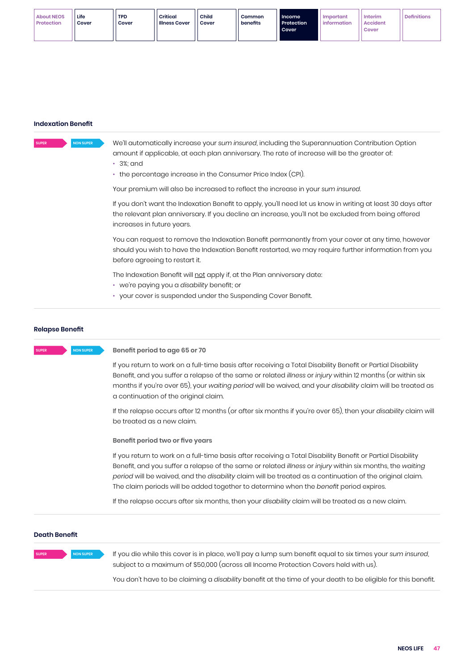| <b>About NEOS</b><br>Protection | Life<br>Cover | <b>TPD</b><br>Cover | Critical<br><b>Illness Cover</b> | Child<br>Cover | Common<br>benefits | <b>Income</b><br>Protection<br>Cover | <b>Important</b><br>information | Interim<br><b>Accident</b><br>Cover | <b>Definitions</b> |
|---------------------------------|---------------|---------------------|----------------------------------|----------------|--------------------|--------------------------------------|---------------------------------|-------------------------------------|--------------------|
|---------------------------------|---------------|---------------------|----------------------------------|----------------|--------------------|--------------------------------------|---------------------------------|-------------------------------------|--------------------|

#### **Indexation Benefit**

| <b>SUPER</b> | NON SUPER | We'll automatically increase your sum insured, including the Superannuation Contribution Option |
|--------------|-----------|-------------------------------------------------------------------------------------------------|
|              |           | amount if applicable, at each plan anniversary. The rate of increase will be the greater of:    |
|              |           | 3% and                                                                                          |

• the percentage increase in the Consumer Price Index (CPI).

Your premium will also be increased to reflect the increase in your *sum insured*.

If you don't want the Indexation Benefit to apply, you'll need let us know in writing at least 30 days after the relevant plan anniversary. If you decline an increase, you'll not be excluded from being offered increases in future years.

You can request to remove the Indexation Benefit permanently from your cover at any time, however should you wish to have the Indexation Benefit restarted, we may require further information from you before agreeing to restart it.

The Indexation Benefit will not apply if, at the Plan anniversary date:

- we're paying you a *disability* benefit; or
- your cover is suspended under the Suspending Cover Benefit.

### **Relapse Benefit**



#### **Benefit period to age 65 or 70**

If you return to work on a full-time basis after receiving a Total Disability Benefit or Partial Disability Benefit, and you suffer a relapse of the same or related *illness* or *injury* within 12 months (or within six months if you're over 65), your *waiting period* will be waived, and your *disability* claim will be treated as a continuation of the original claim.

If the relapse occurs after 12 months (or after six months if you're over 65), then your *disability* claim will be treated as a new claim.

#### **Benefit period two or five years**

If you return to work on a full-time basis after receiving a Total Disability Benefit or Partial Disability Benefit, and you suffer a relapse of the same or related *illness* or *injury* within six months, the *waiting period* will be waived, and the *disability* claim will be treated as a continuation of the original claim. The claim periods will be added together to determine when the *benefit* period expires.

If the relapse occurs after six months, then your *disability* claim will be treated as a new claim.

#### **Death Benefit**

**SUPER NON SUPER** If you die while this cover is in place, we'll pay a lump sum benefit equal to six times your *sum insured*, subject to a maximum of \$50,000 (across all Income Protection Covers held with us).

You don't have to be claiming a *disability* benefit at the time of your death to be eligible for this benefit.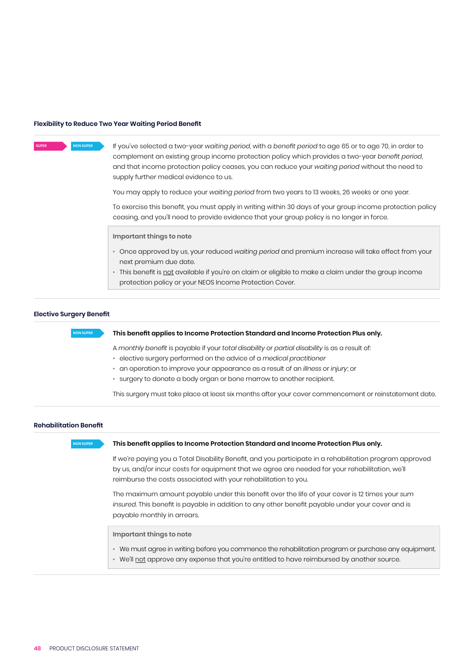#### **Flexibility to Reduce Two Year Waiting Period Benefit**

**SUPER NON SUPER** If you've selected a two-year *waiting period*, with a *benefit period* to age 65 or to age 70, in order to complement an existing group income protection policy which provides a two-year *benefit period*, and that income protection policy ceases, you can reduce your *waiting period* without the need to supply further medical evidence to us.

You may apply to reduce your *waiting period* from two years to 13 weeks, 26 weeks or one year.

To exercise this benefit, you must apply in writing within 30 days of your group income protection policy ceasing, and you'll need to provide evidence that your group policy is no longer in force.

**Important things to note**

- Once approved by us, your reduced *waiting period* and premium increase will take effect from your next premium due date.
- This benefit is not available if you're on claim or eligible to make a claim under the group income protection policy or your NEOS Income Protection Cover.

#### **Elective Surgery Benefit**

## **NON SUPER This benefit applies to Income Protection Standard and Income Protection Plus only.**

A *monthly benefit* is payable if your *total disability* or *partial disability* is as a result of:

- elective surgery performed on the advice of a *medical practitioner*
- an operation to improve your appearance as a result of an *illness* or *injury*; or
- surgery to donate a body organ or bone marrow to another recipient.

This surgery must take place at least six months after your cover commencement or reinstatement date.

#### **Rehabilitation Benefit**

#### **NON SUPER This benefit applies to Income Protection Standard and Income Protection Plus only.**

If we're paying you a Total Disability Benefit, and you participate in a rehabilitation program approved by us, and/or incur costs for equipment that we agree are needed for your rehabilitation, we'll reimburse the costs associated with your rehabilitation to you.

The maximum amount payable under this benefit over the life of your cover is 12 times your *sum insured*. This benefit is payable in addition to any other benefit payable under your cover and is payable monthly in arrears.

- We must agree in writing before you commence the rehabilitation program or purchase any equipment.
- We'll not approve any expense that you're entitled to have reimbursed by another source.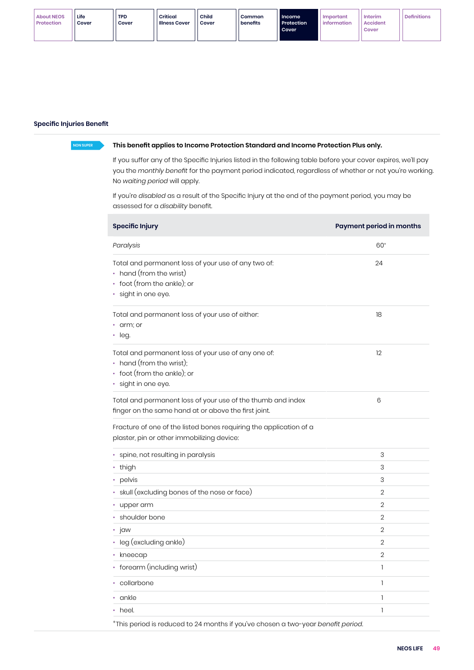| <b>About NEOS</b><br>Protection | Life<br>Cover | <b>TPD</b><br>Cover | Critical<br>Illness Cover | Child<br>Cover | Common<br>benefits | <b>Income</b><br>Protection<br>Cover | Important<br>information | Interim<br><b>Accident</b><br>Cover | <b>Definitions</b> |
|---------------------------------|---------------|---------------------|---------------------------|----------------|--------------------|--------------------------------------|--------------------------|-------------------------------------|--------------------|
|---------------------------------|---------------|---------------------|---------------------------|----------------|--------------------|--------------------------------------|--------------------------|-------------------------------------|--------------------|

## **Specific Injuries Benefit**

## **NON SUPER This benefit applies to Income Protection Standard and Income Protection Plus only.**

If you suffer any of the Specific Injuries listed in the following table before your cover expires, we'll pay you the *monthly benefit* for the payment period indicated, regardless of whether or not you're working. No *waiting period* will apply.

If you're *disabled* as a result of the Specific Injury at the end of the payment period, you may be assessed for a *disability* benefit.

| <b>Specific Injury</b>                                                                                                                | <b>Payment period in months</b> |
|---------------------------------------------------------------------------------------------------------------------------------------|---------------------------------|
| Paralysis                                                                                                                             | $60+$                           |
| Total and permanent loss of your use of any two of:<br>• hand (from the wrist)<br>• foot (from the ankle); or<br>· sight in one eye.  | 24                              |
| Total and permanent loss of your use of either:<br>• arm; or<br>$\cdot$ leg.                                                          | 18                              |
| Total and permanent loss of your use of any one of:<br>• hand (from the wrist);<br>• foot (from the ankle); or<br>· sight in one eye. | 12                              |
| Total and permanent loss of your use of the thumb and index<br>finger on the same hand at or above the first joint.                   | 6                               |
| Fracture of one of the listed bones requiring the application of a<br>plaster, pin or other immobilizing device:                      |                                 |
| spine, not resulting in paralysis                                                                                                     | 3                               |
| • thigh                                                                                                                               | 3                               |
| pelvis<br>٠                                                                                                                           | 3                               |
| skull (excluding bones of the nose or face)                                                                                           | $\overline{2}$                  |
| upper arm                                                                                                                             | $\overline{2}$                  |
| shoulder bone                                                                                                                         | $\overline{2}$                  |
| • jaw                                                                                                                                 | $\overline{2}$                  |
| $\cdot$ leg (excluding ankle)                                                                                                         | $\overline{2}$                  |
| • kneecap                                                                                                                             | 2                               |
| • forearm (including wrist)                                                                                                           | 1                               |
| collarbone                                                                                                                            | 1                               |
| ankle                                                                                                                                 | 1                               |
| • heel.                                                                                                                               | 1                               |
| $+ -$<br>$\cdot$ $\cdot$<br>$\overline{\phantom{a}}$                                                                                  |                                 |

This period is reduced to 24 months if you've chosen a two-year *benefit period*.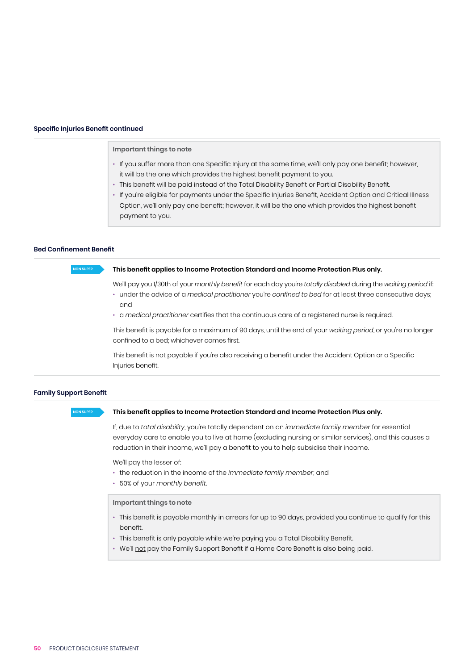#### **Specific Injuries Benefit continued**

#### **Important things to note**

- If you suffer more than one Specific Injury at the same time, we'll only pay one benefit; however, it will be the one which provides the highest benefit payment to you.
- This benefit will be paid instead of the Total Disability Benefit or Partial Disability Benefit.
- If you're eligible for payments under the Specific Injuries Benefit, Accident Option and Critical Illness Option, we'll only pay one benefit; however, it will be the one which provides the highest benefit payment to you.

#### **Bed Confinement Benefit**

#### **NON SUPER This benefit applies to Income Protection Standard and Income Protection Plus only.**

We'll pay you 1/30th of your *monthly benefit* for each day you're *totally disabled* during the *waiting period* if:

- under the advice of a *medical practitioner* you're *confined to bed* for at least three consecutive days; and
- a *medical practitioner* certifies that the continuous care of a registered nurse is required.

This benefit is payable for a maximum of 90 days, until the end of your *waiting period*, or you're no longer confined to a bed; whichever comes first.

This benefit is not payable if you're also receiving a benefit under the Accident Option or a Specific Injuries benefit.

#### **Family Support Benefit**

### **NON SUPER This benefit applies to Income Protection Standard and Income Protection Plus only.**

If, due to *total disability*, you're totally dependent on an *immediate family member* for essential everyday care to enable you to live at home (excluding nursing or similar services), and this causes a reduction in their income, we'll pay a benefit to you to help subsidise their income.

We'll pay the lesser of:

- the reduction in the income of the *immediate family member*; and
- 50% of your *monthly benefit*.

- This benefit is payable monthly in arrears for up to 90 days, provided you continue to qualify for this benefit.
- This benefit is only payable while we're paying you a Total Disability Benefit.
- We'll not pay the Family Support Benefit if a Home Care Benefit is also being paid.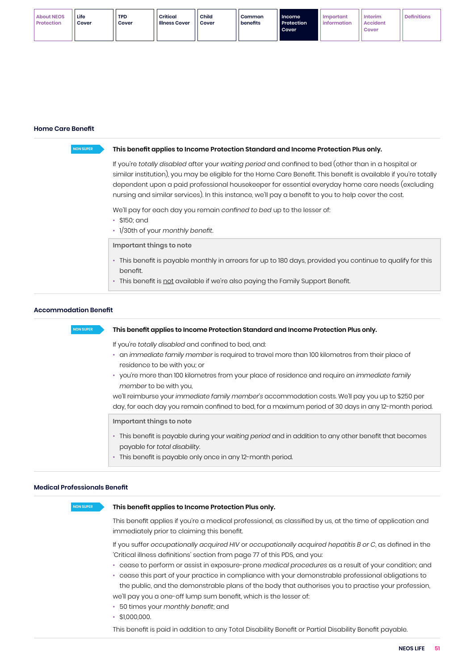| <b>About NEOS</b><br>Protection | Life<br>Cover | <b>TPD</b><br>Cover | Critical<br>Illness Cover | Child<br>Cover | Common<br>benefits | <b>Income</b><br><b>Protection</b><br>Cover | Important<br>information | Interim<br><b>Accident</b><br>Cover | <b>Definitions</b> |
|---------------------------------|---------------|---------------------|---------------------------|----------------|--------------------|---------------------------------------------|--------------------------|-------------------------------------|--------------------|
|---------------------------------|---------------|---------------------|---------------------------|----------------|--------------------|---------------------------------------------|--------------------------|-------------------------------------|--------------------|

## **Home Care Benefit**

| <b>NON SUPER</b> | This benefit applies to Income Protection Standard and Income Protection Plus only.                                                                                                                                                                                                                                                                                                                                                  |  |  |  |  |  |  |  |
|------------------|--------------------------------------------------------------------------------------------------------------------------------------------------------------------------------------------------------------------------------------------------------------------------------------------------------------------------------------------------------------------------------------------------------------------------------------|--|--|--|--|--|--|--|
|                  | If you're totally disabled after your waiting period and confined to bed (other than in a hospital or<br>similar institution), you may be eligible for the Home Care Benefit. This benefit is available if you're totally<br>dependent upon a paid professional housekeeper for essential everyday home care needs (excluding<br>nursing and similar services). In this instance, we'll pay a benefit to you to help cover the cost. |  |  |  |  |  |  |  |
|                  | We'll pay for each day you remain <i>confined to bed</i> up to the lesser of:<br>$\cdot$ \$150; and<br>• 1/30th of your monthly benefit.                                                                                                                                                                                                                                                                                             |  |  |  |  |  |  |  |
|                  | Important things to note<br>• This benefit is payable monthly in arrears for up to 180 days, provided you continue to qualify for this<br>benefit.<br>This benefit is not available if we're also paying the Family Support Benefit.<br>$\bullet$                                                                                                                                                                                    |  |  |  |  |  |  |  |

## **Accommodation Benefit**

| <b>NON SUPER</b> | This benefit applies to Income Protection Standard and Income Protection Plus only.                                                                                                                                                                                                                                                                                                                                                                                                                                                 |
|------------------|-------------------------------------------------------------------------------------------------------------------------------------------------------------------------------------------------------------------------------------------------------------------------------------------------------------------------------------------------------------------------------------------------------------------------------------------------------------------------------------------------------------------------------------|
|                  | If you're totally disabled and confined to bed, and:<br>an immediate family member is required to travel more than 100 kilometres from their place of<br>residence to be with you; or<br>you're more than 100 kilometres from your place of residence and require an immediate family<br>member to be with you,<br>we'll reimburse your <i>immediate family member's</i> accommodation costs. We'll pay you up to \$250 per<br>day, for each day you remain confined to bed, for a maximum period of 30 days in any 12-month period |
|                  | Important things to note<br>This benefit is payable during your <i>waiting period</i> and in addition to any other benefit that becomes                                                                                                                                                                                                                                                                                                                                                                                             |

- payable for *total disability*.
- This benefit is payable only once in any 12-month period.

## **Medical Professionals Benefit**

|  | <b>NON SUPER</b> |  |
|--|------------------|--|
|  |                  |  |

#### **This benefit applies to Income Protection Plus only.**

This benefit applies if you're a medical professional*,* as classified by us, at the time of application and immediately prior to claiming this benefit.

If you suffer *occupationally acquired HIV* or *occupationally acquired hepatitis B or C*, as defined in the 'Critical illness definitions' section from page 77 of this PDS, and you:

- cease to perform or assist in exposure-prone *medical procedures* as a result of your condition; and
- cease this part of your practice in compliance with your demonstrable professional obligations to the public, and the demonstrable plans of the body that authorises you to practise your profession, we'll pay you a one-off lump sum benefit, which is the lesser of:
- 50 times your *monthly benefit*; and
- \$1,000,000.

This benefit is paid in addition to any Total Disability Benefit or Partial Disability Benefit payable.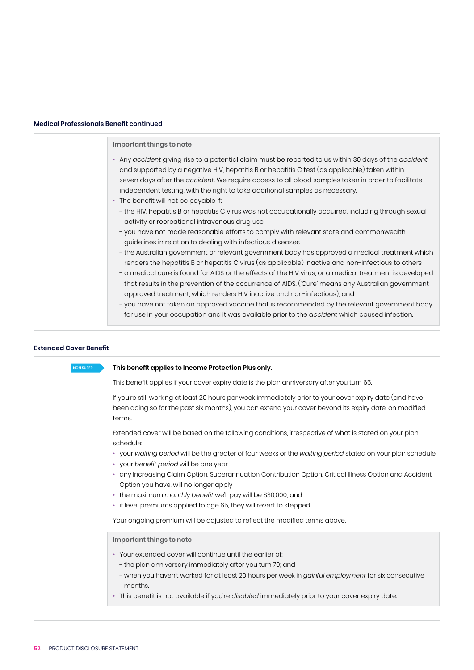#### **Medical Professionals Benefit continued**

## **Important things to note**

- Any *accident* giving rise to a potential claim must be reported to us within 30 days of the *accident*  and supported by a negative HIV, hepatitis B or hepatitis C test (as applicable) taken within seven days after the *accident*. We require access to all blood samples taken in order to facilitate independent testing, with the right to take additional samples as necessary.
- The benefit will not be payable if:
	- the HIV, hepatitis B or hepatitis C virus was not occupationally acquired, including through sexual activity or recreational intravenous drug use
	- you have not made reasonable efforts to comply with relevant state and commonwealth guidelines in relation to dealing with infectious diseases
	- the Australian government or relevant government body has approved a medical treatment which renders the hepatitis B or hepatitis C virus (as applicable) inactive and non-infectious to others
	- a medical cure is found for AIDS or the effects of the HIV virus, or a medical treatment is developed that results in the prevention of the occurrence of AIDS. ('Cure' means any Australian government approved treatment, which renders HIV inactive and non-infectious); and
	- you have not taken an approved vaccine that is recommended by the relevant government body for use in your occupation and it was available prior to the *accident* which caused infection.

#### **Extended Cover Benefit**

#### **NON SUPER This benefit applies to Income Protection Plus only.**

This benefit applies if your cover expiry date is the plan anniversary after you turn 65.

If you're still working at least 20 hours per week immediately prior to your cover expiry date (and have been doing so for the past six months), you can extend your cover beyond its expiry date, on modified terms.

Extended cover will be based on the following conditions, irrespective of what is stated on your plan schedule:

- your *waiting period* will be the greater of four weeks or the *waiting period* stated on your plan schedule
- your *benefit period* will be one year
- any Increasing Claim Option, Superannuation Contribution Option, Critical Illness Option and Accident Option you have, will no longer apply
- the maximum *monthly benefit* we'll pay will be \$30,000; and
- if level premiums applied to age 65, they will revert to stepped.

Your ongoing premium will be adjusted to reflect the modified terms above.

- Your extended cover will continue until the earlier of:
	- the plan anniversary immediately after you turn 70; and
	- when you haven't worked for at least 20 hours per week in *gainful employment* for six consecutive months.
- This benefit is not available if you're *disabled* immediately prior to your cover expiry date.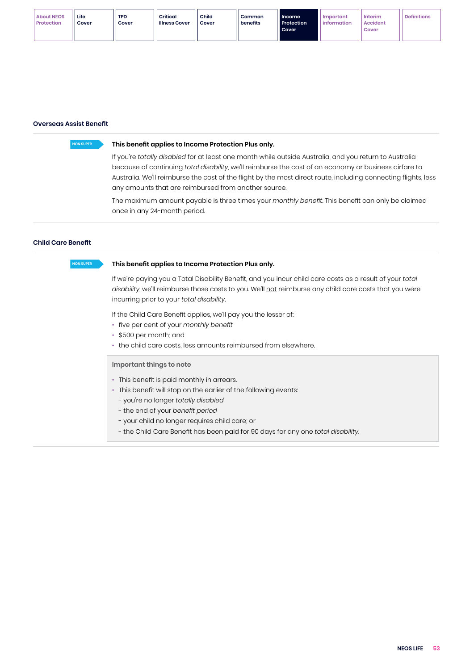| <b>About NEOS</b><br>Protection | Life<br>Cover | <b>TPD</b><br>Cover | Critical<br>Illness Cover | Child<br>Cover | Common<br>benefits | <b>Income</b><br>Protection<br>Cover | Important<br>information | Interim<br><b>Accident</b><br>Cover | <b>Definitions</b> |
|---------------------------------|---------------|---------------------|---------------------------|----------------|--------------------|--------------------------------------|--------------------------|-------------------------------------|--------------------|
|---------------------------------|---------------|---------------------|---------------------------|----------------|--------------------|--------------------------------------|--------------------------|-------------------------------------|--------------------|

#### **Overseas Assist Benefit**

## **NON SUPER This benefit applies to Income Protection Plus only.**

If you're *totally disabled* for at least one month while outside Australia, and you return to Australia because of continuing *total disability*, we'll reimburse the cost of an economy or business airfare to Australia. We'll reimburse the cost of the flight by the most direct route, including connecting flights, less any amounts that are reimbursed from another source.

The maximum amount payable is three times your *monthly benefit*. This benefit can only be claimed once in any 24-month period.

## **Child Care Benefit**

#### **NON SUPER This benefit applies to Income Protection Plus only.**

If we're paying you a Total Disability Benefit, and you incur child care costs as a result of your *total disability*, we'll reimburse those costs to you. We'll not reimburse any child care costs that you were incurring prior to your *total disability*.

If the Child Care Benefit applies, we'll pay you the lesser of:

- five per cent of your *monthly benefit*
- \$500 per month; and
- the child care costs, less amounts reimbursed from elsewhere.

- This benefit is paid monthly in arrears.
- This benefit will stop on the earlier of the following events:
	- you're no longer *totally disabled*
	- the end of your *benefit period*
	- your child no longer requires child care; or
	- the Child Care Benefit has been paid for 90 days for any one *total disability*.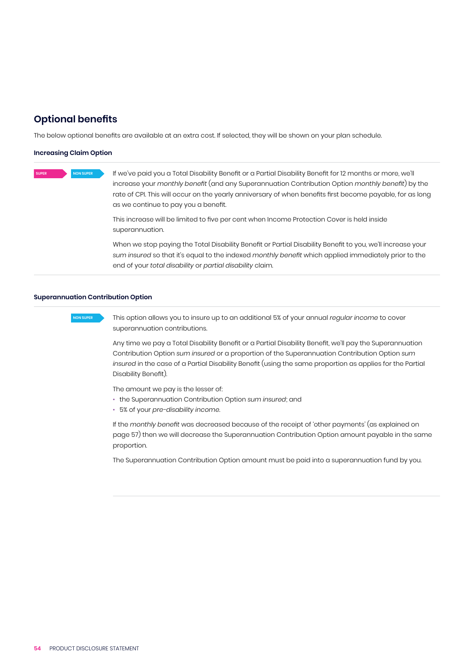## **Optional benefits**

The below optional benefits are available at an extra cost. If selected, they will be shown on your plan schedule.

## **Increasing Claim Option**

| <b>SUPER</b> | NON SUPER | If we've paid you a Total Disability Benefit or a Partial Disability Benefit for 12 months or more, we'll |
|--------------|-----------|-----------------------------------------------------------------------------------------------------------|
|              |           | increase your monthly benefit (and any Superannuation Contribution Option monthly benefit) by the         |
|              |           | rate of CPI. This will occur on the yearly anniversary of when benefits first become payable, for as long |
|              |           | as we continue to pay you a benefit.                                                                      |

This increase will be limited to five per cent when Income Protection Cover is held inside superannuation.

When we stop paying the Total Disability Benefit or Partial Disability Benefit to you, we'll increase your *sum insured* so that it's equal to the indexed *monthly benefit* which applied immediately prior to the end of your *total disability* or *partial disability* claim.

### **Superannuation Contribution Option**

**NON SUPER** This option allows you to insure up to an additional 5% of your annual *regular income* to cover superannuation contributions.

> Any time we pay a Total Disability Benefit or a Partial Disability Benefit, we'll pay the Superannuation Contribution Option *sum insured* or a proportion of the Superannuation Contribution Option *sum insured* in the case of a Partial Disability Benefit (using the same proportion as applies for the Partial Disability Benefit).

The amount we pay is the lesser of:

- the Superannuation Contribution Option *sum insured*; and
- 5% of your *pre-disability income*.

If the *monthly benefit* was decreased because of the receipt of 'other payments' (as explained on page 57) then we will decrease the Superannuation Contribution Option amount payable in the same proportion.

The Superannuation Contribution Option amount must be paid into a superannuation fund by you.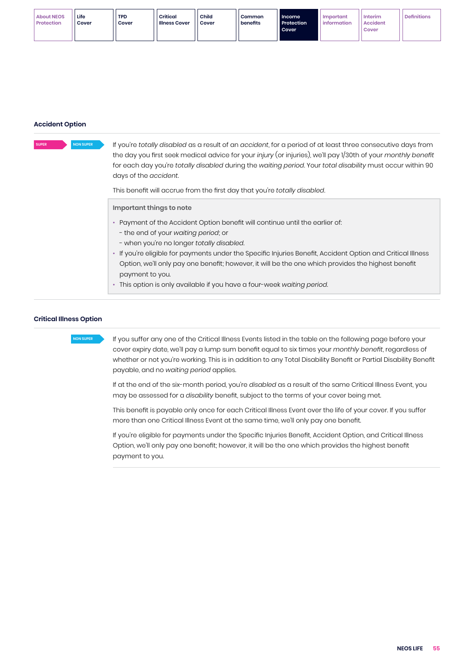| <b>About NEOS</b><br>Protection | Life<br>Cover | <b>TPD</b><br>Cover | Critical<br>Illness Cover | Child<br>Cover | Common<br>benefits | <b>Income</b><br>Protection<br><b>Cover</b> | Important<br>information | Interim<br><b>Accident</b><br>Cover | <b>Definitions</b> |
|---------------------------------|---------------|---------------------|---------------------------|----------------|--------------------|---------------------------------------------|--------------------------|-------------------------------------|--------------------|
|---------------------------------|---------------|---------------------|---------------------------|----------------|--------------------|---------------------------------------------|--------------------------|-------------------------------------|--------------------|

### **Accident Option**

| <b>SUPER</b><br><b>NON SUPER</b> | If you're totally disabled as a result of an accident, for a period of at least three consecutive days from<br>the day you first seek medical advice for your injury (or injuries), we'll pay 1/30th of your monthly benefit<br>for each day you're totally disabled during the waiting period. Your total disability must occur within 90<br>days of the accident.<br>This benefit will accrue from the first day that you're totally disabled. |
|----------------------------------|--------------------------------------------------------------------------------------------------------------------------------------------------------------------------------------------------------------------------------------------------------------------------------------------------------------------------------------------------------------------------------------------------------------------------------------------------|
|                                  | Important things to note<br>Payment of the Accident Option benefit will continue until the earlier of:<br>- the end of your waiting period; or<br>- when you're no longer totally disabled.<br>If you're eligible for payments under the Specific Injuries Benefit, Accident Option and Critical Illness<br>Option, we'll only pay one benefit; however, it will be the one which provides the highest benefit                                   |
|                                  | payment to you.<br>• This option is only available if you have a four-week waiting period.                                                                                                                                                                                                                                                                                                                                                       |

## **Critical Illness Option**

If you suffer any one of the Critical Illness Events listed in the table on the following page before your cover expiry date, we'll pay a lump sum benefit equal to six times your *monthly benefit*, regardless of whether or not you're working. This is in addition to any Total Disability Benefit or Partial Disability Benefit payable, and no *waiting period* applies.

If at the end of the six-month period, you're *disabled* as a result of the same Critical Illness Event, you may be assessed for a *disability* benefit, subject to the terms of your cover being met.

This benefit is payable only once for each Critical Illness Event over the life of your cover. If you suffer more than one Critical Illness Event at the same time, we'll only pay one benefit.

If you're eligible for payments under the Specific Injuries Benefit, Accident Option, and Critical Illness Option, we'll only pay one benefit; however, it will be the one which provides the highest benefit payment to you.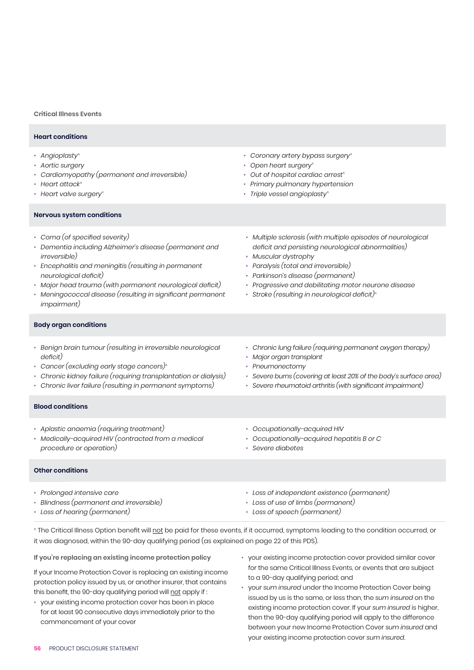#### **Critical Illness Events**

| <b>Heart conditions</b>                                                                                                                                                                                                                                                                                                                                 |                                                                                                                                                                                                                                                                                                                                          |
|---------------------------------------------------------------------------------------------------------------------------------------------------------------------------------------------------------------------------------------------------------------------------------------------------------------------------------------------------------|------------------------------------------------------------------------------------------------------------------------------------------------------------------------------------------------------------------------------------------------------------------------------------------------------------------------------------------|
| · Angioplasty^<br>• Aortic surgery<br>• Cardiomyopathy (permanent and irreversible)<br>• Heart attack^<br>• Heart valve surgery <sup>^</sup>                                                                                                                                                                                                            | • Coronary artery bypass surgery^<br>• Open heart surgery^<br>· Out of hospital cardiac arrest^<br>• Primary pulmonary hypertension<br>· Triple vessel angioplasty^                                                                                                                                                                      |
| Nervous system conditions                                                                                                                                                                                                                                                                                                                               |                                                                                                                                                                                                                                                                                                                                          |
| • Coma (of specified severity)<br>• Dementia including Alzheimer's disease (permanent and<br><i>irreversible</i> )<br>• Encephalitis and meningitis (resulting in permanent<br>neurological deficit)<br>• Major head trauma (with permanent neurological deficit)<br>• Meningococcal disease (resulting in significant permanent<br><i>impairment</i> ) | • Multiple sclerosis (with multiple episodes of neurological<br>deficit and persisting neurological abnormalities)<br>• Muscular dystrophy<br>• Paralysis (total and irreversible)<br>• Parkinson's disease (permanent)<br>• Progressive and debilitating motor neurone disease<br>• Stroke (resulting in neurological deficit) $\wedge$ |
| <b>Body organ conditions</b>                                                                                                                                                                                                                                                                                                                            |                                                                                                                                                                                                                                                                                                                                          |
| • Benign brain tumour (resulting in irreversible neurological<br>deficit)<br>• Cancer (excluding early stage cancers)^<br>• Chronic kidney failure (requiring transplantation or dialysis)<br>• Chronic liver failure (resulting in permanent symptoms)                                                                                                 | • Chronic lung failure (requiring permanent oxygen therapy)<br>· Major organ transplant<br>• Pneumonectomy<br>• Severe burns (covering at least 20% of the body's surface area)<br>• Severe rheumatoid arthritis (with significant impairment)                                                                                           |
| <b>Blood conditions</b>                                                                                                                                                                                                                                                                                                                                 |                                                                                                                                                                                                                                                                                                                                          |
| • Aplastic anaemia (requiring treatment)<br>• Medically-acquired HIV (contracted from a medical<br>procedure or operation)                                                                                                                                                                                                                              | • Occupationally-acquired HIV<br>• Occupationally-acquired hepatitis B or C<br>· Severe diabetes                                                                                                                                                                                                                                         |
| <b>Other conditions</b>                                                                                                                                                                                                                                                                                                                                 |                                                                                                                                                                                                                                                                                                                                          |
| · Prolonged intensive care<br>• Blindness (permanent and irreversible)<br>• Loss of hearing (permanent)                                                                                                                                                                                                                                                 | • Loss of independent existence (permanent)<br>• Loss of use of limbs (permanent)<br>• Loss of speech (permanent)                                                                                                                                                                                                                        |

^ The Critical Illness Option benefit will not be paid for these events, if it occurred, symptoms leading to the condition occurred, or it was diagnosed, within the 90-day qualifying period (as explained on page 22 of this PDS).

## **If you're replacing an existing income protection policy**

If your Income Protection Cover is replacing an existing income protection policy issued by us, or another insurer, that contains this benefit, the 90-day qualifying period will not apply if:

- your existing income protection cover has been in place for at least 90 consecutive days immediately prior to the commencement of your cover
- your existing income protection cover provided similar cover for the same Critical Illness Events, or events that are subject to a 90-day qualifying period; and
- your *sum insured* under the Income Protection Cover being issued by us is the same, or less than, the *sum insured* on the existing income protection cover. If your *sum insured* is higher, then the 90-day qualifying period will apply to the difference between your new Income Protection Cover *sum insured* and your existing income protection cover *sum insured*.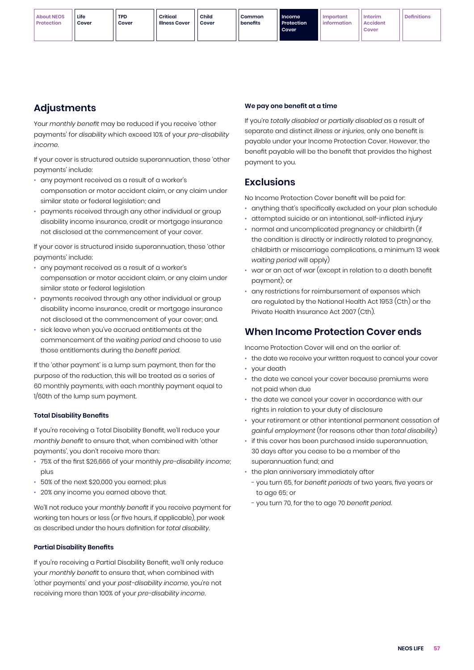| <b>About NEOS</b> | Life  |
|-------------------|-------|
| Protection        | Cover |
|                   |       |

**Critical** 

**Accident Cover**

## **Adjustments**

Your *monthly benefit* may be reduced if you receive 'other payments' for *disability* which exceed 10% of your *pre-disability income*.

If your cover is structured outside superannuation, these 'other payments' include:

- any payment received as a result of a worker's compensation or motor accident claim, or any claim under similar state or federal legislation; and
- payments received through any other individual or group disability income insurance, credit or mortgage insurance not disclosed at the commencement of your cover.

If your cover is structured inside superannuation, these 'other payments' include:

- any payment received as a result of a worker's compensation or motor accident claim, or any claim under similar state or federal legislation
- payments received through any other individual or group disability income insurance, credit or mortgage insurance not disclosed at the commencement of your cover; and.
- sick leave when you've accrued entitlements at the commencement of the *waiting period* and choose to use those entitlements during the *benefit period*.

If the 'other payment' is a lump sum payment, then for the purpose of the reduction, this will be treated as a series of 60 monthly payments, with each monthly payment equal to 1/60th of the lump sum payment.

## **Total Disability Benefits**

If you're receiving a Total Disability Benefit, we'll reduce your *monthly benefit* to ensure that, when combined with 'other payments', you don't receive more than:

- 75% of the first \$26,666 of your monthly *pre-disability income*; plus
- 50% of the next \$20,000 you earned; plus
- 20% any income you earned above that.

We'll not reduce your *monthly benefit* if you receive payment for working ten hours or less (or five hours, if applicable), per week as described under the hours definition for *total disability*.

## **Partial Disability Benefits**

If you're receiving a Partial Disability Benefit, we'll only reduce your *monthly benefit* to ensure that, when combined with 'other payments' and your *post-disability income*, you're not receiving more than 100% of your *pre-disability income*.

## **We pay one benefit at a time**

If you're *totally disabled* or *partially disabled* as a result of separate and distinct *illness* or *injuries*, only one benefit is payable under your Income Protection Cover. However, the benefit payable will be the benefit that provides the highest payment to you.

## **Exclusions**

No Income Protection Cover benefit will be paid for:

- anything that's specifically excluded on your plan schedule
- attempted suicide or an intentional, self-inflicted *injury*
- normal and uncomplicated pregnancy or childbirth (if the condition is directly or indirectly related to pregnancy, childbirth or miscarriage complications, a minimum 13 week *waiting period* will apply)
- war or an act of war (except in relation to a death benefit payment); or
- any restrictions for reimbursement of expenses which are regulated by the National Health Act 1953 (Cth) or the Private Health Insurance Act 2007 (Cth).

## **When Income Protection Cover ends**

Income Protection Cover will end on the earlier of:

- the date we receive your written request to cancel your cover
- your death
- the date we cancel your cover because premiums were not paid when due
- the date we cancel your cover in accordance with our rights in relation to your duty of disclosure
- your retirement or other intentional permanent cessation of *gainful employment* (for reasons other than *total disability*)
- if this cover has been purchased inside superannuation, 30 days after you cease to be a member of the superannuation fund; and
- the plan anniversary immediately after
- you turn 65, for *benefit periods* of two years, five years or to age 65; or
- you turn 70, for the to age 70 *benefit period*.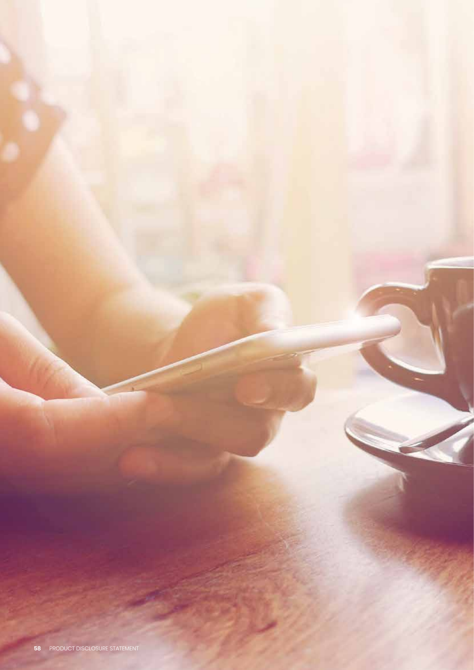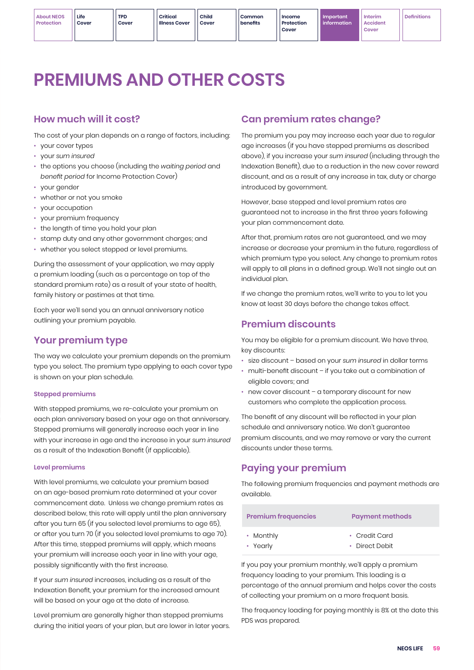**Accident Cover**

# **PREMIUMS AND OTHER COSTS**

**Critical** 

## **How much will it cost?**

**Life Cover**

The cost of your plan depends on a range of factors, including:

- your cover types
- your *sum insured*
- the options you choose (including the *waiting period* and *benefit period* for Income Protection Cover)
- your gender
- whether or not you smoke
- your occupation
- your premium frequency
- the length of time you hold your plan
- stamp duty and any other government charges; and
- whether you select stepped or level premiums.

During the assessment of your application, we may apply a premium loading (such as a percentage on top of the standard premium rate) as a result of your state of health, family history or pastimes at that time.

Each year we'll send you an annual anniversary notice outlining your premium payable.

## **Your premium type**

The way we calculate your premium depends on the premium type you select. The premium type applying to each cover type is shown on your plan schedule.

## **Stepped premiums**

With stepped premiums, we re-calculate your premium on each plan anniversary based on your age on that anniversary. Stepped premiums will generally increase each year in line with your increase in age and the increase in your *sum insured*  as a result of the Indexation Benefit (if applicable).

## **Level premiums**

With level premiums, we calculate your premium based on an age-based premium rate determined at your cover commencement date. Unless we change premium rates as described below, this rate will apply until the plan anniversary after you turn 65 (if you selected level premiums to age 65), or after you turn 70 (if you selected level premiums to age 70). After this time, stepped premiums will apply, which means your premium will increase each year in line with your age, possibly significantly with the first increase.

If your *sum insured* increases, including as a result of the Indexation Benefit, your premium for the increased amount will be based on your age at the date of increase.

Level premium are generally higher than stepped premiums during the initial years of your plan, but are lower in later years.

## **Can premium rates change?**

The premium you pay may increase each year due to regular age increases (if you have stepped premiums as described above), if you increase your *sum insured* (including through the Indexation Benefit), due to a reduction in the new cover reward discount, and as a result of any increase in tax, duty or charge introduced by government.

However, base stepped and level premium rates are guaranteed not to increase in the first three years following your plan commencement date.

After that, premium rates are not guaranteed, and we may increase or decrease your premium in the future, regardless of which premium type you select. Any change to premium rates will apply to all plans in a defined group. We'll not single out an individual plan.

If we change the premium rates, we'll write to you to let you know at least 30 days before the change takes effect.

## **Premium discounts**

You may be eligible for a premium discount. We have three, key discounts:

- size discount based on your *sum insured* in dollar terms
- multi-benefit discount if you take out a combination of eligible covers; and
- new cover discount a temporary discount for new customers who complete the application process.

The benefit of any discount will be reflected in your plan schedule and anniversary notice. We don't guarantee premium discounts, and we may remove or vary the current discounts under these terms.

## **Paying your premium**

The following premium frequencies and payment methods are available.

| <b>Premium frequencies</b> | <b>Payment methods</b> |  |  |  |  |
|----------------------------|------------------------|--|--|--|--|
| • Monthly                  | • Credit Card          |  |  |  |  |
| • Yearly                   | • Direct Debit         |  |  |  |  |

If you pay your premium monthly, we'll apply a premium frequency loading to your premium. This loading is a percentage of the annual premium and helps cover the costs of collecting your premium on a more frequent basis.

The frequency loading for paying monthly is 8% at the date this PDS was prepared.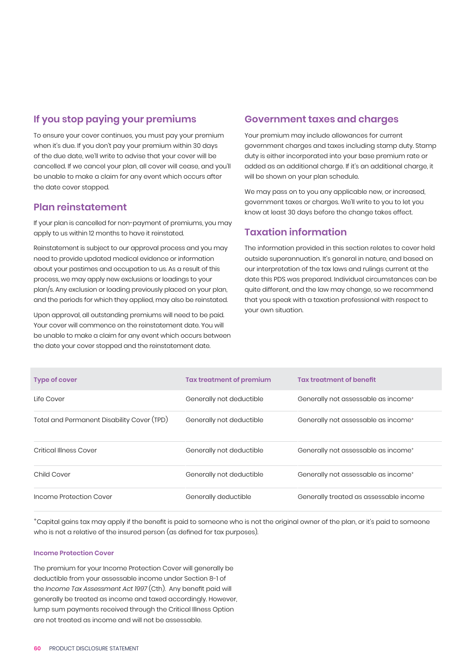## **If you stop paying your premiums**

To ensure your cover continues, you must pay your premium when it's due. If you don't pay your premium within 30 days of the due date, we'll write to advise that your cover will be cancelled. If we cancel your plan, all cover will cease, and you'll be unable to make a claim for any event which occurs after the date cover stopped.

## **Plan reinstatement**

If your plan is cancelled for non-payment of premiums, you may apply to us within 12 months to have it reinstated.

Reinstatement is subject to our approval process and you may need to provide updated medical evidence or information about your pastimes and occupation to us. As a result of this process, we may apply new exclusions or loadings to your plan/s. Any exclusion or loading previously placed on your plan, and the periods for which they applied, may also be reinstated.

Upon approval, all outstanding premiums will need to be paid. Your cover will commence on the reinstatement date. You will be unable to make a claim for any event which occurs between the date your cover stopped and the reinstatement date.

## **Government taxes and charges**

Your premium may include allowances for current government charges and taxes including stamp duty. Stamp duty is either incorporated into your base premium rate or added as an additional charge. If it's an additional charge, it will be shown on your plan schedule.

We may pass on to you any applicable new, or increased, government taxes or charges. We'll write to you to let you know at least 30 days before the change takes effect.

## **Taxation information**

The information provided in this section relates to cover held outside superannuation. It's general in nature, and based on our interpretation of the tax laws and rulings current at the date this PDS was prepared. Individual circumstances can be quite different, and the law may change, so we recommend that you speak with a taxation professional with respect to your own situation.

| <b>Type of cover</b>                       | Tax treatment of premium | Tax treatment of benefit                        |
|--------------------------------------------|--------------------------|-------------------------------------------------|
| Life Cover                                 | Generally not deductible | Generally not assessable as income <sup>+</sup> |
| Total and Permanent Disability Cover (TPD) | Generally not deductible | Generally not assessable as income <sup>+</sup> |
| Critical Illness Cover                     | Generally not deductible | Generally not assessable as income <sup>+</sup> |
| Child Cover                                | Generally not deductible | Generally not assessable as income <sup>+</sup> |
| Income Protection Cover                    | Generally deductible     | Generally treated as assessable income          |

<sup>+</sup>Capital gains tax may apply if the benefit is paid to someone who is not the original owner of the plan, or it's paid to someone who is not a relative of the insured person (as defined for tax purposes).

## **Income Protection Cover**

The premium for your Income Protection Cover will generally be deductible from your assessable income under Section 8-1 of the *Income Tax Assessment Act 1997* (Cth). Any benefit paid will generally be treated as income and taxed accordingly. However, lump sum payments received through the Critical Illness Option are not treated as income and will not be assessable.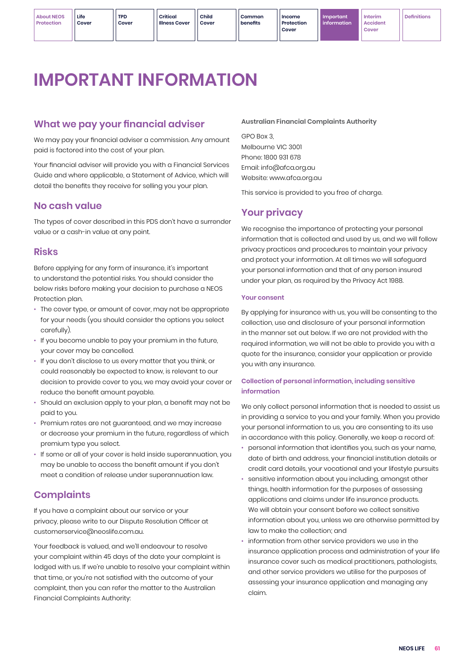**Critical** 

**Accident Cover**

# **IMPORTANT INFORMATION**

## **What we pay your financial adviser**

We may pay your financial adviser a commission. Any amount paid is factored into the cost of your plan.

Your financial adviser will provide you with a Financial Services Guide and where applicable, a Statement of Advice, which will detail the benefits they receive for selling you your plan.

## **No cash value**

The types of cover described in this PDS don't have a surrender value or a cash-in value at any point.

## **Risks**

Before applying for any form of insurance, it's important to understand the potential risks. You should consider the below risks before making your decision to purchase a NEOS Protection plan.

- The cover type, or amount of cover, may not be appropriate for your needs (you should consider the options you select carefully).
- If you become unable to pay your premium in the future, your cover may be cancelled.
- If you don't disclose to us every matter that you think, or could reasonably be expected to know, is relevant to our decision to provide cover to you, we may avoid your cover or reduce the benefit amount payable.
- Should an exclusion apply to your plan, a benefit may not be paid to you.
- Premium rates are not guaranteed, and we may increase or decrease your premium in the future, regardless of which premium type you select.
- If some or all of your cover is held inside superannuation, you may be unable to access the benefit amount if you don't meet a condition of release under superannuation law.

## **Complaints**

If you have a complaint about our service or your privacy, please write to our Dispute Resolution Officer at customerservice@neoslife.com.au.

Your feedback is valued, and we'll endeavour to resolve your complaint within 45 days of the date your complaint is lodged with us. If we're unable to resolve your complaint within that time, or you're not satisfied with the outcome of your complaint, then you can refer the matter to the Australian Financial Complaints Authority:

**Australian Financial Complaints Authority** 

GPO Box 3, Melbourne VIC 3001 Phone: 1800 931 678 Email: info@afca.org.au Website: www.afca.org.au

This service is provided to you free of charge.

## **Your privacy**

We recognise the importance of protecting your personal information that is collected and used by us, and we will follow privacy practices and procedures to maintain your privacy and protect your information. At all times we will safeguard your personal information and that of any person insured under your plan, as required by the Privacy Act 1988.

## **Your consent**

By applying for insurance with us, you will be consenting to the collection, use and disclosure of your personal information in the manner set out below. If we are not provided with the required information, we will not be able to provide you with a quote for the insurance, consider your application or provide you with any insurance.

## **Collection of personal information, including sensitive information**

We only collect personal information that is needed to assist us in providing a service to you and your family. When you provide your personal information to us, you are consenting to its use in accordance with this policy. Generally, we keep a record of:

- personal information that identifies you, such as your name, date of birth and address, your financial institution details or credit card details, your vocational and your lifestyle pursuits
- sensitive information about you including, amongst other things, health information for the purposes of assessing applications and claims under life insurance products. We will obtain your consent before we collect sensitive information about you, unless we are otherwise permitted by law to make the collection; and
- information from other service providers we use in the insurance application process and administration of your life insurance cover such as medical practitioners, pathologists, and other service providers we utilise for the purposes of assessing your insurance application and managing any claim.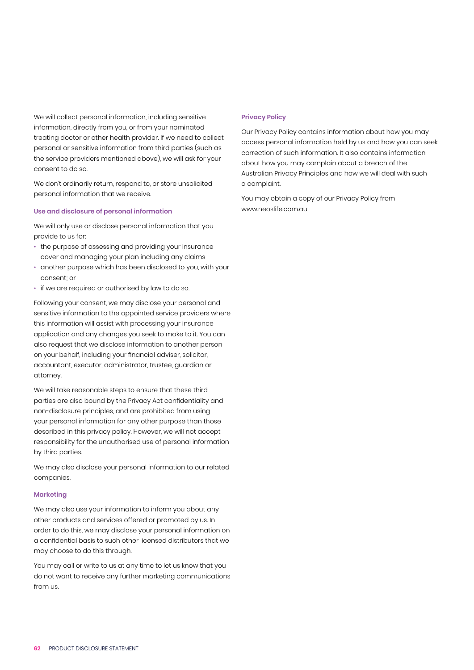We will collect personal information, including sensitive information, directly from you, or from your nominated treating doctor or other health provider. If we need to collect personal or sensitive information from third parties (such as the service providers mentioned above), we will ask for your consent to do so.

We don't ordinarily return, respond to, or store unsolicited personal information that we receive.

#### **Use and disclosure of personal information**

We will only use or disclose personal information that you provide to us for:

- the purpose of assessing and providing your insurance cover and managing your plan including any claims
- another purpose which has been disclosed to you, with your consent; or
- if we are required or authorised by law to do so.

Following your consent, we may disclose your personal and sensitive information to the appointed service providers where this information will assist with processing your insurance application and any changes you seek to make to it. You can also request that we disclose information to another person on your behalf, including your financial adviser, solicitor, accountant, executor, administrator, trustee, guardian or attorney.

We will take reasonable steps to ensure that these third parties are also bound by the Privacy Act confidentiality and non-disclosure principles, and are prohibited from using your personal information for any other purpose than those described in this privacy policy. However, we will not accept responsibility for the unauthorised use of personal information by third parties.

We may also disclose your personal information to our related companies.

#### **Marketing**

We may also use your information to inform you about any other products and services offered or promoted by us. In order to do this, we may disclose your personal information on a confidential basis to such other licensed distributors that we may choose to do this through.

You may call or write to us at any time to let us know that you do not want to receive any further marketing communications from us.

## **Privacy Policy**

Our Privacy Policy contains information about how you may access personal information held by us and how you can seek correction of such information. It also contains information about how you may complain about a breach of the Australian Privacy Principles and how we will deal with such a complaint.

You may obtain a copy of our Privacy Policy from www.neoslife.com.au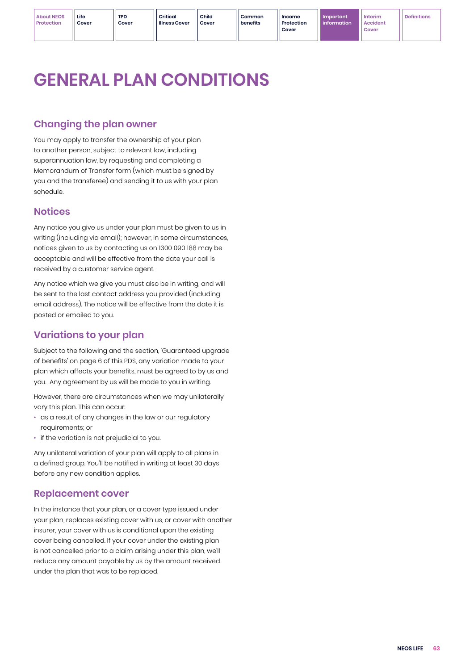**Life Cover**

**Accident Cover**

# **GENERAL PLAN CONDITIONS**

## **Changing the plan owner**

You may apply to transfer the ownership of your plan to another person, subject to relevant law, including superannuation law, by requesting and completing a Memorandum of Transfer form (which must be signed by you and the transferee) and sending it to us with your plan schedule.

## **Notices**

Any notice you give us under your plan must be given to us in writing (including via email); however, in some circumstances, notices given to us by contacting us on 1300 090 188 may be acceptable and will be effective from the date your call is received by a customer service agent.

Any notice which we give you must also be in writing, and will be sent to the last contact address you provided (including email address). The notice will be effective from the date it is posted or emailed to you.

## **Variations to your plan**

Subject to the following and the section, 'Guaranteed upgrade of benefits' on page 6 of this PDS, any variation made to your plan which affects your benefits, must be agreed to by us and you. Any agreement by us will be made to you in writing.

However, there are circumstances when we may unilaterally vary this plan. This can occur:

- as a result of any changes in the law or our regulatory requirements; or
- if the variation is not prejudicial to you.

Any unilateral variation of your plan will apply to all plans in a defined group. You'll be notified in writing at least 30 days before any new condition applies.

## **Replacement cover**

In the instance that your plan, or a cover type issued under your plan, replaces existing cover with us, or cover with another insurer, your cover with us is conditional upon the existing cover being cancelled. If your cover under the existing plan is not cancelled prior to a claim arising under this plan, we'll reduce any amount payable by us by the amount received under the plan that was to be replaced.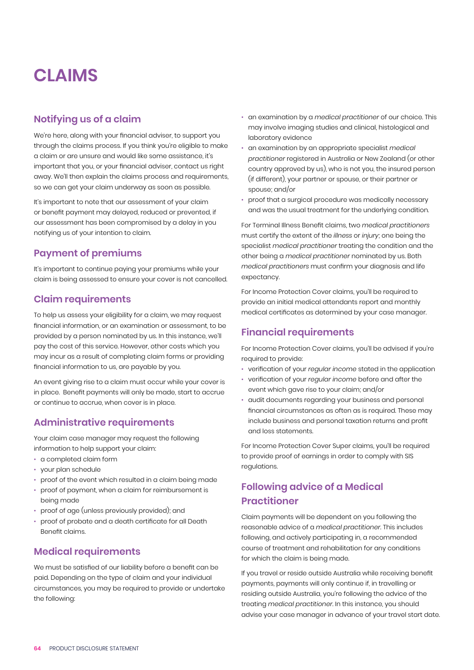# **CLAIMS**

## **Notifying us of a claim**

We're here, along with your financial adviser, to support you through the claims process. If you think you're eligible to make a claim or are unsure and would like some assistance, it's important that you, or your financial adviser, contact us right away. We'll then explain the claims process and requirements, so we can get your claim underway as soon as possible.

It's important to note that our assessment of your claim or benefit payment may delayed, reduced or prevented, if our assessment has been compromised by a delay in you notifying us of your intention to claim.

## **Payment of premiums**

It's important to continue paying your premiums while your claim is being assessed to ensure your cover is not cancelled.

## **Claim requirements**

To help us assess your eligibility for a claim, we may request financial information, or an examination or assessment, to be provided by a person nominated by us. In this instance, we'll pay the cost of this service. However, other costs which you may incur as a result of completing claim forms or providing financial information to us, are payable by you.

An event giving rise to a claim must occur while your cover is in place. Benefit payments will only be made, start to accrue or continue to accrue, when cover is in place.

## **Administrative requirements**

Your claim case manager may request the following information to help support your claim:

- a completed claim form
- your plan schedule
- proof of the event which resulted in a claim being made
- proof of payment, when a claim for reimbursement is being made
- proof of age (unless previously provided); and
- proof of probate and a death certificate for all Death Benefit claims.

## **Medical requirements**

We must be satisfied of our liability before a benefit can be paid. Depending on the type of claim and your individual circumstances, you may be required to provide or undertake the following:

- an examination by a *medical practitioner* of our choice. This may involve imaging studies and clinical, histological and laboratory evidence
- an examination by an appropriate specialist *medical practitioner* registered in Australia or New Zealand (or other country approved by us), who is not you, the insured person (if different), your partner or spouse, or their partner or spouse; and/or
- proof that a surgical procedure was medically necessary and was the usual treatment for the underlying condition.

For Terminal Illness Benefit claims, two *medical practitioners*  must certify the extent of the *illness* or *injury*; one being the specialist *medical practitioner* treating the condition and the other being a *medical practitioner* nominated by us. Both *medical practitioners* must confirm your diagnosis and life expectancy.

For Income Protection Cover claims, you'll be required to provide an initial medical attendants report and monthly medical certificates as determined by your case manager.

## **Financial requirements**

For Income Protection Cover claims, you'll be advised if you're required to provide:

- verification of your *regular income* stated in the application
- verification of your *regular income* before and after the event which gave rise to your claim; and/or
- audit documents regarding your business and personal financial circumstances as often as is required. These may include business and personal taxation returns and profit and loss statements.

For Income Protection Cover Super claims, you'll be required to provide proof of earnings in order to comply with SIS regulations.

## **Following advice of a Medical Practitioner**

Claim payments will be dependent on you following the reasonable advice of a *medical practitioner*. This includes following, and actively participating in, a recommended course of treatment and rehabilitation for any conditions for which the claim is being made.

If you travel or reside outside Australia while receiving benefit payments, payments will only continue if, in travelling or residing outside Australia, you're following the advice of the treating *medical practitioner*. In this instance, you should advise your case manager in advance of your travel start date.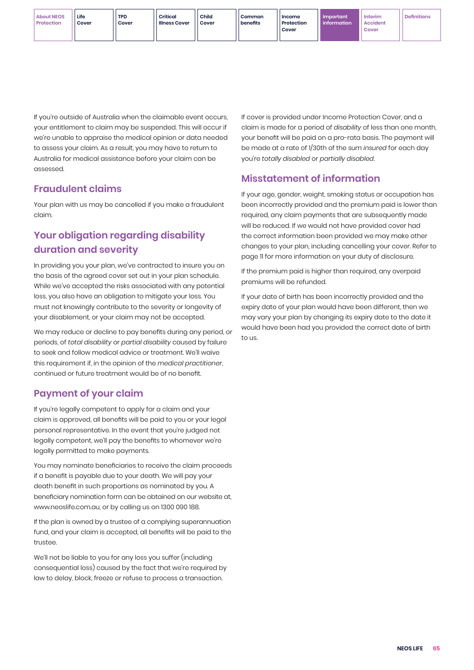**Accident Cover**

If you're outside of Australia when the claimable event occurs, your entitlement to claim may be suspended. This will occur if we're unable to appraise the medical opinion or data needed to assess your claim. As a result, you may have to return to Australia for medical assistance before your claim can be assessed.

## **Fraudulent claims**

Your plan with us may be cancelled if you make a fraudulent claim.

## **Your obligation regarding disability duration and severity**

In providing you your plan, we've contracted to insure you on the basis of the agreed cover set out in your plan schedule. While we've accepted the risks associated with any potential loss, you also have an obligation to mitigate your loss. You must not knowingly contribute to the severity or longevity of your disablement, or your claim may not be accepted.

We may reduce or decline to pay benefits during any period, or periods, of *total disability* or *partial disability* caused by failure to seek and follow medical advice or treatment. We'll waive this requirement if, in the opinion of the *medical practitioner*, continued or future treatment would be of no benefit.

## **Payment of your claim**

If you're legally competent to apply for a claim and your claim is approved, all benefits will be paid to you or your legal personal representative. In the event that you're judged not legally competent, we'll pay the benefits to whomever we're legally permitted to make payments.

You may nominate beneficiaries to receive the claim proceeds if a benefit is payable due to your death. We will pay your death benefit in such proportions as nominated by you. A beneficiary nomination form can be obtained on our website at, www.neoslife.com.au, or by calling us on 1300 090 188.

If the plan is owned by a trustee of a complying superannuation fund, and your claim is accepted, all benefits will be paid to the trustee.

We'll not be liable to you for any loss you suffer (including consequential loss) caused by the fact that we're required by law to delay, block, freeze or refuse to process a transaction.

If cover is provided under Income Protection Cover, and a claim is made for a period of *disability* of less than one month, your benefit will be paid on a pro-rata basis. The payment will be made at a rate of 1/30th of the *sum insured* for each day you're *totally disabled* or *partially disabled*.

## **Misstatement of information**

If your age, gender, weight, smoking status or occupation has been incorrectly provided and the premium paid is lower than required, any claim payments that are subsequently made will be reduced. If we would not have provided cover had the correct information been provided we may make other changes to your plan, including cancelling your cover. Refer to page 11 for more information on your duty of disclosure.

If the premium paid is higher than required, any overpaid premiums will be refunded.

If your date of birth has been incorrectly provided and the expiry date of your plan would have been different, then we may vary your plan by changing its expiry date to the date it would have been had you provided the correct date of birth to us.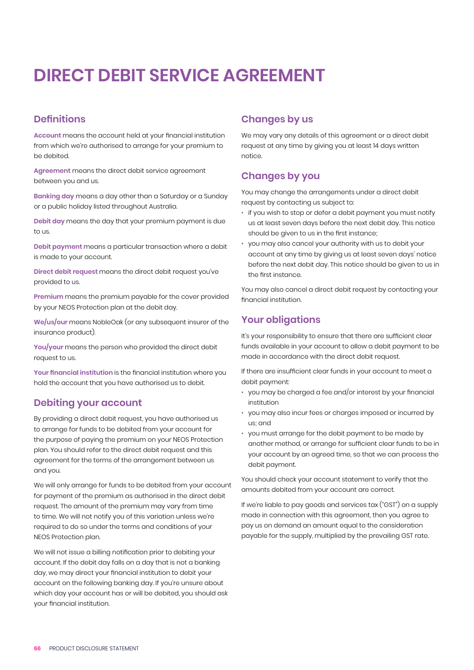# **DIRECT DEBIT SERVICE AGREEMENT**

## **Definitions**

**Account** means the account held at your financial institution from which we're authorised to arrange for your premium to be debited.

**Agreement** means the direct debit service agreement between you and us.

**Banking day** means a day other than a Saturday or a Sunday or a public holiday listed throughout Australia.

**Debit day** means the day that your premium payment is due to us.

**Debit payment** means a particular transaction where a debit is made to your account.

**Direct debit request** means the direct debit request you've provided to us.

**Premium** means the premium payable for the cover provided by your NEOS Protection plan at the debit day.

**We/us/our** means NobleOak (or any subsequent insurer of the insurance product).

**You/your** means the person who provided the direct debit request to us.

**Your financial institution** is the financial institution where you hold the account that you have authorised us to debit.

## **Debiting your account**

By providing a direct debit request, you have authorised us to arrange for funds to be debited from your account for the purpose of paying the premium on your NEOS Protection plan. You should refer to the direct debit request and this agreement for the terms of the arrangement between us and you.

We will only arrange for funds to be debited from your account for payment of the premium as authorised in the direct debit request. The amount of the premium may vary from time to time. We will not notify you of this variation unless we're required to do so under the terms and conditions of your NEOS Protection plan.

We will not issue a billing notification prior to debiting your account. If the debit day falls on a day that is not a banking day, we may direct your financial institution to debit your account on the following banking day. If you're unsure about which day your account has or will be debited, you should ask your financial institution.

## **Changes by us**

We may vary any details of this agreement or a direct debit request at any time by giving you at least 14 days written notice.

## **Changes by you**

You may change the arrangements under a direct debit request by contacting us subject to:

- if you wish to stop or defer a debit payment you must notify us at least seven days before the next debit day. This notice should be given to us in the first instance;
- you may also cancel your authority with us to debit your account at any time by giving us at least seven days' notice before the next debit day. This notice should be given to us in the first instance.

You may also cancel a direct debit request by contacting your financial institution.

## **Your obligations**

It's your responsibility to ensure that there are sufficient clear funds available in your account to allow a debit payment to be made in accordance with the direct debit request.

If there are insufficient clear funds in your account to meet a debit payment:

- you may be charged a fee and/or interest by your financial institution
- you may also incur fees or charges imposed or incurred by us; and
- you must arrange for the debit payment to be made by another method, or arrange for sufficient clear funds to be in your account by an agreed time, so that we can process the debit payment.

You should check your account statement to verify that the amounts debited from your account are correct.

If we're liable to pay goods and services tax ("GST") on a supply made in connection with this agreement, then you agree to pay us on demand an amount equal to the consideration payable for the supply, multiplied by the prevailing GST rate.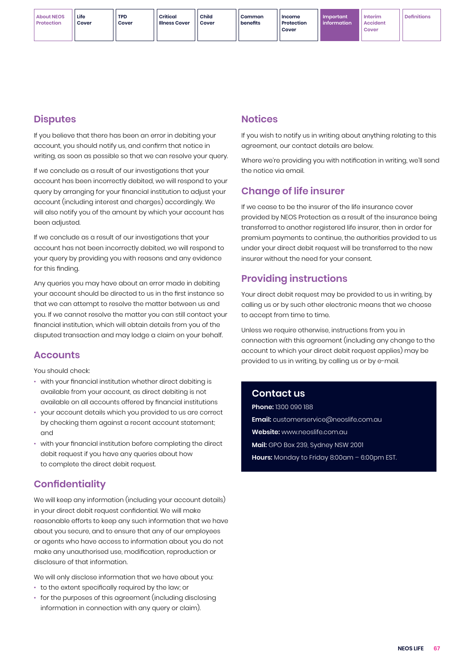**Life Cover**

**Accident Cover**

## **Disputes**

If you believe that there has been an error in debiting your account, you should notify us, and confirm that notice in writing, as soon as possible so that we can resolve your query.

If we conclude as a result of our investigations that your account has been incorrectly debited, we will respond to your query by arranging for your financial institution to adjust your account (including interest and charges) accordingly. We will also notify you of the amount by which your account has been adjusted.

If we conclude as a result of our investigations that your account has not been incorrectly debited, we will respond to your query by providing you with reasons and any evidence for this finding.

Any queries you may have about an error made in debiting your account should be directed to us in the first instance so that we can attempt to resolve the matter between us and you. If we cannot resolve the matter you can still contact your financial institution, which will obtain details from you of the disputed transaction and may lodge a claim on your behalf.

## **Accounts**

You should check:

- with your financial institution whether direct debiting is available from your account, as direct debiting is not available on all accounts offered by financial institutions
- your account details which you provided to us are correct by checking them against a recent account statement; and
- with your financial institution before completing the direct debit request if you have any queries about how to complete the direct debit request.

## **Confidentiality**

We will keep any information (including your account details) in your direct debit request confidential. We will make reasonable efforts to keep any such information that we have about you secure, and to ensure that any of our employees or agents who have access to information about you do not make any unauthorised use, modification, reproduction or disclosure of that information.

We will only disclose information that we have about you:

- to the extent specifically required by the law; or
- for the purposes of this agreement (including disclosing information in connection with any query or claim).

## **Notices**

If you wish to notify us in writing about anything relating to this agreement, our contact details are below.

Where we're providing you with notification in writing, we'll send the notice via email.

## **Change of life insurer**

If we cease to be the insurer of the life insurance cover provided by NEOS Protection as a result of the insurance being transferred to another registered life insurer, then in order for premium payments to continue, the authorities provided to us under your direct debit request will be transferred to the new insurer without the need for your consent.

## **Providing instructions**

Your direct debit request may be provided to us in writing, by calling us or by such other electronic means that we choose to accept from time to time.

Unless we require otherwise, instructions from you in connection with this agreement (including any change to the account to which your direct debit request applies) may be provided to us in writing, by calling us or by e-mail.

## **Contact us**

**Phone:** 1300 090 188 **Email:** customerservice@neoslife.com.au **Website:** www.neoslife.com.au **Mail:** GPO Box 239, Sydney NSW 2001 **Hours:** Monday to Friday 8:00am – 6:00pm EST.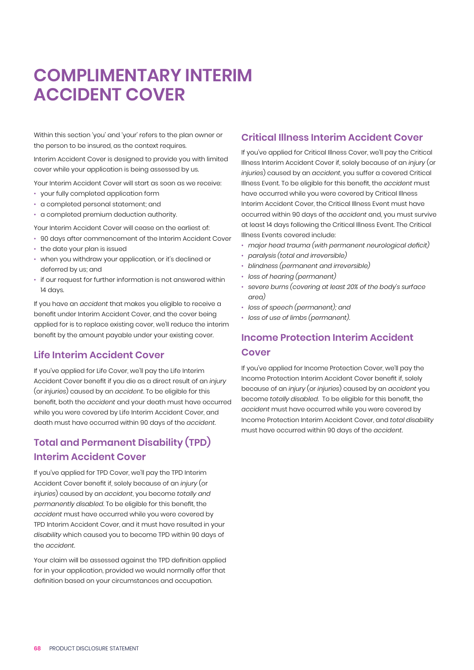# **COMPLIMENTARY INTERIM ACCIDENT COVER**

Within this section 'you' and 'your' refers to the plan owner or the person to be insured, as the context requires.

Interim Accident Cover is designed to provide you with limited cover while your application is being assessed by us.

Your Interim Accident Cover will start as soon as we receive:

- your fully completed application form
- a completed personal statement; and
- a completed premium deduction authority.

Your Interim Accident Cover will cease on the earliest of:

- 90 days after commencement of the Interim Accident Cover
- the date your plan is issued
- when you withdraw your application, or it's declined or deferred by us; and
- if our request for further information is not answered within 14 days.

If you have an *accident* that makes you eligible to receive a benefit under Interim Accident Cover, and the cover being applied for is to replace existing cover, we'll reduce the interim benefit by the amount payable under your existing cover.

## **Life Interim Accident Cover**

If you've applied for Life Cover, we'll pay the Life Interim Accident Cover benefit if you die as a direct result of an *injury*  (or *injuries*) caused by an *accident*. To be eligible for this benefit, both the *accident* and your death must have occurred while you were covered by Life Interim Accident Cover, and death must have occurred within 90 days of the *accident*.

## **Total and Permanent Disability (TPD) Interim Accident Cover**

If you've applied for TPD Cover, we'll pay the TPD Interim Accident Cover benefit if, solely because of an *injury* (or *injuries*) caused by an *accident*, you become *totally and permanently disabled*. To be eligible for this benefit, the *accident* must have occurred while you were covered by TPD Interim Accident Cover, and it must have resulted in your *disability* which caused you to become TPD within 90 days of the *accident*.

Your claim will be assessed against the TPD definition applied for in your application, provided we would normally offer that definition based on your circumstances and occupation.

## **Critical Illness Interim Accident Cover**

If you've applied for Critical Illness Cover, we'll pay the Critical Illness Interim Accident Cover if, solely because of an *injury* (or *injuries*) caused by an *accident*, you suffer a covered Critical Illness Event. To be eligible for this benefit, the *accident* must have occurred while you were covered by Critical Illness Interim Accident Cover, the Critical Illness Event must have occurred within 90 days of the *accident* and, you must survive at least 14 days following the Critical Illness Event. The Critical Illness Events covered include:

- *major head trauma (with permanent neurological deficit)*
- *paralysis (total and irreversible)*
- *blindness (permanent and irreversible)*
- *loss of hearing (permanent)*
- *severe burns (covering at least 20% of the body's surface area)*
- *loss of speech (permanent); and*
- *loss of use of limbs (permanent).*

## **Income Protection Interim Accident Cover**

If you've applied for Income Protection Cover, we'll pay the Income Protection Interim Accident Cover benefit if, solely because of an *injury* (or *injuries*) caused by an *accident* you become *totally disabled*. To be eligible for this benefit, the *accident* must have occurred while you were covered by Income Protection Interim Accident Cover, and *total disability*  must have occurred within 90 days of the *accident*.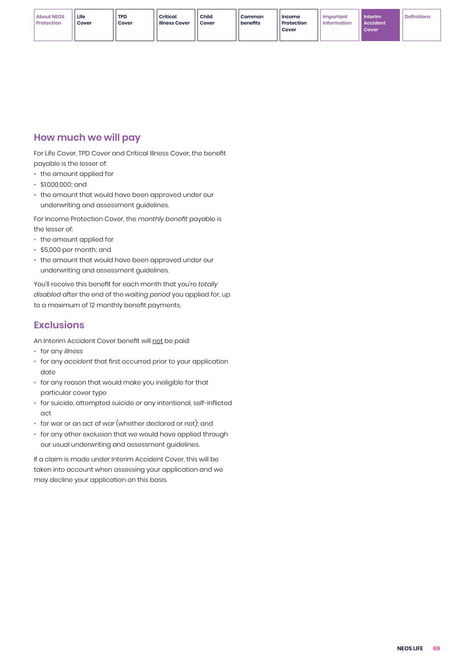| <b>About NEOS</b><br>Protection | Life<br>Cover | <b>TPD</b><br>Cover | Critical<br><b>Illness Cover</b> | Child<br>Cover | Common<br>benefits | Income<br>Protection<br>Cover | Important<br>information | <b>Interim</b><br><b>Accident</b><br>Cover | <b>Definitions</b> |
|---------------------------------|---------------|---------------------|----------------------------------|----------------|--------------------|-------------------------------|--------------------------|--------------------------------------------|--------------------|
|                                 |               |                     |                                  |                |                    |                               |                          |                                            |                    |

## **How much we will pay**

For Life Cover, TPD Cover and Critical Illness Cover, the benefit payable is the lesser of:

- the amount applied for
- \$1,000,000; and
- the amount that would have been approved under our underwriting and assessment guidelines.

For Income Protection Cover, the *monthly benefit* payable is the lesser of:

- the amount applied for
- \$5,000 per month; and
- the amount that would have been approved under our underwriting and assessment guidelines.

You'll receive this benefit for each month that you're *totally disabled* after the end of the *waiting period* you applied for, up to a maximum of 12 monthly benefit payments.

## **Exclusions**

An Interim Accident Cover benefit will not be paid:

- for any *illness*
- for any *accident* that first occurred prior to your application date
- for any reason that would make you ineligible for that particular cover type
- for suicide, attempted suicide or any intentional, self-inflicted act
- for war or an act of war (whether declared or not); and
- for any other exclusion that we would have applied through our usual underwriting and assessment guidelines.

If a claim is made under Interim Accident Cover, this will be taken into account when assessing your application and we may decline your application on this basis.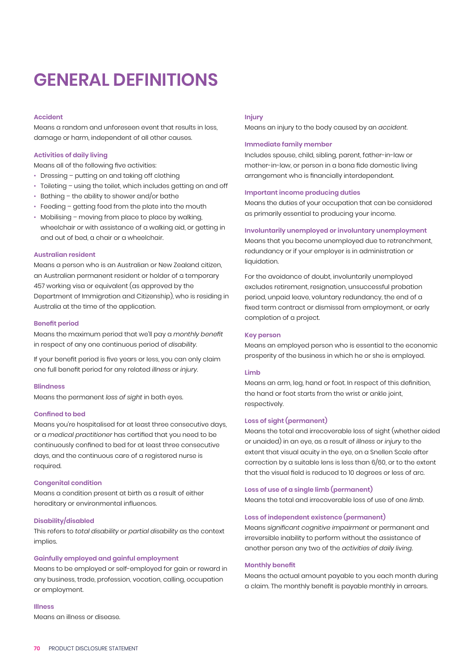# **GENERAL DEFINITIONS**

## **Accident**

Means a random and unforeseen event that results in loss, damage or harm, independent of all other causes.

#### **Activities of daily living**

Means all of the following five activities:

- Dressing putting on and taking off clothing
- Toileting using the toilet, which includes getting on and off
- Bathing the ability to shower and/or bathe
- Feeding getting food from the plate into the mouth
- Mobilising moving from place to place by walking, wheelchair or with assistance of a walking aid, or getting in and out of bed, a chair or a wheelchair.

#### **Australian resident**

Means a person who is an Australian or New Zealand citizen, an Australian permanent resident or holder of a temporary 457 working visa or equivalent (as approved by the Department of Immigration and Citizenship), who is residing in Australia at the time of the application.

#### **Benefit period**

Means the maximum period that we'll pay a *monthly benefit*  in respect of any one continuous period of *disability*.

If your benefit period is five years or less, you can only claim one full benefit period for any related *illness* or *injury*.

#### **Blindness**

Means the permanent *loss of sight* in both eyes.

## **Confined to bed**

Means you're hospitalised for at least three consecutive days, or a *medical practitioner* has certified that you need to be continuously confined to bed for at least three consecutive days, and the continuous care of a registered nurse is required.

## **Congenital condition**

Means a condition present at birth as a result of either hereditary or environmental influences.

## **Disability/disabled**

This refers to *total disability* or *partial disability* as the context implies.

## **Gainfully employed and gainful employment**

Means to be employed or self-employed for gain or reward in any business, trade, profession, vocation, calling, occupation or employment.

#### **Illness**

Means an illness or disease.

## **Injury**

Means an injury to the body caused by an *accident*.

#### **Immediate family member**

Includes spouse, child, sibling, parent, father-in-law or mother-in-law, or person in a bona fide domestic living arrangement who is financially interdependent.

#### **Important income producing duties**

Means the duties of your occupation that can be considered as primarily essential to producing your income.

### **Involuntarily unemployed or involuntary unemployment**

Means that you become unemployed due to retrenchment, redundancy or if your employer is in administration or liquidation.

For the avoidance of doubt, involuntarily unemployed excludes retirement, resignation, unsuccessful probation period, unpaid leave, voluntary redundancy, the end of a fixed term contract or dismissal from employment, or early completion of a project.

## **Key person**

Means an employed person who is essential to the economic prosperity of the business in which he or she is employed.

## **Limb**

Means an arm, leg, hand or foot. In respect of this definition, the hand or foot starts from the wrist or ankle joint, respectively.

#### **Loss of sight (permanent)**

Means the total and irrecoverable loss of sight (whether aided or unaided) in an eye, as a result of *illness* or *injury* to the extent that visual acuity in the eye, on a Snellen Scale after correction by a suitable lens is less than 6/60, or to the extent that the visual field is reduced to 10 degrees or less of arc.

#### **Loss of use of a single limb (permanent)**

Means the total and irrecoverable loss of use of one *limb*.

### **Loss of independent existence (permanent)**

Means *significant cognitive impairment* or permanent and irreversible inability to perform without the assistance of another person any two of the *activities of daily living*.

#### **Monthly benefit**

Means the actual amount payable to you each month during a claim. The monthly benefit is payable monthly in arrears.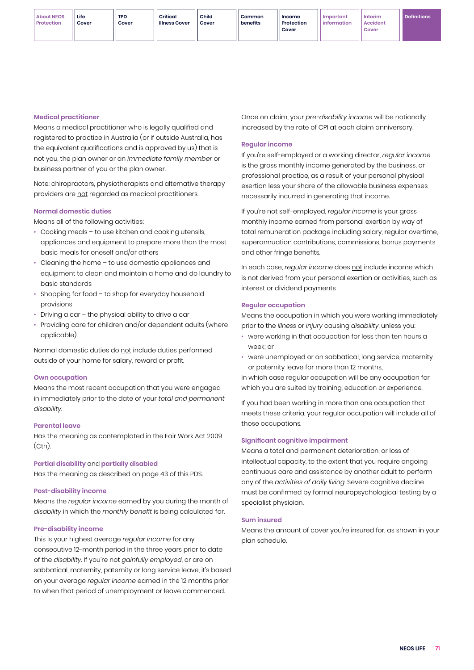| <b>About NEOS</b> | Life  | <b>TPD</b> | Critical             | Child | Common   | Income     | Important | Interin  |  |
|-------------------|-------|------------|----------------------|-------|----------|------------|-----------|----------|--|
| Protection        | Cover | Cover      | <b>Illness Cover</b> | Cover | benefits | Protection | natior    | Accident |  |
|                   |       |            |                      |       |          | Cover      |           | Cover    |  |

**Medical practitioner**

Means a medical practitioner who is legally qualified and registered to practice in Australia (or if outside Australia, has the equivalent qualifications and is approved by us) that is not you, the plan owner or an *immediate family member* or business partner of you or the plan owner.

Note: chiropractors, physiotherapists and alternative therapy providers are not regarded as medical practitioners.

## **Normal domestic duties**

Means all of the following activities:

- Cooking meals to use kitchen and cooking utensils, appliances and equipment to prepare more than the most basic meals for oneself and/or others
- Cleaning the home to use domestic appliances and equipment to clean and maintain a home and do laundry to basic standards
- Shopping for food to shop for everyday household provisions
- Driving a car the physical ability to drive a car
- Providing care for children and/or dependent adults (where applicable).

Normal domestic duties do not include duties performed outside of your home for salary, reward or profit.

## **Own occupation**

Means the most recent occupation that you were engaged in immediately prior to the date of your *total and permanent disability*.

## **Parental leave**

Has the meaning as contemplated in the Fair Work Act 2009 (Cth).

## **Partial disability** and **partially disabled**

Has the meaning as described on page 43 of this PDS.

## **Post-disability income**

Means the *regular income* earned by you during the month of *disability* in which the *monthly benefit* is being calculated for.

## **Pre-disability income**

This is your highest average *regular income* for any consecutive 12-month period in the three years prior to date of the *disability*. If you're not *gainfully employed*, or are on sabbatical, maternity, paternity or long service leave, it's based on your average *regular income* earned in the 12 months prior to when that period of unemployment or leave commenced.

Once on claim, your *pre-disability income* will be notionally increased by the rate of CPI at each claim anniversary.

## **Regular income**

If you're self-employed or a working director, *regular income*  is the gross monthly income generated by the business, or professional practice, as a result of your personal physical exertion less your share of the allowable business expenses necessarily incurred in generating that income.

If you're not self-employed, *regular income* is your gross monthly income earned from personal exertion by way of total remuneration package including salary, regular overtime, superannuation contributions, commissions, bonus payments and other fringe benefits.

In each case, *regular income* does not include income which is not derived from your personal exertion or activities, such as interest or dividend payments

## **Regular occupation**

Means the occupation in which you were working immediately prior to the *illness* or *injury* causing *disability*, unless you:

- were working in that occupation for less than ten hours a week; or
- were unemployed or on sabbatical, long service, maternity or paternity leave for more than 12 months,

in which case regular occupation will be any occupation for which you are suited by training, education or experience.

If you had been working in more than one occupation that meets these criteria, your regular occupation will include all of those occupations.

## **Significant cognitive impairment**

Means a total and permanent deterioration, or loss of intellectual capacity, to the extent that you require ongoing continuous care and assistance by another adult to perform any of the *activities of daily living*. Severe cognitive decline must be confirmed by formal neuropsychological testing by a specialist physician.

## **Sum insured**

Means the amount of cover you're insured for, as shown in your plan schedule.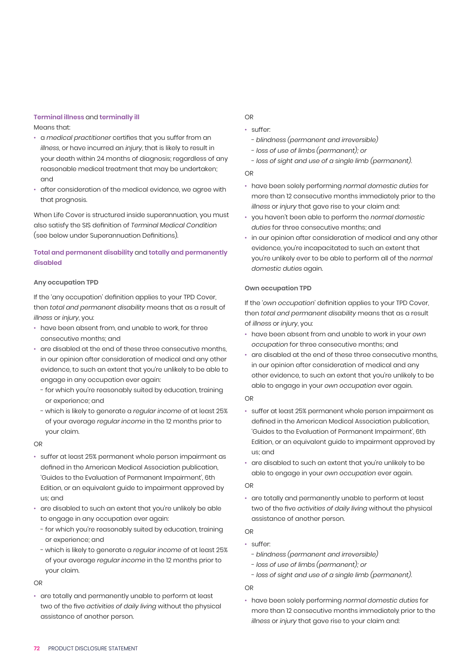## **Terminal illness** and **terminally ill**

## Means that:

- a *medical practitioner* certifies that you suffer from an *illness*, or have incurred an *injury*, that is likely to result in your death within 24 months of diagnosis; regardless of any reasonable medical treatment that may be undertaken; and
- after consideration of the medical evidence, we agree with that prognosis.

When Life Cover is structured inside superannuation, you must also satisfy the SIS definition of *Terminal Medical Condition*  (see below under Superannuation Definitions).

## **Total and permanent disability** and **totally and permanently disabled**

## **Any occupation TPD**

If the 'any occupation' definition applies to your TPD Cover, then *total and permanent disability* means that as a result of *illness* or *injury*, you:

- have been absent from, and unable to work, for three consecutive months; and
- are disabled at the end of these three consecutive months, in our opinion after consideration of medical and any other evidence, to such an extent that you're unlikely to be able to engage in any occupation ever again:
- for which you're reasonably suited by education, training or experience; and
- which is likely to generate a *regular income* of at least 25% of your average *regular income* in the 12 months prior to your claim.

#### OR

- suffer at least 25% permanent whole person impairment as defined in the American Medical Association publication, 'Guides to the Evaluation of Permanent Impairment', 6th Edition, or an equivalent guide to impairment approved by us; and
- are disabled to such an extent that you're unlikely be able to engage in any occupation ever again:
- for which you're reasonably suited by education, training or experience; and
- which is likely to generate a *regular income* of at least 25% of your average *regular income* in the 12 months prior to your claim.

#### OR

• are totally and permanently unable to perform at least two of the five *activities of daily living* without the physical assistance of another person.

## OR

- suffer:
	- *blindness (permanent and irreversible)*
	- *loss of use of limbs (permanent); or*
	- - *loss of sight and use of a single limb (permanent).*

## OR

- have been solely performing *normal domestic duties* for more than 12 consecutive months immediately prior to the *illness* or *injury* that gave rise to your claim and:
- you haven't been able to perform the *normal domestic duties* for three consecutive months; and
- in our opinion after consideration of medical and any other evidence, you're incapacitated to such an extent that you're unlikely ever to be able to perform all of the *normal domestic duties* again.

## **Own occupation TPD**

If the '*own occupation*' definition applies to your TPD Cover, then *total and permanent disability* means that as a result of *illness* or *injury*, you:

- have been absent from and unable to work in your *own occupation* for three consecutive months; and
- are disabled at the end of these three consecutive months, in our opinion after consideration of medical and any other evidence, to such an extent that you're unlikely to be able to engage in your *own occupation* ever again.

### OR

- suffer at least 25% permanent whole person impairment as defined in the American Medical Association publication, 'Guides to the Evaluation of Permanent Impairment', 6th Edition, or an equivalent guide to impairment approved by us; and
- are disabled to such an extent that you're unlikely to be able to engage in your *own occupation* ever again. OR
- are totally and permanently unable to perform at least two of the five *activities of daily living* without the physical assistance of another person.

## OR

- suffer:
	- *blindness (permanent and irreversible)*
	- *loss of use of limbs (permanent); or*
	- *loss of sight and use of a single limb (permanent)*.

## OR

• have been solely performing *normal domestic duties* for more than 12 consecutive months immediately prior to the *illness* or *injury* that gave rise to your claim and: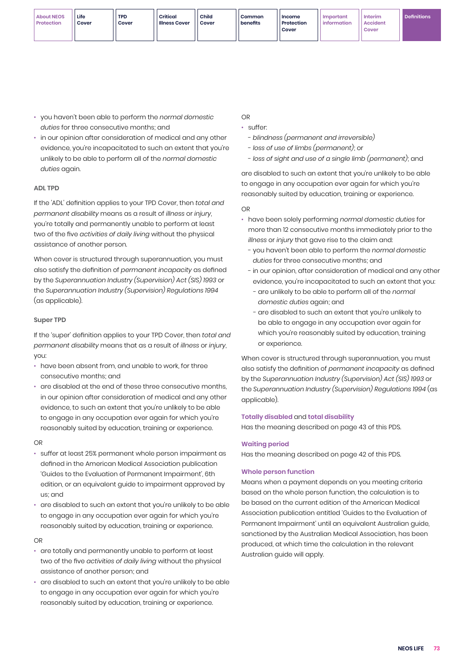| <b>About NEOS</b><br>Protection | Life<br>Cover | <b>TPD</b><br>Cover | Critical<br><b>Illness Cover</b> | <b>Child</b><br>Cover | Common<br>benefits | Income<br>Protection<br>Cover | Important<br>information | Interim<br><b>Accident</b><br>Cover | <b>Definitions</b> |
|---------------------------------|---------------|---------------------|----------------------------------|-----------------------|--------------------|-------------------------------|--------------------------|-------------------------------------|--------------------|
|                                 |               |                     |                                  |                       |                    |                               |                          |                                     |                    |

- you haven't been able to perform the *normal domestic duties* for three consecutive months; and
- in our opinion after consideration of medical and any other evidence, you're incapacitated to such an extent that you're unlikely to be able to perform all of the *normal domestic duties* again.

#### **ADL TPD**

If the 'ADL' definition applies to your TPD Cover, then *total and permanent disability* means as a result of *illness* or *injury*, you're totally and permanently unable to perform at least two of the five *activities of daily living* without the physical assistance of another person.

When cover is structured through superannuation, you must also satisfy the definition of *permanent incapacity* as defined by the *Superannuation Industry (Supervision) Act (SIS) 1993* or the *Superannuation Industry (Supervision) Regulations 1994* (as applicable).

#### **Super TPD**

If the 'super' definition applies to your TPD Cover, then *total and permanent disability* means that as a result of *illness* or *injury*, you:

- have been absent from, and unable to work, for three consecutive months; and
- are disabled at the end of these three consecutive months, in our opinion after consideration of medical and any other evidence, to such an extent that you're unlikely to be able to engage in any occupation ever again for which you're reasonably suited by education, training or experience.

#### OR

- suffer at least 25% permanent whole person impairment as defined in the American Medical Association publication 'Guides to the Evaluation of Permanent Impairment', 6th edition, or an equivalent guide to impairment approved by us; and
- are disabled to such an extent that you're unlikely to be able to engage in any occupation ever again for which you're reasonably suited by education, training or experience.

#### OR

- are totally and permanently unable to perform at least two of the five *activities of daily living* without the physical assistance of another person; and
- are disabled to such an extent that you're unlikely to be able to engage in any occupation ever again for which you're reasonably suited by education, training or experience.

## OR

- suffer:
	- *blindness (permanent and irreversible)*
	- *loss of use of limbs (permanent)*; or
	- *loss of sight and use of a single limb (permanent)*; and

are disabled to such an extent that you're unlikely to be able to engage in any occupation ever again for which you're reasonably suited by education, training or experience.

#### OR

- have been solely performing *normal domestic duties* for more than 12 consecutive months immediately prior to the *illness* or *injury* that gave rise to the claim and:
	- you haven't been able to perform the *normal domestic duties* for three consecutive months; and
	- in our opinion, after consideration of medical and any other evidence, you're incapacitated to such an extent that you:
		- are unlikely to be able to perform all of the *normal domestic duties* again; and
		- are disabled to such an extent that you're unlikely to be able to engage in any occupation ever again for which you're reasonably suited by education, training or experience.

When cover is structured through superannuation, you must also satisfy the definition of *permanent incapacity* as defined by the *Superannuation Industry (Supervision) Act (SIS) 1993* or the *Superannuation Industry (Supervision) Regulations 1994* (as applicable).

#### **Totally disabled** and **total disability**

Has the meaning described on page 43 of this PDS.

#### **Waiting period**

Has the meaning described on page 42 of this PDS.

#### **Whole person function**

Means when a payment depends on you meeting criteria based on the whole person function, the calculation is to be based on the current edition of the American Medical Association publication entitled 'Guides to the Evaluation of Permanent Impairment' until an equivalent Australian guide, sanctioned by the Australian Medical Association, has been produced, at which time the calculation in the relevant Australian guide will apply.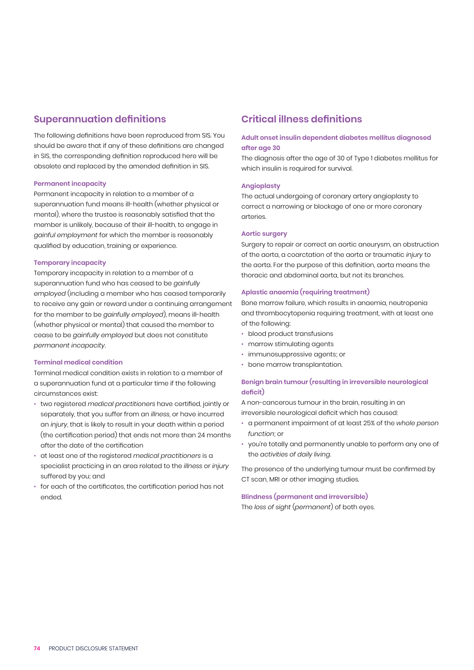## **Superannuation definitions**

The following definitions have been reproduced from SIS. You should be aware that if any of these definitions are changed in SIS, the corresponding definition reproduced here will be obsolete and replaced by the amended definition in SIS.

#### **Permanent incapacity**

Permanent incapacity in relation to a member of a superannuation fund means ill-health (whether physical or mental), where the trustee is reasonably satisfied that the member is unlikely, because of their ill-health, to engage in *gainful employment* for which the member is reasonably qualified by education, training or experience.

#### **Temporary incapacity**

Temporary incapacity in relation to a member of a superannuation fund who has ceased to be *gainfully employed* (including a member who has ceased temporarily to receive any gain or reward under a continuing arrangement for the member to be *gainfully employed*), means ill-health (whether physical or mental) that caused the member to cease to be *gainfully employed* but does not constitute *permanent incapacity*.

#### **Terminal medical condition**

Terminal medical condition exists in relation to a member of a superannuation fund at a particular time if the following circumstances exist:

- two registered *medical practitioners* have certified, jointly or separately, that you suffer from an *illness*, or have incurred an *injury*, that is likely to result in your death within a period (the certification period) that ends not more than 24 months after the date of the certification
- at least one of the registered *medical practitioners* is a specialist practicing in an area related to the *illness* or *injury*  suffered by you; and
- for each of the certificates, the certification period has not ended.

## **Critical illness definitions**

#### **Adult onset insulin dependent diabetes mellitus diagnosed after age 30**

The diagnosis after the age of 30 of Type 1 diabetes mellitus for which insulin is required for survival.

#### **Angioplasty**

The actual undergoing of coronary artery angioplasty to correct a narrowing or blockage of one or more coronary arteries.

#### **Aortic surgery**

Surgery to repair or correct an aortic aneurysm, an obstruction of the aorta, a coarctation of the aorta or traumatic *injury* to the aorta. For the purpose of this definition, aorta means the thoracic and abdominal aorta, but not its branches.

#### **Aplastic anaemia (requiring treatment)**

Bone marrow failure, which results in anaemia, neutropenia and thrombocytopenia requiring treatment, with at least one of the following:

- blood product transfusions
- marrow stimulating agents
- immunosuppressive agents; or
- bone marrow transplantation.

#### **Benign brain tumour (resulting in irreversible neurological deficit)**

A non-cancerous tumour in the brain, resulting in an irreversible neurological deficit which has caused:

- a permanent impairment of at least 25% of the *whole person function*; or
- you're totally and permanently unable to perform any one of the *activities of daily living*.

The presence of the underlying tumour must be confirmed by CT scan, MRI or other imaging studies.

#### **Blindness (permanent and irreversible)**

The *loss of sight* (*permanent*) of both eyes.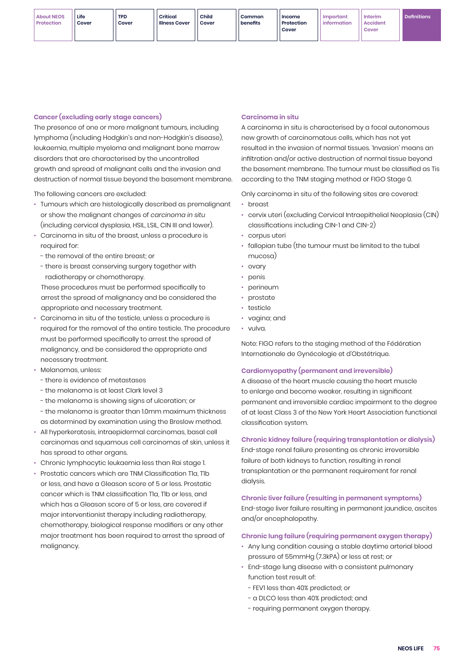**Cover**

**Interim** 

**Cover**

## **Cancer (excluding early stage cancers)**

The presence of one or more malignant tumours, including lymphoma (including Hodgkin's and non-Hodgkin's disease), leukaemia, multiple myeloma and malignant bone marrow disorders that are characterised by the uncontrolled growth and spread of malignant cells and the invasion and destruction of normal tissue beyond the basement membrane.

The following cancers are excluded:

- Tumours which are histologically described as premalignant or show the malignant changes of *carcinoma in situ*  (including cervical dysplasia, HSIL, LSIL, CIN III and lower).
- Carcinoma in situ of the breast, unless a procedure is required for:
	- the removal of the entire breast; or
	- there is breast conserving surgery together with radiotherapy or chemotherapy.

These procedures must be performed specifically to arrest the spread of malignancy and be considered the appropriate and necessary treatment.

- Carcinoma in situ of the testicle, unless a procedure is required for the removal of the entire testicle. The procedure must be performed specifically to arrest the spread of malignancy, and be considered the appropriate and necessary treatment.
- Melanomas, unless:
	- there is evidence of metastases
	- the melanoma is at least Clark level 3
	- the melanoma is showing signs of ulceration; or
	- the melanoma is greater than 1.0mm maximum thickness as determined by examination using the Breslow method.
- All hyperkeratosis, intraepidermal carcinomas, basal cell carcinomas and squamous cell carcinomas of skin, unless it has spread to other organs.
- Chronic lymphocytic leukaemia less than Rai stage 1.
- Prostatic cancers which are TNM Classification T1a, T1b or less, and have a Gleason score of 5 or less. Prostatic cancer which is TNM classification T1a, T1b or less, and which has a Gleason score of 5 or less, are covered if major interventionist therapy including radiotherapy, chemotherapy, biological response modifiers or any other major treatment has been required to arrest the spread of malignancy.

## **Carcinoma in situ**

A carcinoma in situ is characterised by a focal autonomous new growth of carcinomatous cells, which has not yet resulted in the invasion of normal tissues. 'Invasion' means an infiltration and/or active destruction of normal tissue beyond the basement membrane. The tumour must be classified as Tis according to the TNM staging method or FIGO Stage 0.

Only carcinoma in situ of the following sites are covered:

- breast
- cervix uteri (excluding Cervical Intraepithelial Neoplasia (CIN) classifications including CIN-1 and CIN-2)
- corpus uteri
- fallopian tube (the tumour must be limited to the tubal mucosa)
- ovary
- penis
- perineum
- prostate
- testicle
- vagina; and
- vulva.

Note: FIGO refers to the staging method of the Fédération Internationale de Gynécologie et d'Obstétrique.

#### **Cardiomyopathy (permanent and irreversible)**

A disease of the heart muscle causing the heart muscle to enlarge and become weaker, resulting in significant permanent and irreversible cardiac impairment to the degree of at least Class 3 of the New York Heart Association functional classification system.

#### **Chronic kidney failure (requiring transplantation or dialysis)**

End-stage renal failure presenting as chronic irreversible failure of both kidneys to function, resulting in renal transplantation or the permanent requirement for renal dialysis.

#### **Chronic liver failure (resulting in permanent symptoms)**

End-stage liver failure resulting in permanent jaundice, ascites and/or encephalopathy.

#### **Chronic lung failure (requiring permanent oxygen therapy)**

- Any lung condition causing a stable daytime arterial blood pressure of 55mmHg (7.3kPA) or less at rest; or
- End-stage lung disease with a consistent pulmonary function test result of:
	- FEV1 less than 40% predicted; or
	- a DLCO less than 40% predicted; and
	- requiring permanent oxygen therapy.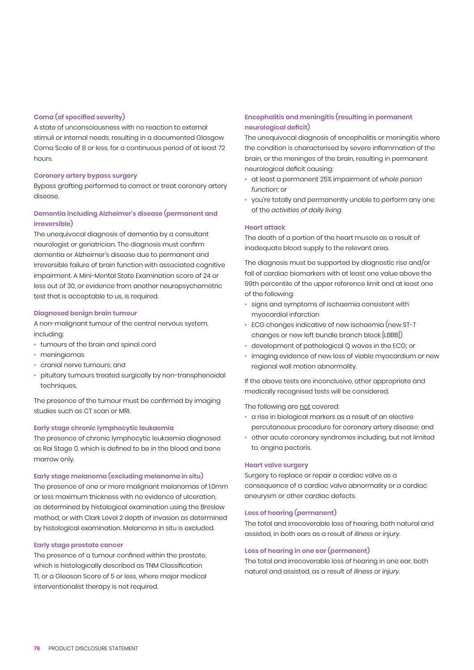#### **Coma (of specified severity)**

A state of unconsciousness with no reaction to external stimuli or internal needs, resulting in a documented Glasgow Coma Scale of 8 or less, for a continuous period of at least 72 hours.

#### **Coronary artery bypass surgery**

Bypass grafting performed to correct or treat coronary artery disease.

#### **Dementia including Alzheimer's disease (permanent and irreversible)**

The unequivocal diagnosis of dementia by a consultant neurologist or geriatrician. The diagnosis must confirm dementia or Alzheimer's disease due to permanent and irreversible failure of brain function with associated cognitive impairment. A Mini-Mental State Examination score of 24 or less out of 30, or evidence from another neuropsychometric test that is acceptable to us, is required.

#### **Diagnosed benign brain tumour**

A non-malignant tumour of the central nervous system, including:

- tumours of the brain and spinal cord
- meningiomas
- cranial nerve tumours; and
- pituitary tumours treated surgically by non-transphenoidal techniques.

The presence of the tumour must be confirmed by imaging studies such as CT scan or MRI.

#### **Early stage chronic lymphocytic leukaemia**

The presence of chronic lymphocytic leukaemia diagnosed as Rai Stage 0, which is defined to be in the blood and bone marrow only.

#### **Early stage melanoma (excluding melanoma in situ)**

The presence of one or more malignant melanomas of 1.0mm or less maximum thickness with no evidence of ulceration, as determined by histological examination using the Breslow method, or with Clark Level 2 depth of invasion as determined by histological examination. Melanoma in situ is excluded.

#### **Early stage prostate cancer**

The presence of a tumour confined within the prostate, which is histologically described as TNM Classification T1, or a Gleason Score of 5 or less, where major medical interventionalist therapy is not required.

#### **Encephalitis and meningitis (resulting in permanent neurological deficit)**

The unequivocal diagnosis of encephalitis or meningitis where the condition is characterised by severe inflammation of the brain, or the meninges of the brain, resulting in permanent neurological deficit causing:

- at least a permanent 25% impairment of *whole person function*; or
- you're totally and permanently unable to perform any one of the *activities of daily living*.

#### **Heart attack**

The death of a portion of the heart muscle as a result of inadequate blood supply to the relevant area.

The diagnosis must be supported by diagnostic rise and/or fall of cardiac biomarkers with at least one value above the 99th percentile of the upper reference limit and at least one of the following:

- signs and symptoms of ischaemia consistent with myocardial infarction
- ECG changes indicative of new ischaemia (new ST-T changes or new left bundle branch block [LBBB])
- development of pathological Q waves in the ECG; or
- imaging evidence of new loss of viable myocardium or new regional wall motion abnormality.

If the above tests are inconclusive, other appropriate and medically recognised tests will be considered.

The following are not covered:

- a rise in biological markers as a result of an elective percutaneous procedure for coronary artery disease; and
- other acute coronary syndromes including, but not limited to, angina pectoris.

#### **Heart valve surgery**

Surgery to replace or repair a cardiac valve as a consequence of a cardiac valve abnormality or a cardiac aneurysm or other cardiac defects.

#### **Loss of hearing (permanent)**

The total and irrecoverable loss of hearing, both natural and assisted, in both ears as a result of *illness* or *injury*.

#### **Loss of hearing in one ear (permanent)**

The total and irrecoverable loss of hearing in one ear, both natural and assisted, as a result of *illness* or *injury*.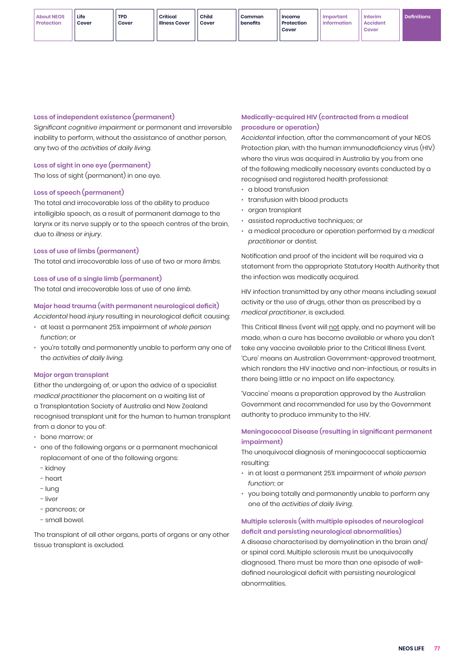| <b>About NEOS</b><br>Protection | Life<br>Cover | <b>TPD</b><br>Cover | Critical<br><b>Illness Cover</b> | Child<br>Cover | Common<br>benefits | Income<br>Protection<br>Cover | Important<br>information | Interim<br><b>Accident</b><br>Cover | <b>Definitions</b> |
|---------------------------------|---------------|---------------------|----------------------------------|----------------|--------------------|-------------------------------|--------------------------|-------------------------------------|--------------------|
|                                 |               |                     |                                  |                |                    |                               |                          |                                     |                    |

#### **Loss of independent existence (permanent)**

*Significant cognitive impairment* or permanent and irreversible inability to perform, without the assistance of another person, any two of the *activities of daily living*.

#### **Loss of sight in one eye (permanent)**

The loss of sight (permanent) in one eye.

#### **Loss of speech (permanent)**

The total and irrecoverable loss of the ability to produce intelligible speech, as a result of permanent damage to the larynx or its nerve supply or to the speech centres of the brain, due to *illness* or *injury*.

#### **Loss of use of limbs (permanent)**

The total and irrecoverable loss of use of two or more *limbs*.

#### **Loss of use of a single limb (permanent)**

The total and irrecoverable loss of use of one *limb*.

#### **Major head trauma (with permanent neurological deficit)**

*Accidental* head *injury* resulting in neurological deficit causing:

- at least a permanent 25% impairment of *whole person function*; or
- you're totally and permanently unable to perform any one of the *activities of daily living*.

#### **Major organ transplant**

Either the undergoing of, or upon the advice of a specialist *medical practitioner* the placement on a waiting list of a Transplantation Society of Australia and New Zealand recognised transplant unit for the human to human transplant from a donor to you of:

- bone marrow; or
- one of the following organs or a permanent mechanical replacement of one of the following organs:
	- kidney
	- heart
	- lung
	- liver
	- pancreas; or
	- small bowel.

The transplant of all other organs, parts of organs or any other tissue transplant is excluded.

#### **Medically-acquired HIV (contracted from a medical procedure or operation)**

*Accidental* infection, after the commencement of your NEOS Protection plan, with the human immunodeficiency virus (HIV) where the virus was acquired in Australia by you from one of the following medically necessary events conducted by a recognised and registered health professional:

- a blood transfusion
- transfusion with blood products
- organ transplant
- assisted reproductive techniques; or
- a medical procedure or operation performed by a *medical practitioner* or dentist.

Notification and proof of the incident will be required via a statement from the appropriate Statutory Health Authority that the infection was medically acquired.

HIV infection transmitted by any other means including sexual activity or the use of drugs, other than as prescribed by a *medical practitioner*, is excluded.

This Critical Illness Event will not apply, and no payment will be made, when a cure has become available or where you don't take any vaccine available prior to the Critical Illness Event. 'Cure' means an Australian Government-approved treatment, which renders the HIV inactive and non-infectious, or results in there being little or no impact on life expectancy.

'Vaccine' means a preparation approved by the Australian Government and recommended for use by the Government authority to produce immunity to the HIV.

#### **Meningococcal Disease (resulting in significant permanent impairment)**

The unequivocal diagnosis of meningococcal septicaemia resulting:

- in at least a permanent 25% impairment of *whole person function*; or
- you being totally and permanently unable to perform any one of the *activities of daily living*.

### **Multiple sclerosis (with multiple episodes of neurological deficit and persisting neurological abnormalities)**

A disease characterised by demyelination in the brain and/ or spinal cord. Multiple sclerosis must be unequivocally diagnosed. There must be more than one episode of welldefined neurological deficit with persisting neurological abnormalities.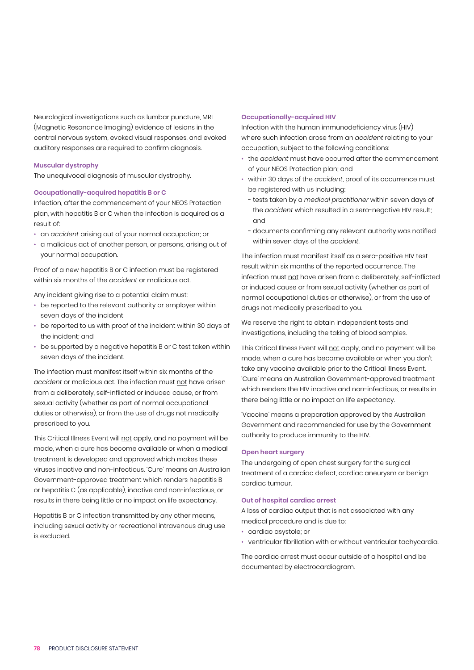Neurological investigations such as lumbar puncture, MRI (Magnetic Resonance Imaging) evidence of lesions in the central nervous system, evoked visual responses, and evoked auditory responses are required to confirm diagnosis.

#### **Muscular dystrophy**

The unequivocal diagnosis of muscular dystrophy.

#### **Occupationally-acquired hepatitis B or C**

Infection, after the commencement of your NEOS Protection plan, with hepatitis B or C when the infection is acquired as a result of:

- an *accident* arising out of your normal occupation; or
- a malicious act of another person, or persons, arising out of your normal occupation.

Proof of a new hepatitis B or C infection must be registered within six months of the *accident* or malicious act.

Any incident giving rise to a potential claim must:

- be reported to the relevant authority or employer within seven days of the incident
- be reported to us with proof of the incident within 30 days of the incident; and
- be supported by a negative hepatitis B or C test taken within seven days of the incident.

The infection must manifest itself within six months of the *accident* or malicious act. The infection must not have arisen from a deliberately, self-inflicted or induced cause, or from sexual activity (whether as part of normal occupational duties or otherwise), or from the use of drugs not medically prescribed to you.

This Critical Illness Event will not apply, and no payment will be made, when a cure has become available or when a medical treatment is developed and approved which makes these viruses inactive and non-infectious. 'Cure' means an Australian Government-approved treatment which renders hepatitis B or hepatitis C (as applicable), inactive and non-infectious, or results in there being little or no impact on life expectancy.

Hepatitis B or C infection transmitted by any other means, including sexual activity or recreational intravenous drug use is excluded.

#### **Occupationally-acquired HIV**

Infection with the human immunodeficiency virus (HIV) where such infection arose from an *accident* relating to your occupation, subject to the following conditions:

- the *accident* must have occurred after the commencement of your NEOS Protection plan; and
- within 30 days of the *accident*, proof of its occurrence must be registered with us including:
	- tests taken by a *medical practitioner* within seven days of the *accident* which resulted in a sero-negative HIV result; and
	- documents confirming any relevant authority was notified within seven days of the *accident*.

The infection must manifest itself as a sero-positive HIV test result within six months of the reported occurrence. The infection must not have arisen from a deliberately, self-inflicted or induced cause or from sexual activity (whether as part of normal occupational duties or otherwise), or from the use of drugs not medically prescribed to you.

We reserve the right to obtain independent tests and investigations, including the taking of blood samples.

This Critical Illness Event will not apply, and no payment will be made, when a cure has become available or when you don't take any vaccine available prior to the Critical Illness Event. 'Cure' means an Australian Government-approved treatment which renders the HIV inactive and non-infectious, or results in there being little or no impact on life expectancy.

'Vaccine' means a preparation approved by the Australian Government and recommended for use by the Government authority to produce immunity to the HIV.

#### **Open heart surgery**

The undergoing of open chest surgery for the surgical treatment of a cardiac defect, cardiac aneurysm or benign cardiac tumour.

#### **Out of hospital cardiac arrest**

A loss of cardiac output that is not associated with any medical procedure and is due to:

- cardiac asystole; or
- ventricular fibrillation with or without ventricular tachycardia.

The cardiac arrest must occur outside of a hospital and be documented by electrocardiogram.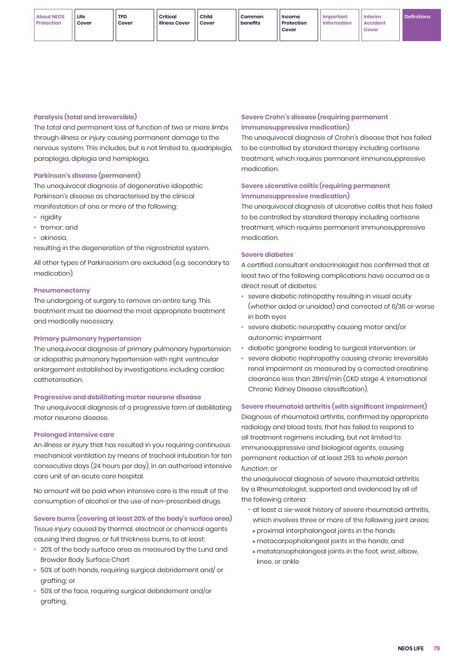| <b>About NEOS</b> | Life  | <b>TPD</b> | Critical             | Child | Common   | Income     | Important   | Interim  |  |
|-------------------|-------|------------|----------------------|-------|----------|------------|-------------|----------|--|
| Protection        | Cover | Cover      | <b>Illness Cover</b> | Cover | benefits | Protection | information | Accident |  |
|                   |       |            |                      |       |          | Cover      |             | Cover    |  |

## **Accident**

## **Paralysis (total and irreversible)**

The total and permanent loss of function of two or more *limbs*  through *illness* or *injury* causing permanent damage to the nervous system. This includes, but is not limited to, quadriplegia, paraplegia, diplegia and hemiplegia.

## **Parkinson's disease (permanent)**

The unequivocal diagnosis of degenerative idiopathic Parkinson's disease as characterised by the clinical manifestation of one or more of the following:

- rigidity
- tremor; and
- akinesia,

resulting in the degeneration of the nigrostriatal system.

All other types of Parkinsonism are excluded (e.g. secondary to medication).

#### **Pneumonectomy**

The undergoing of surgery to remove an entire lung. This treatment must be deemed the most appropriate treatment and medically necessary.

#### **Primary pulmonary hypertension**

The unequivocal diagnosis of primary pulmonary hypertension or idiopathic pulmonary hypertension with right ventricular enlargement established by investigations including cardiac catheterisation.

#### **Progressive and debilitating motor neurone disease**

The unequivocal diagnosis of a progressive form of debilitating motor neurone disease.

#### **Prolonged intensive care**

An *illness* or *injury* that has resulted in you requiring continuous mechanical ventilation by means of tracheal intubation for ten consecutive days (24 hours per day), in an authorised intensive care unit of an acute care hospital.

No amount will be paid when intensive care is the result of the consumption of alcohol or the use of non-prescribed drugs.

#### **Severe burns (covering at least 20% of the body's surface area)**

Tissue *injury* caused by thermal, electrical or chemical agents causing third degree, or full thickness burns, to at least:

- 20% of the body surface area as measured by the Lund and Browder Body Surface Chart
- 50% of both hands, requiring surgical debridement and/ or grafting; or
- 50% of the face, requiring surgical debridement and/or grafting.

#### **Severe Crohn's disease (requiring permanent immunosuppressive medication)**

The unequivocal diagnosis of Crohn's disease that has failed to be controlled by standard therapy including cortisone treatment, which requires permanent immunosuppressive medication.

#### **Severe ulcerative colitis (requiring permanent immunosuppressive medication)**

The unequivocal diagnosis of ulcerative colitis that has failed to be controlled by standard therapy including cortisone treatment, which requires permanent immunosuppressive medication.

#### **Severe diabetes**

A certified consultant endocrinologist has confirmed that at least two of the following complications have occurred as a direct result of diabetes:

- severe diabetic retinopathy resulting in visual acuity (whether aided or unaided) and corrected of 6/36 or worse in both eyes
- severe diabetic neuropathy causing motor and/or autonomic impairment
- diabetic gangrene leading to surgical intervention; or
- severe diabetic nephropathy causing chronic irreversible renal impairment as measured by a corrected creatinine clearance less than 28ml/min (CKD stage 4, International Chronic Kidney Disease classification).

#### **Severe rheumatoid arthritis (with significant impairment)**

Diagnosis of rheumatoid arthritis, confirmed by appropriate radiology and blood tests, that has failed to respond to all treatment regimens including, but not limited to: immunosuppressive and biological agents, causing permanent reduction of at least 25% to *whole person function*; or

the unequivocal diagnosis of severe rheumatoid arthritis by a Rheumatologist, supported and evidenced by all of the following criteria:

- at least a six-week history of severe rheumatoid arthritis, which involves three or more of the following joint areas:
- $p$  proximal interphalangeal joints in the hands
- <sup>n</sup> metacarpophalangeal joints in the hands; and
- $\blacksquare$  metatarsophalangeal joints in the foot, wrist, elbow, knee, or ankle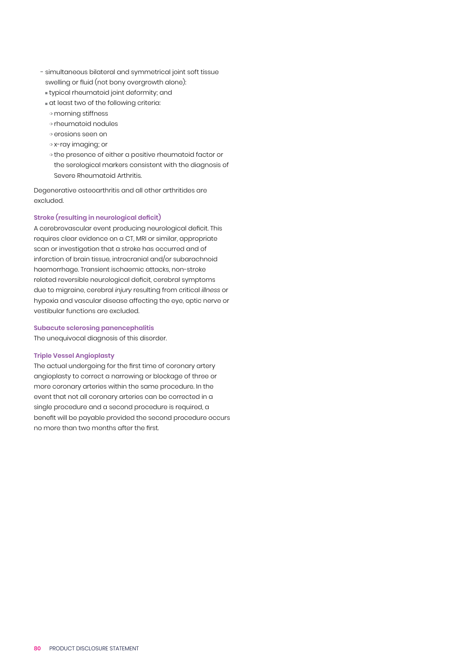- simultaneous bilateral and symmetrical joint soft tissue swelling or fluid (not bony overgrowth alone):
- <sup>n</sup> typical rheumatoid joint deformity; and
- $a$  at least two of the following criteria:
	- o morning stiffness
- <sup>m</sup> rheumatoid nodules
- o erosions seen on
- <sup>m</sup> x-ray imaging; or
- <sup>m</sup> the presence of either a positive rheumatoid factor or the serological markers consistent with the diagnosis of Severe Rheumatoid Arthritis.

Degenerative osteoarthritis and all other arthritides are excluded.

#### **Stroke (resulting in neurological deficit)**

A cerebrovascular event producing neurological deficit. This requires clear evidence on a CT, MRI or similar, appropriate scan or investigation that a stroke has occurred and of infarction of brain tissue, intracranial and/or subarachnoid haemorrhage. Transient ischaemic attacks, non-stroke related reversible neurological deficit, cerebral symptoms due to migraine, cerebral *injury* resulting from critical *illness* or hypoxia and vascular disease affecting the eye, optic nerve or vestibular functions are excluded.

#### **Subacute sclerosing panencephalitis**

The unequivocal diagnosis of this disorder.

#### **Triple Vessel Angioplasty**

The actual undergoing for the first time of coronary artery angioplasty to correct a narrowing or blockage of three or more coronary arteries within the same procedure. In the event that not all coronary arteries can be corrected in a single procedure and a second procedure is required, a benefit will be payable provided the second procedure occurs no more than two months after the first.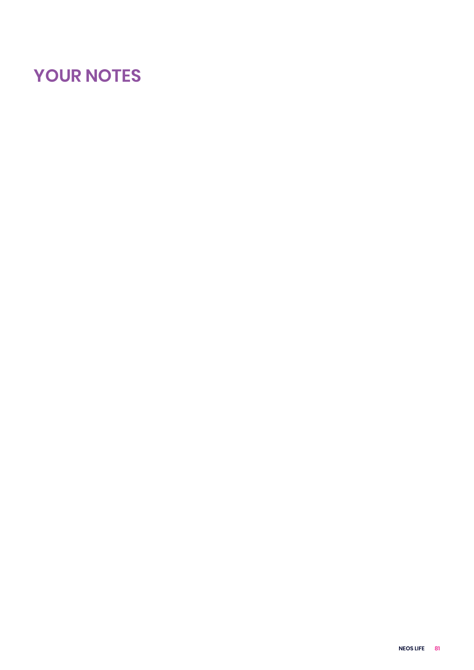# **YOUR NOTES**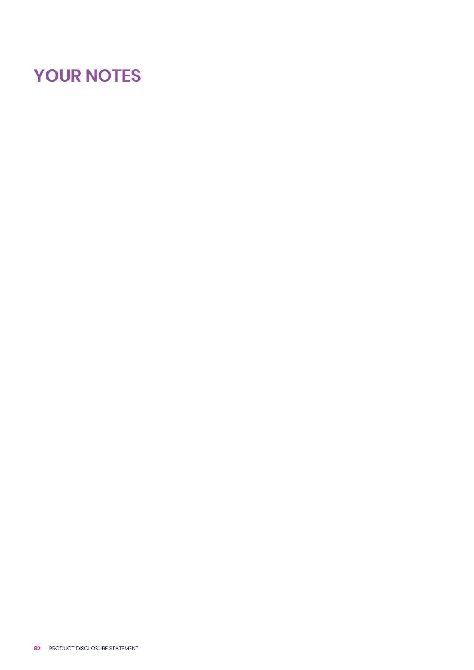## **YOUR NOTES**